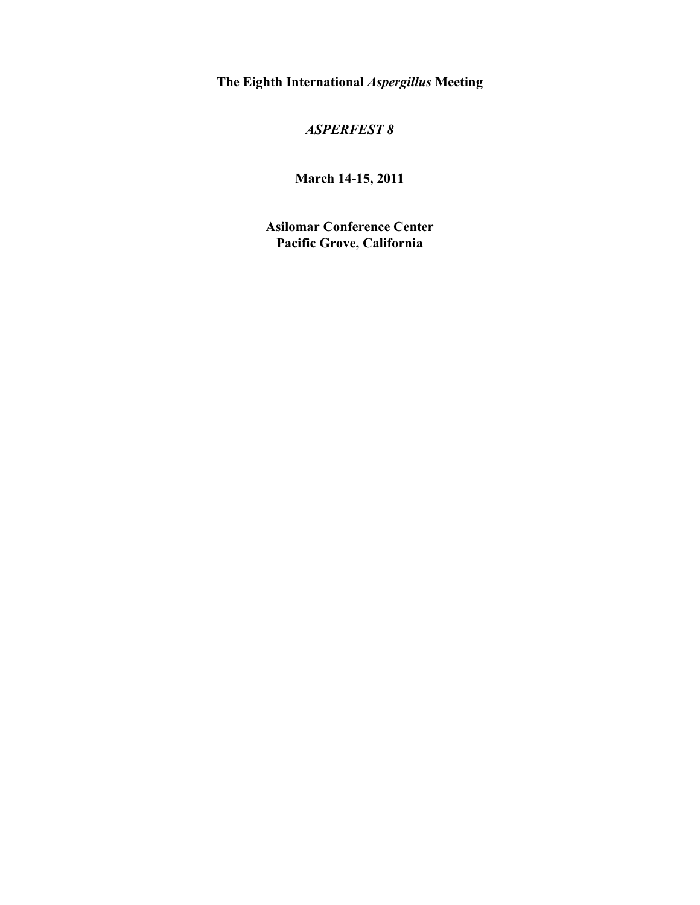**The Eighth International** *Aspergillus* **Meeting**

### *ASPERFEST 8*

**March 14-15, 2011**

**Asilomar Conference Center Pacific Grove, California**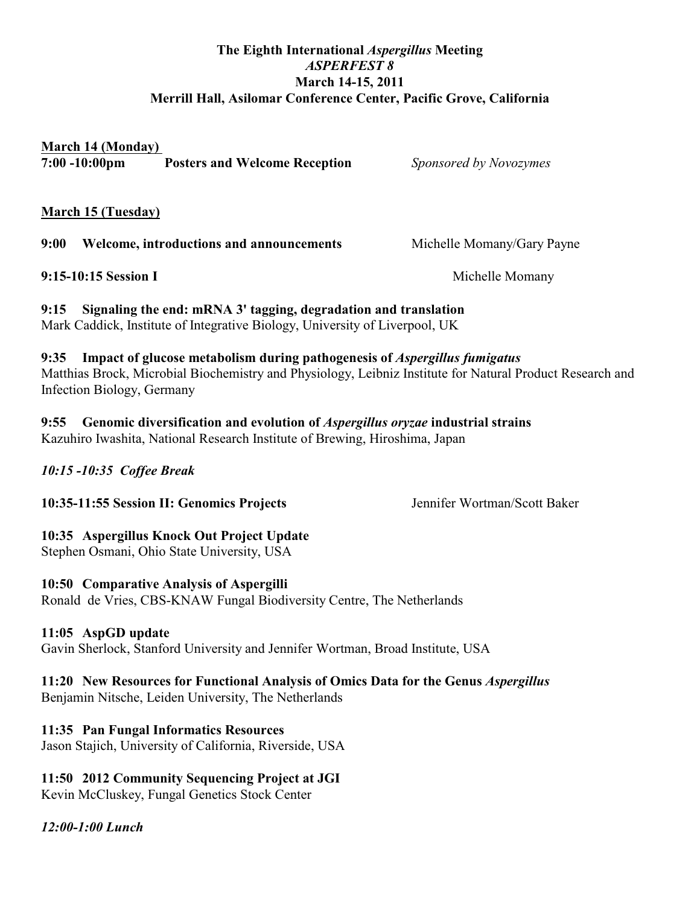### **The Eighth International** *Aspergillus* **Meeting** *ASPERFEST 8* **March 14-15, 2011 Merrill Hall, Asilomar Conference Center, Pacific Grove, California**

### **March 14 (Monday)**

**7:00 -10:00pm Posters and Welcome Reception** *Sponsored by Novozymes*

**March 15 (Tuesday)**

**9:00 Welcome, introductions and announcements** Michelle Momany/Gary Payne

**9:15-10:15 Session I** Michelle Momany

**9:15 Signaling the end: mRNA 3' tagging, degradation and translation** Mark Caddick, Institute of Integrative Biology, University of Liverpool, UK

**9:35 Impact of glucose metabolism during pathogenesis of** *Aspergillus fumigatus* Matthias Brock, Microbial Biochemistry and Physiology, Leibniz Institute for Natural Product Research and Infection Biology, Germany

**9:55 Genomic diversification and evolution of** *Aspergillus oryzae* **industrial strains** Kazuhiro Iwashita, National Research Institute of Brewing, Hiroshima, Japan

*10:15 -10:35 Coffee Break* 

**10:35-11:55 Session II: Genomics Projects** Jennifer Wortman/Scott Baker

## **10:35 Aspergillus Knock Out Project Update**

Stephen Osmani, Ohio State University, USA

## **10:50 Comparative Analysis of Aspergilli**

Ronald de Vries, CBS-KNAW Fungal Biodiversity Centre, The Netherlands

## **11:05 AspGD update**

Gavin Sherlock, Stanford University and Jennifer Wortman, Broad Institute, USA

## **11:20 New Resources for Functional Analysis of Omics Data for the Genus** *Aspergillus*

Benjamin Nitsche, Leiden University, The Netherlands

# **11:35 Pan Fungal Informatics Resources**

Jason Stajich, University of California, Riverside, USA

# **11:50 2012 Community Sequencing Project at JGI**

Kevin McCluskey, Fungal Genetics Stock Center

# *12:00-1:00 Lunch*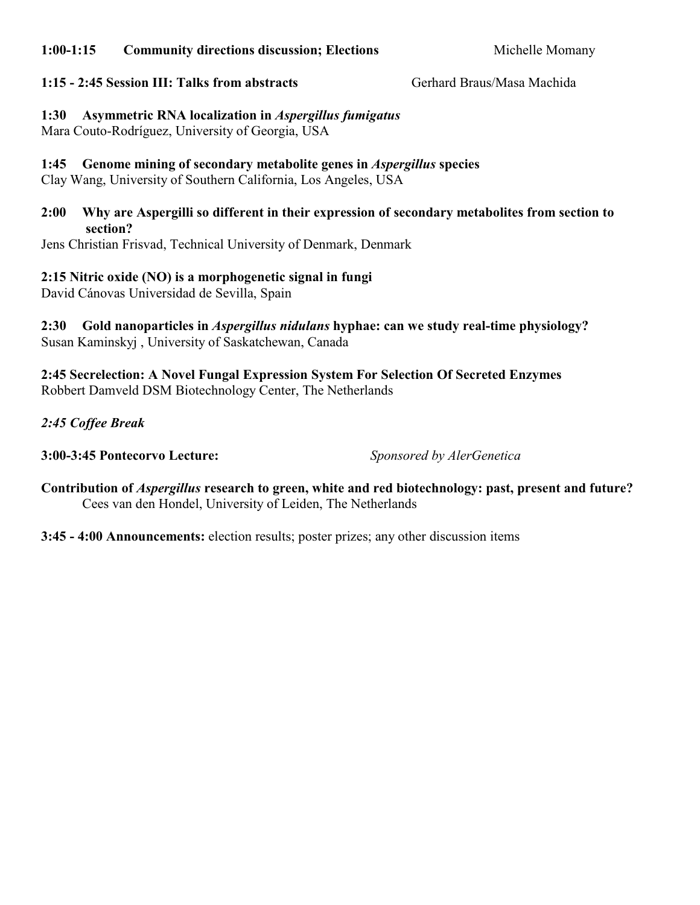### **1:00-1:15 Community directions discussion; Elections** Michelle Momany

### **1:15 - 2:45 Session III: Talks from abstracts** Gerhard Braus/Masa Machida

**1:30 Asymmetric RNA localization in** *Aspergillus fumigatus* Mara Couto-Rodríguez, University of Georgia, USA

**1:45 Genome mining of secondary metabolite genes in** *Aspergillus* **species**

Clay Wang, University of Southern California, Los Angeles, USA

### **2:00 Why are Aspergilli so different in their expression of secondary metabolites from section to section?**

Jens Christian Frisvad, Technical University of Denmark, Denmark

### **2:15 Nitric oxide (NO) is a morphogenetic signal in fungi**

David Cánovas Universidad de Sevilla, Spain

### **2:30 Gold nanoparticles in** *Aspergillus nidulans* **hyphae: can we study real-time physiology?**  Susan Kaminskyj , University of Saskatchewan, Canada

**2:45 Secrelection: A Novel Fungal Expression System For Selection Of Secreted Enzymes** Robbert Damveld DSM Biotechnology Center, The Netherlands

*2:45 Coffee Break* 

**3:00-3:45 Pontecorvo Lecture:** *Sponsored by AlerGenetica*

**Contribution of** *Aspergillus* **research to green, white and red biotechnology: past, present and future?** Cees van den Hondel, University of Leiden, The Netherlands

**3:45 - 4:00 Announcements:** election results; poster prizes; any other discussion items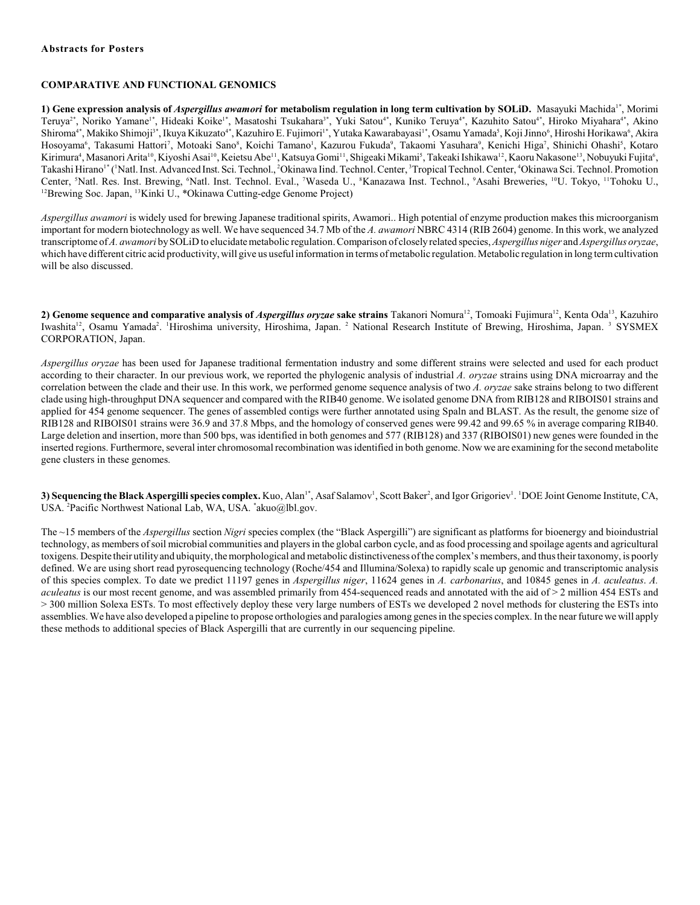#### **COMPARATIVE AND FUNCTIONAL GENOMICS**

**1) Gene expression analysis of** *Aspergillus awamori* **for metabolism regulation in long term cultivation by SOLiD. Masayuki Machida<sup>1\*</sup>, Morimi** Teruya<sup>2\*</sup>, Noriko Yamane<sup>1\*</sup>, Hideaki Koike<sup>1\*</sup>, Masatoshi Tsukahara<sup>3\*</sup>, Yuki Satou<sup>4\*</sup>, Kuniko Teruya<sup>4\*</sup>, Kazuhito Satou<sup>4\*</sup>, Hiroko Miyahara<sup>4\*</sup>, Akino Shiroma'\*, Makiko Shimoji<sup>s</sup>\*, Ikuya Kikuzato'\*, Kazuhiro E. Fujimori<sup>1</sup>\*, Yutaka Kawarabayasi<sup>1</sup>\*, Osamu Yamada<sup>s</sup>, Koji Jinno', Hiroshi Horikawa', Akira Hosoyama<sup>6</sup>, Takasumi Hattori<sup>7</sup>, Motoaki Sano<sup>8</sup>, Koichi Tamano<sup>1</sup>, Kazurou Fukuda<sup>9</sup>, Takaomi Yasuhara<sup>9</sup>, Kenichi Higa<sup>7</sup>, Shinichi Ohashi<sup>5</sup>, Kotaro Kirimura<sup>4</sup>, Masanori Arita<sup>10</sup>, Kiyoshi Asai<sup>10</sup>, Keietsu Abe<sup>11</sup>, Katsuya Gomi<sup>11</sup>, Shigeaki Mikami<sup>5</sup>, Takeaki Ishikawa<sup>12</sup>, Kaoru Nakasone<sup>13</sup>, Nobuyuki Fujita<sup>6</sup>, Takashi Hirano<sup>1\*</sup> (<sup>1</sup>Natl. Inst. Advanced Inst. Sci. Technol., <sup>2</sup>Okinawa Iind. Technol. Center, <sup>3</sup>Tropical Technol. Center, <sup>4</sup>Okinawa Sci. Technol. Promotion Center, <sup>5</sup>Natl. Res. Inst. Brewing, <sup>6</sup>Natl. Inst. Technol. Eval., <sup>7</sup>Waseda U., <sup>8</sup>Kanazawa Inst. Technol., <sup>9</sup>Asahi Breweries, <sup>10</sup>U. Tokyo, <sup>11</sup>Tohoku U., <sup>12</sup>Brewing Soc. Japan, <sup>13</sup>Kinki U., \*Okinawa Cutting-edge Genome Project)

*Aspergillus awamori* is widely used for brewing Japanese traditional spirits, Awamori.. High potential of enzyme production makes this microorganism important for modern biotechnology as well. We have sequenced 34.7 Mb of the *A. awamori* NBRC 4314 (RIB 2604) genome. In this work, we analyzed transcriptome of *A. awamori* by SOLiD to elucidate metabolic regulation. Comparison of closely related species,*Aspergillus niger* and *Aspergillus oryzae*, which have different citric acid productivity, will give us useful information in terms of metabolic regulation. Metabolic regulation in long term cultivation will be also discussed.

2) Genome sequence and comparative analysis of *Aspergillus oryzae* sake strains Takanori Nomura<sup>12</sup>, Tomoaki Fujimura<sup>12</sup>, Kenta Oda<sup>13</sup>, Kazuhiro Iwashita<sup>12</sup>, Osamu Yamada<sup>2</sup>. <sup>1</sup>Hiroshima university, Hiroshima, Japan. <sup>2</sup> National Research Institute of Brewing, Hiroshima, Japan. <sup>3</sup> SYSMEX CORPORATION, Japan.

*Aspergillus oryzae* has been used for Japanese traditional fermentation industry and some different strains were selected and used for each product according to their character. In our previous work, we reported the phylogenic analysis of industrial *A. oryzae* strains using DNA microarray and the correlation between the clade and their use. In this work, we performed genome sequence analysis of two *A. oryzae* sake strains belong to two different clade using high-throughput DNA sequencer and compared with the RIB40 genome. We isolated genome DNA from RIB128 and RIBOIS01 strains and applied for 454 genome sequencer. The genes of assembled contigs were further annotated using Spaln and BLAST. As the result, the genome size of RIB128 and RIBOIS01 strains were 36.9 and 37.8 Mbps, and the homology of conserved genes were 99.42 and 99.65 % in average comparing RIB40. Large deletion and insertion, more than 500 bps, was identified in both genomes and 577 (RIB128) and 337 (RIBOIS01) new genes were founded in the inserted regions. Furthermore, several inter chromosomal recombination was identified in both genome. Now we are examining for the second metabolite gene clusters in these genomes.

3) Sequencing the Black Aspergilli species complex. Kuo, Alan<sup>1+</sup>, Asaf Salamov<sup>1</sup>, Scott Baker<sup>2</sup>, and Igor Grigoriev<sup>1</sup>. <sup>1</sup>DOE Joint Genome Institute, CA, USA. <sup>2</sup>Pacific Northwest National Lab, WA, USA. \*akuo@lbl.gov.

The ~15 members of the *Aspergillus* section *Nigri* species complex (the "Black Aspergilli") are significant as platforms for bioenergy and bioindustrial technology, as members of soil microbial communities and players in the global carbon cycle, and as food processing and spoilage agents and agricultural toxigens. Despite their utilityand ubiquity, themorphological and metabolic distinctiveness of the complex's members, and thus their taxonomy, is poorly defined. We are using short read pyrosequencing technology (Roche/454 and Illumina/Solexa) to rapidly scale up genomic and transcriptomic analysis of this species complex. To date we predict 11197 genes in *Aspergillus niger*, 11624 genes in *A. carbonarius*, and 10845 genes in *A. aculeatus*. *A. aculeatus* is our most recent genome, and was assembled primarily from 454-sequenced reads and annotated with the aid of > 2 million 454 ESTs and > 300 million Solexa ESTs. To most effectively deploy these very large numbers of ESTs we developed 2 novel methods for clustering the ESTs into assemblies. We have also developed a pipeline to propose orthologies and paralogies among genes in the species complex. In the near future we will apply these methods to additional species of Black Aspergilli that are currently in our sequencing pipeline.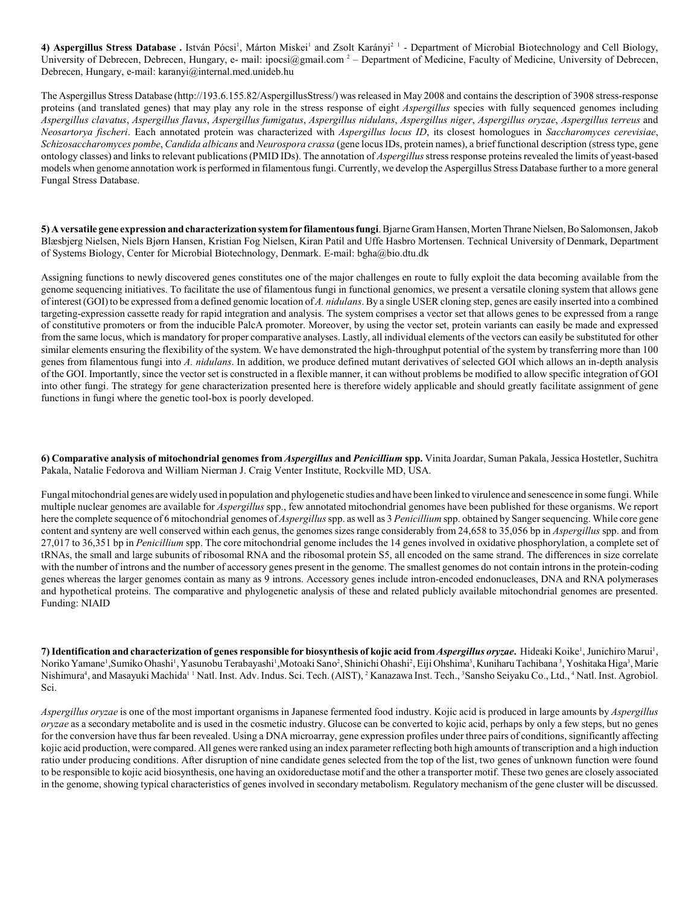4) Aspergillus Stress Database . István Pócsi<sup>1</sup>, Márton Miskei<sup>1</sup> and Zsolt Karányi<sup>21</sup> - Department of Microbial Biotechnology and Cell Biology, University of Debrecen, Debrecen, Hungary, e- mail: ipocsi $@g$ mail.com  $2$  – Department of Medicine, Faculty of Medicine, University of Debrecen, Debrecen, Hungary, e-mail: karanyi@internal.med.unideb.hu

The Aspergillus Stress Database (http://193.6.155.82/AspergillusStress/) was released in May 2008 and contains the description of 3908 stress-response proteins (and translated genes) that may play any role in the stress response of eight *Aspergillus* species with fully sequenced genomes including *Aspergillus clavatus*, *Aspergillus flavus*, *Aspergillus fumigatus*, *Aspergillus nidulans*, *Aspergillus niger*, *Aspergillus oryzae*, *Aspergillus terreus* and *Neosartorya fischeri*. Each annotated protein was characterized with *Aspergillus locus ID*, its closest homologues in *Saccharomyces cerevisiae*, *Schizosaccharomyces pombe*, *Candida albicans* and *Neurospora crassa* (gene locus IDs, protein names), a brief functional description (stress type, gene ontology classes) and links to relevant publications (PMID IDs). The annotation of *Aspergillus* stress response proteins revealed the limits of yeast-based models when genome annotation work is performed in filamentous fungi. Currently, we develop the Aspergillus Stress Database further to a more general Fungal Stress Database.

**5) A versatile gene expression and characterization system for filamentous fungi**. Bjarne Gram Hansen, Morten Thrane Nielsen, Bo Salomonsen, Jakob Blæsbjerg Nielsen, Niels Bjørn Hansen, Kristian Fog Nielsen, Kiran Patil and Uffe Hasbro Mortensen. Technical University of Denmark, Department of Systems Biology, Center for Microbial Biotechnology, Denmark. E-mail: bgha@bio.dtu.dk

Assigning functions to newly discovered genes constitutes one of the major challenges en route to fully exploit the data becoming available from the genome sequencing initiatives. To facilitate the use of filamentous fungi in functional genomics, we present a versatile cloning system that allows gene of interest (GOI) to be expressed from a defined genomic location of *A. nidulans*. By a single USER cloning step, genes are easily inserted into a combined targeting-expression cassette ready for rapid integration and analysis. The system comprises a vector set that allows genes to be expressed from a range of constitutive promoters or from the inducible PalcA promoter. Moreover, by using the vector set, protein variants can easily be made and expressed from the same locus, which is mandatory for proper comparative analyses. Lastly, all individual elements of the vectors can easily be substituted for other similar elements ensuring the flexibility of the system. We have demonstrated the high-throughput potential of the system by transferring more than 100 genes from filamentous fungi into *A. nidulans*. In addition, we produce defined mutant derivatives of selected GOI which allows an in-depth analysis of the GOI. Importantly, since the vector set is constructed in a flexible manner, it can without problems be modified to allow specific integration of GOI into other fungi. The strategy for gene characterization presented here is therefore widely applicable and should greatly facilitate assignment of gene functions in fungi where the genetic tool-box is poorly developed.

**6) Comparative analysis of mitochondrial genomes from** *Aspergillus* **and** *Penicillium* **spp.** Vinita Joardar, Suman Pakala, Jessica Hostetler, Suchitra Pakala, Natalie Fedorova and William Nierman J. Craig Venter Institute, Rockville MD, USA.

Fungal mitochondrial genes are widely used in population and phylogenetic studies and have been linked to virulence and senescence in some fungi. While multiple nuclear genomes are available for *Aspergillus* spp., few annotated mitochondrial genomes have been published for these organisms. We report here the complete sequence of 6 mitochondrial genomes of *Aspergillus*spp. as well as 3 *Penicillium* spp. obtained by Sanger sequencing. While core gene content and synteny are well conserved within each genus, the genomes sizes range considerably from 24,658 to 35,056 bp in *Aspergillus* spp. and from 27,017 to 36,351 bp in *Penicillium* spp. The core mitochondrial genome includes the 14 genes involved in oxidative phosphorylation, a complete set of tRNAs, the small and large subunits of ribosomal RNA and the ribosomal protein S5, all encoded on the same strand. The differences in size correlate with the number of introns and the number of accessory genes present in the genome. The smallest genomes do not contain introns in the protein-coding genes whereas the larger genomes contain as many as 9 introns. Accessory genes include intron-encoded endonucleases, DNA and RNA polymerases and hypothetical proteins. The comparative and phylogenetic analysis of these and related publicly available mitochondrial genomes are presented. Funding: NIAID

**7) Identification and characterization of genes responsible for biosynthesis of kojic acid from** *Aspergillus oryzae***.** Hideaki Koike , Junichiro Marui , 1 1 Noriko Yamane<sup>1</sup>, Sumiko Ohashi<sup>1</sup>, Yasunobu Terabayashi<sup>1</sup>, Motoaki Sano<sup>2</sup>, Shinichi Ohashi<sup>2</sup>, Eiji Ohshima<sup>3</sup>, Kuniharu Tachibana<sup>3</sup>, Yoshitaka Higa<sup>3</sup>, Marie Nishimura<sup>4</sup>, and Masayuki Machida<sup>11</sup> Natl. Inst. Adv. Indus. Sci. Tech. (AIST), <sup>2</sup> Kanazawa Inst. Tech., <sup>3</sup>Sansho Seiyaku Co., Ltd., <sup>4</sup> Natl. Inst. Agrobiol. Sci.

*Aspergillus oryzae* is one of the most important organisms in Japanese fermented food industry. Kojic acid is produced in large amounts by *Aspergillus oryzae* as a secondary metabolite and is used in the cosmetic industry. Glucose can be converted to kojic acid, perhaps by only a few steps, but no genes for the conversion have thus far been revealed. Using a DNA microarray, gene expression profiles under three pairs of conditions, significantly affecting kojic acid production, were compared. All genes were ranked using an index parameter reflecting both high amounts of transcription and a high induction ratio under producing conditions. After disruption of nine candidate genes selected from the top of the list, two genes of unknown function were found to be responsible to kojic acid biosynthesis, one having an oxidoreductase motif and the other a transporter motif. These two genes are closely associated in the genome, showing typical characteristics of genes involved in secondary metabolism. Regulatory mechanism of the gene cluster will be discussed.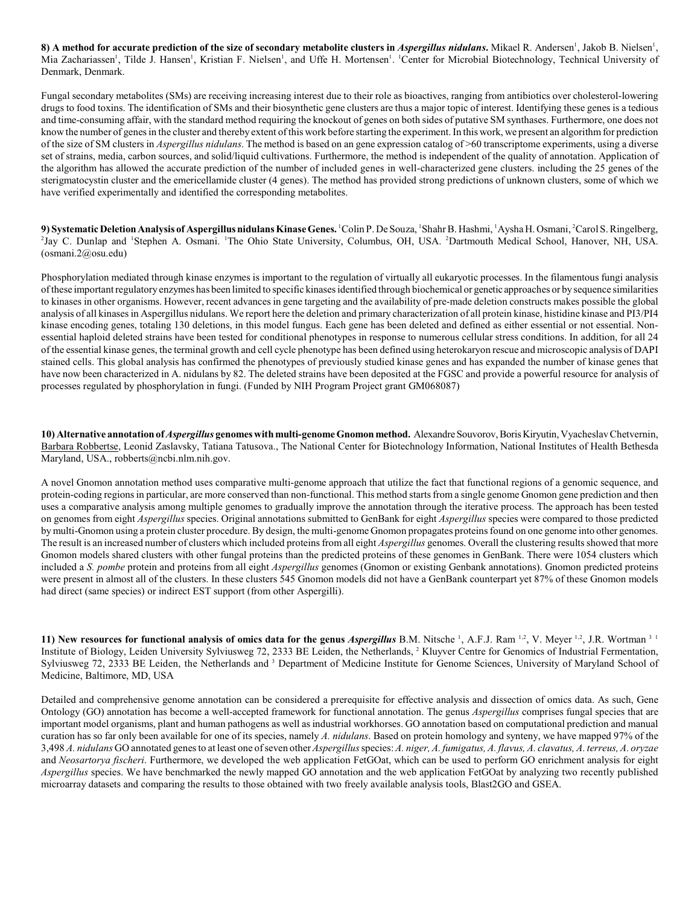8) A method for accurate prediction of the size of secondary metabolite clusters in *Aspergillus nidulans*. Mikael R. Andersen', Jakob B. Nielsen', Mia Zachariassen<sup>1</sup>, Tilde J. Hansen<sup>1</sup>, Kristian F. Nielsen<sup>1</sup>, and Uffe H. Mortensen<sup>1</sup>. <sup>1</sup>Center for Microbial Biotechnology, Technical University of Denmark, Denmark.

Fungal secondary metabolites (SMs) are receiving increasing interest due to their role as bioactives, ranging from antibiotics over cholesterol-lowering drugs to food toxins. The identification of SMs and their biosynthetic gene clusters are thus a major topic of interest. Identifying these genes is a tedious and time-consuming affair, with the standard method requiring the knockout of genes on both sides of putative SM synthases. Furthermore, one does not know the number of genes in the cluster and thereby extent of this work before starting the experiment. In this work, we present an algorithm for prediction of the size of SM clusters in *Aspergillus nidulans*. The method is based on an gene expression catalog of >60 transcriptome experiments, using a diverse set of strains, media, carbon sources, and solid/liquid cultivations. Furthermore, the method is independent of the quality of annotation. Application of the algorithm has allowed the accurate prediction of the number of included genes in well-characterized gene clusters. including the 25 genes of the sterigmatocystin cluster and the emericellamide cluster (4 genes). The method has provided strong predictions of unknown clusters, some of which we have verified experimentally and identified the corresponding metabolites.

9) Systematic Deletion Analysis of Aspergillus nidulans Kinase Genes. <sup>1</sup>Colin P. De Souza, <sup>1</sup>Shahr B. Hashmi, <sup>1</sup>Aysha H. Osmani, <sup>2</sup>Carol S. Ringelberg, <sup>2</sup>Jay C. Dunlap and <sup>1</sup>Stephen A. Osmani. The Ohio State University, Columbus, OH, USA. <sup>2</sup>Dartmouth Medical School, Hanover, NH, USA. (osmani.2@osu.edu)

Phosphorylation mediated through kinase enzymes is important to the regulation of virtually all eukaryotic processes. In the filamentous fungi analysis of these important regulatory enzymes has been limited to specific kinases identified through biochemical or genetic approaches or by sequence similarities to kinases in other organisms. However, recent advances in gene targeting and the availability of pre-made deletion constructs makes possible the global analysis of all kinases in Aspergillus nidulans. We report here the deletion and primary characterization of all protein kinase, histidine kinase and PI3/PI4 kinase encoding genes, totaling 130 deletions, in this model fungus. Each gene has been deleted and defined as either essential or not essential. Nonessential haploid deleted strains have been tested for conditional phenotypes in response to numerous cellular stress conditions. In addition, for all 24 of the essential kinase genes, the terminal growth and cell cycle phenotype has been defined using heterokaryon rescue and microscopic analysis of DAPI stained cells. This global analysis has confirmed the phenotypes of previously studied kinase genes and has expanded the number of kinase genes that have now been characterized in A. nidulans by 82. The deleted strains have been deposited at the FGSC and provide a powerful resource for analysis of processes regulated by phosphorylation in fungi. (Funded by NIH Program Project grant GM068087)

**10) Alternative annotation of** *Aspergillus* **genomes with multi-genome Gnomon method.** Alexandre Souvorov, Boris Kiryutin, Vyacheslav Chetvernin, Barbara Robbertse, Leonid Zaslavsky, Tatiana Tatusova., The National Center for Biotechnology Information, National Institutes of Health Bethesda Maryland, USA., robberts@ncbi.nlm.nih.gov.

A novel Gnomon annotation method uses comparative multi-genome approach that utilize the fact that functional regions of a genomic sequence, and protein-coding regions in particular, are more conserved than non-functional. This method starts from a single genome Gnomon gene prediction and then uses a comparative analysis among multiple genomes to gradually improve the annotation through the iterative process. The approach has been tested on genomes from eight *Aspergillus* species. Original annotations submitted to GenBank for eight *Aspergillus* species were compared to those predicted by multi-Gnomon using a protein cluster procedure. By design, the multi-genome Gnomon propagates proteins found on one genome into other genomes. The result is an increased number of clusters which included proteins from all eight *Aspergillus* genomes. Overall the clustering results showed that more Gnomon models shared clusters with other fungal proteins than the predicted proteins of these genomes in GenBank. There were 1054 clusters which included a *S. pombe* protein and proteins from all eight *Aspergillus* genomes (Gnomon or existing Genbank annotations). Gnomon predicted proteins were present in almost all of the clusters. In these clusters 545 Gnomon models did not have a GenBank counterpart yet 87% of these Gnomon models had direct (same species) or indirect EST support (from other Aspergilli).

**11) New resources for functional analysis of omics data for the genus** *Aspergillus* **B.M. Nitsche <sup>1</sup>, A.F.J. Ram <sup>1,2</sup>, V. Meyer <sup>1,2</sup>, J.R. Wortman <sup>3</sup> <sup>1</sup>** Institute of Biology, Leiden University Sylviusweg 72, 2333 BE Leiden, the Netherlands, <sup>2</sup> Kluyver Centre for Genomics of Industrial Fermentation, Sylviusweg 72, 2333 BE Leiden, the Netherlands and <sup>3</sup> Department of Medicine Institute for Genome Sciences, University of Maryland School of Medicine, Baltimore, MD, USA

Detailed and comprehensive genome annotation can be considered a prerequisite for effective analysis and dissection of omics data. As such, Gene Ontology (GO) annotation has become a well-accepted framework for functional annotation. The genus *Aspergillus* comprises fungal species that are important model organisms, plant and human pathogens as well as industrial workhorses. GO annotation based on computational prediction and manual curation has so far only been available for one of its species, namely *A. nidulans*. Based on protein homology and synteny, we have mapped 97% of the 3,498 *A. nidulans* GO annotated genes to at least one of seven other *Aspergillus* species: *A. niger, A. fumigatus, A. flavus, A. clavatus, A. terreus, A. oryzae* and *Neosartorya fischeri*. Furthermore, we developed the web application FetGOat, which can be used to perform GO enrichment analysis for eight *Aspergillus* species. We have benchmarked the newly mapped GO annotation and the web application FetGOat by analyzing two recently published microarray datasets and comparing the results to those obtained with two freely available analysis tools, Blast2GO and GSEA.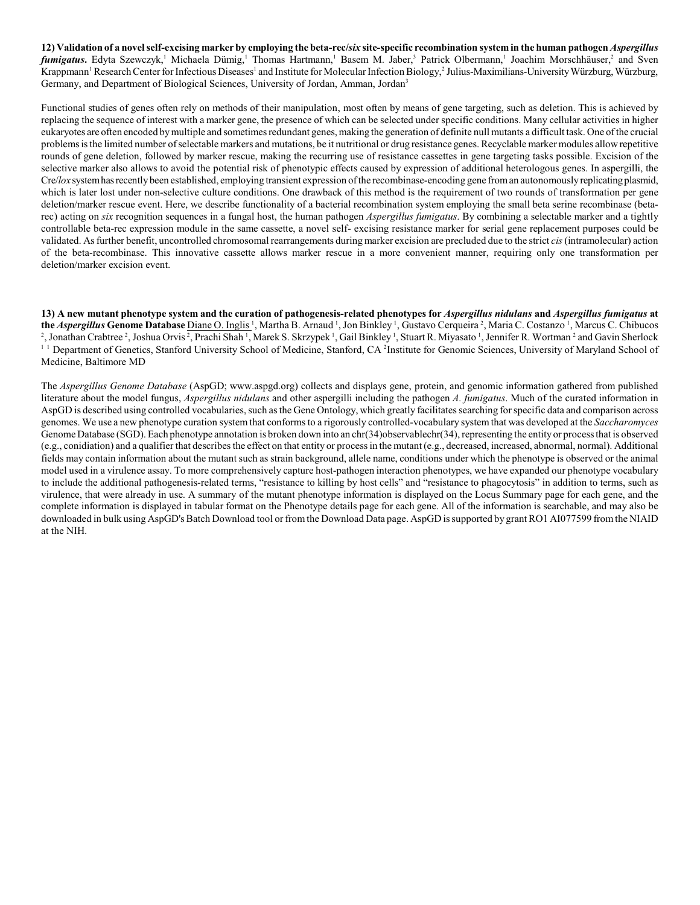**12) Validation of a novel self-excising marker by employing the beta-rec/***six* **site-specific recombination system in the human pathogen** *Aspergillus fumigatus*. Edyta Szewczyk,<sup>1</sup> Michaela Dümig,<sup>1</sup> Thomas Hartmann,<sup>1</sup> Basem M. Jaber,<sup>3</sup> Patrick Olbermann,<sup>1</sup> Joachim Morschhäuser,<sup>2</sup> and Sven Krappmann<sup>1</sup> Research Center for Infectious Diseases<sup>1</sup> and Institute for Molecular Infection Biology,<sup>2</sup> Julius-Maximilians-University Würzburg, Würzburg, Germany, and Department of Biological Sciences, University of Jordan, Amman, Jordan<sup>3</sup>

Functional studies of genes often rely on methods of their manipulation, most often by means of gene targeting, such as deletion. This is achieved by replacing the sequence of interest with a marker gene, the presence of which can be selected under specific conditions. Many cellular activities in higher eukaryotes are often encoded bymultiple and sometimes redundant genes, making the generation of definite null mutants a difficult task. One of the crucial problems is the limited number of selectable markers and mutations, be it nutritional or drug resistance genes. Recyclable marker modules allow repetitive rounds of gene deletion, followed by marker rescue, making the recurring use of resistance cassettes in gene targeting tasks possible. Excision of the selective marker also allows to avoid the potential risk of phenotypic effects caused by expression of additional heterologous genes. In aspergilli, the Cre/*lox* system has recently been established, employing transient expression of the recombinase-encoding gene from an autonomously replicating plasmid, which is later lost under non-selective culture conditions. One drawback of this method is the requirement of two rounds of transformation per gene deletion/marker rescue event. Here, we describe functionality of a bacterial recombination system employing the small beta serine recombinase (betarec) acting on *six* recognition sequences in a fungal host, the human pathogen *Aspergillus fumigatus*. By combining a selectable marker and a tightly controllable beta-rec expression module in the same cassette, a novel self- excising resistance marker for serial gene replacement purposes could be validated. As further benefit, uncontrolled chromosomal rearrangements during marker excision are precluded due to the strict *cis* (intramolecular) action of the beta-recombinase. This innovative cassette allows marker rescue in a more convenient manner, requiring only one transformation per deletion/marker excision event.

**13) A new mutant phenotype system and the curation of pathogenesis-related phenotypes for** *Aspergillus nidulans* **and** *Aspergillus fumigatus* **at** the *Aspergillus* Genome Database Diane O. Inglis<sup>1</sup>, Martha B. Arnaud<sup>1</sup>, Jon Binkley<sup>1</sup>, Gustavo Cerqueira<sup>2</sup>, Maria C. Costanzo<sup>1</sup>, Marcus C. Chibucos <sup>2</sup>, Jonathan Crabtree <sup>2</sup>, Joshua Orvis <sup>2</sup>, Prachi Shah <sup>1</sup>, Marek S. Skrzypek <sup>1</sup>, Gail Binkley <sup>1</sup>, Stuart R. Miyasato <sup>1</sup>, Jennifer R. Wortman <sup>2</sup> and Gavin Sherlock <sup>11</sup> Department of Genetics, Stanford University School of Medicine, Stanford, CA<sup>2</sup>Institute for Genomic Sciences, University of Maryland School of Medicine, Baltimore MD

The *Aspergillus Genome Database* (AspGD; www.aspgd.org) collects and displays gene, protein, and genomic information gathered from published literature about the model fungus, *Aspergillus nidulans* and other aspergilli including the pathogen *A. fumigatus*. Much of the curated information in AspGD is described using controlled vocabularies, such as the Gene Ontology, which greatly facilitates searching for specific data and comparison across genomes. We use a new phenotype curation system that conforms to a rigorously controlled-vocabulary system that was developed at the *Saccharomyces* Genome Database (SGD). Each phenotype annotation is broken down into an chr(34)observablechr(34), representing the entity or process that is observed (e.g., conidiation) and a qualifier that describes the effect on that entity or process in the mutant (e.g., decreased, increased, abnormal, normal). Additional fields may contain information about the mutant such as strain background, allele name, conditions under which the phenotype is observed or the animal model used in a virulence assay. To more comprehensively capture host-pathogen interaction phenotypes, we have expanded our phenotype vocabulary to include the additional pathogenesis-related terms, "resistance to killing by host cells" and "resistance to phagocytosis" in addition to terms, such as virulence, that were already in use. A summary of the mutant phenotype information is displayed on the Locus Summary page for each gene, and the complete information is displayed in tabular format on the Phenotype details page for each gene. All of the information is searchable, and may also be downloaded in bulk using AspGD's Batch Download tool or from the Download Data page. AspGD issupported by grant RO1 AI077599 from the NIAID at the NIH.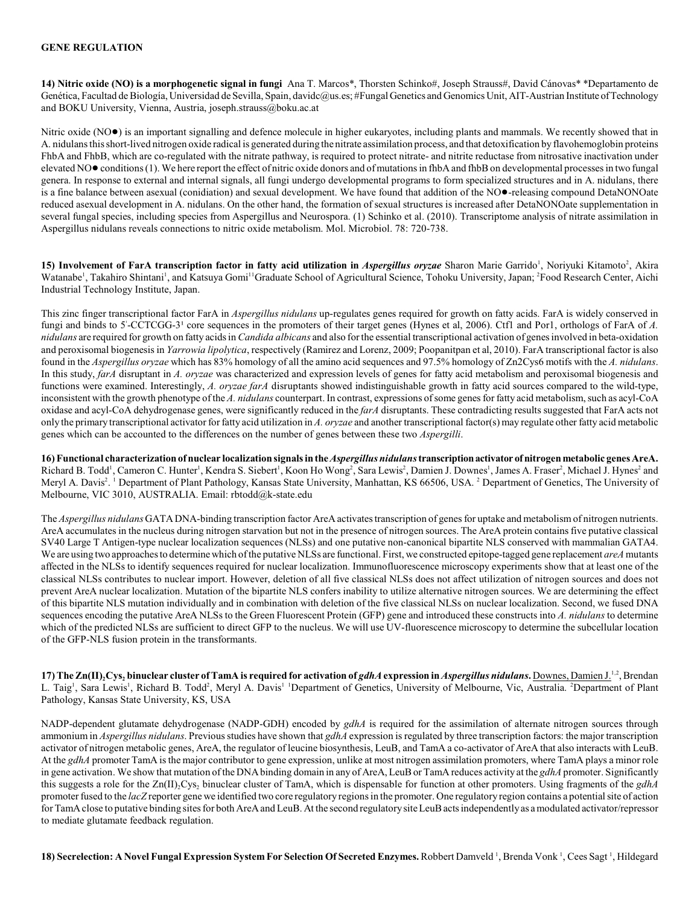#### **GENE REGULATION**

**14) Nitric oxide (NO) is a morphogenetic signal in fungi** Ana T. Marcos\*, Thorsten Schinko#, Joseph Strauss#, David Cánovas\* \*Departamento de Genética, Facultad de Biología, Universidad de Sevilla, Spain, davidc@us.es; #Fungal Genetics and Genomics Unit, AIT-Austrian Institute of Technology and BOKU University, Vienna, Austria, joseph.strauss@boku.ac.at

Nitric oxide (NO<sup></sup>) is an important signalling and defence molecule in higher eukaryotes, including plants and mammals. We recently showed that in A. nidulans this short-lived nitrogen oxide radical is generated during the nitrate assimilation process, and that detoxification by flavohemoglobin proteins FhbA and FhbB, which are co-regulated with the nitrate pathway, is required to protect nitrate- and nitrite reductase from nitrosative inactivation under elevated NO $\bullet$  conditions (1). We here report the effect of nitric oxide donors and of mutations in fhbA and fhbB on developmental processes in two fungal genera. In response to external and internal signals, all fungi undergo developmental programs to form specialized structures and in A. nidulans, there is a fine balance between asexual (conidiation) and sexual development. We have found that addition of the NO $\bullet$ -releasing compound DetaNONOate reduced asexual development in A. nidulans. On the other hand, the formation of sexual structures is increased after DetaNONOate supplementation in several fungal species, including species from Aspergillus and Neurospora. (1) Schinko et al. (2010). Transcriptome analysis of nitrate assimilation in Aspergillus nidulans reveals connections to nitric oxide metabolism. Mol. Microbiol. 78: 720-738.

15) Involvement of FarA transcription factor in fatty acid utilization in *Aspergillus oryzae* Sharon Marie Garrido<sup>1</sup>, Noriyuki Kitamoto<sup>2</sup>, Akira Watanabe<sup>1</sup>, Takahiro Shintani<sup>1</sup>, and Katsuya Gomi<sup>11</sup>Graduate School of Agricultural Science, Tohoku University, Japan; <sup>2</sup>Food Research Center, Aichi Industrial Technology Institute, Japan.

This zinc finger transcriptional factor FarA in *Aspergillus nidulans* up-regulates genes required for growth on fatty acids. FarA is widely conserved in fungi and binds to 5'-CCTCGG-3' core sequences in the promoters of their target genes (Hynes et al, 2006). Ctf1 and Por1, orthologs of FarA of *A*. *nidulans* are required for growth on fatty acids in *Candida albicans* and also for the essential transcriptional activation of genes involved in beta-oxidation and peroxisomal biogenesis in *Yarrowia lipolytica*, respectively (Ramirez and Lorenz, 2009; Poopanitpan et al, 2010). FarA transcriptional factor is also found in the *Aspergillus oryzae* which has 83% homology of all the amino acid sequences and 97.5% homology of Zn2Cys6 motifs with the *A. nidulans*. In this study, *farA* disruptant in *A. oryzae* was characterized and expression levels of genes for fatty acid metabolism and peroxisomal biogenesis and functions were examined. Interestingly, *A. oryzae farA* disruptants showed indistinguishable growth in fatty acid sources compared to the wild-type, inconsistent with the growth phenotype of the *A. nidulans* counterpart. In contrast, expressions of some genes for fatty acid metabolism, such as acyl-CoA oxidase and acyl-CoA dehydrogenase genes, were significantly reduced in the *farA* disruptants. These contradicting results suggested that FarA acts not only the primary transcriptional activator for fatty acid utilization in *A. oryzae* and another transcriptional factor(s) may regulate other fatty acid metabolic genes which can be accounted to the differences on the number of genes between these two *Aspergilli*.

**16) Functional characterization of nuclear localization signals in the***Aspergillus nidulans* **transcription activator of nitrogen metabolic genes AreA.** Richard B. Todd<sup>1</sup>, Cameron C. Hunter<sup>1</sup>, Kendra S. Siebert<sup>1</sup>, Koon Ho Wong<sup>2</sup>, Sara Lewis<sup>2</sup>, Damien J. Downes<sup>1</sup>, James A. Fraser<sup>2</sup>, Michael J. Hynes<sup>2</sup> and Meryl A. Davis<sup>2</sup>. <sup>1</sup> Department of Plant Pathology, Kansas State University, Manhattan, KS 66506, USA. <sup>2</sup> Department of Genetics, The University of Melbourne, VIC 3010, AUSTRALIA. Email: rbtodd@k-state.edu

The *Aspergillus nidulans* GATADNA-binding transcription factor AreAactivates transcription of genes for uptake and metabolism of nitrogen nutrients. AreA accumulates in the nucleus during nitrogen starvation but not in the presence of nitrogen sources. The AreA protein contains five putative classical SV40 Large T Antigen-type nuclear localization sequences (NLSs) and one putative non-canonical bipartite NLS conserved with mammalian GATA4. We are using two approaches to determine which of the putative NLSs are functional. First, we constructed epitope-tagged gene replacement *areA* mutants affected in the NLSs to identify sequences required for nuclear localization. Immunofluorescence microscopy experiments show that at least one of the classical NLSs contributes to nuclear import. However, deletion of all five classical NLSs does not affect utilization of nitrogen sources and does not prevent AreA nuclear localization. Mutation of the bipartite NLS confers inability to utilize alternative nitrogen sources. We are determining the effect of this bipartite NLS mutation individually and in combination with deletion of the five classical NLSs on nuclear localization. Second, we fused DNA sequences encoding the putative AreA NLSs to the Green Fluorescent Protein (GFP) gene and introduced these constructs into *A. nidulans* to determine which of the predicted NLSs are sufficient to direct GFP to the nucleus. We will use UV-fluorescence microscopy to determine the subcellular location of the GFP-NLS fusion protein in the transformants.

**17)** The Zn(II), Cys, binuclear cluster of TamA is required for activation of *gdhA* expression in *Aspergillus nidulans*. Downes, Damien  $J^{1,2}$ , Brendan L. Taig<sup>1</sup>, Sara Lewis<sup>1</sup>, Richard B. Todd<sup>2</sup>, Meryl A. Davis<sup>1</sup> <sup>1</sup>Department of Genetics, University of Melbourne, Vic, Australia. <sup>2</sup>Department of Plant Pathology, Kansas State University, KS, USA

NADP-dependent glutamate dehydrogenase (NADP-GDH) encoded by *gdhA* is required for the assimilation of alternate nitrogen sources through ammonium in *Aspergillus nidulans*. Previousstudies have shown that *gdhA* expression is regulated by three transcription factors: the major transcription activator of nitrogen metabolic genes, AreA, the regulator of leucine biosynthesis, LeuB, and TamA a co-activator of AreA that also interacts with LeuB. At the *gdhA* promoter TamA isthe major contributor to gene expression, unlike at most nitrogen assimilation promoters, where TamA plays a minor role in gene activation. We show that mutation of the DNA binding domain in any of AreA, LeuB or TamA reduces activity at the *gdhA* promoter. Significantly 2 2 this suggests a role for the Zn(II) Cys binuclear cluster of TamA, which is dispensable for function at other promoters. Using fragments of the *gdhA* promoter fused to the *lacZ* reporter gene we identified two core regulatory regions in the promoter. One regulatory region contains a potential site of action for TamA close to putative binding sites for both AreA and LeuB. At the second regulatory site LeuB acts independently as a modulated activator/repressor to mediate glutamate feedback regulation.

18) Se**crelection: A Novel Fungal Expression System For Selection Of Secreted Enzymes.** Robbert Damveld <sup>1</sup>, Brenda Vonk <sup>1</sup>, Cees Sagt <sup>1</sup>, Hildegard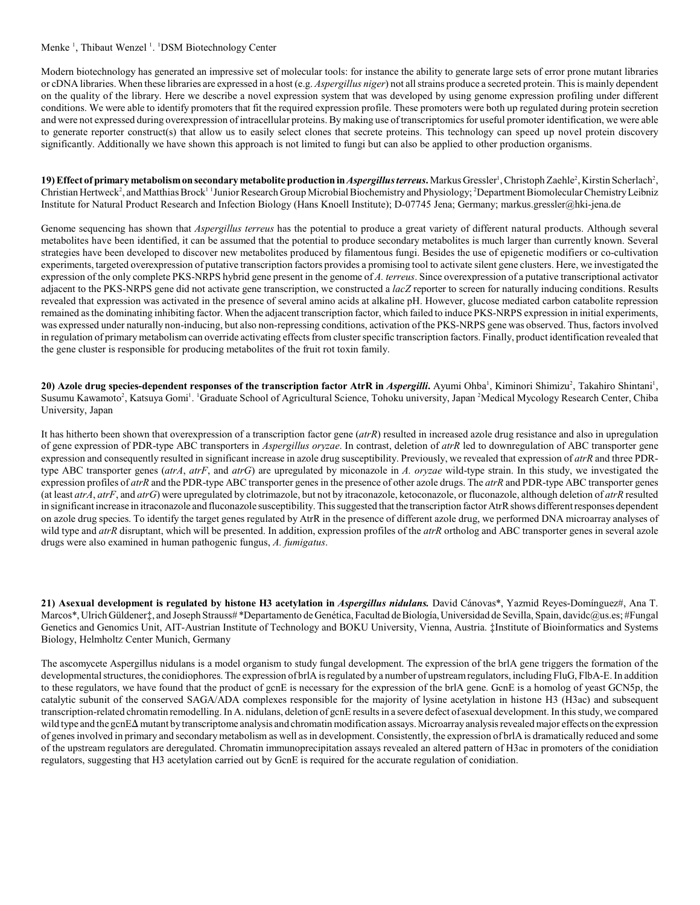#### Menke<sup>1</sup>, Thibaut Wenzel<sup>1</sup>. <sup>1</sup>DSM Biotechnology Center

Modern biotechnology has generated an impressive set of molecular tools: for instance the ability to generate large sets of error prone mutant libraries or cDNA libraries. When these libraries are expressed in a host (e.g. *Aspergillus niger*) not all strains produce a secreted protein. This is mainly dependent on the quality of the library. Here we describe a novel expression system that was developed by using genome expression profiling under different conditions. We were able to identify promoters that fit the required expression profile. These promoters were both up regulated during protein secretion and were not expressed during overexpression of intracellular proteins. By making use of transcriptomics for useful promoter identification, we were able to generate reporter construct(s) that allow us to easily select clones that secrete proteins. This technology can speed up novel protein discovery significantly. Additionally we have shown this approach is not limited to fungi but can also be applied to other production organisms.

19) Effect of primary metabolism on secondary metabolite production in *Aspergillus terreus*. Markus Gressler<sup>1</sup>, Christoph Zaehle<sup>2</sup>, Kirstin Scherlach<sup>2</sup>, Christian Hertweck<sup>2</sup>, and Matthias Brock<sup>11</sup> Junior Research Group Microbial Biochemistry and Physiology; <sup>2</sup> Department Biomolecular Chemistry Leibniz Institute for Natural Product Research and Infection Biology (Hans Knoell Institute); D-07745 Jena; Germany; markus.gressler@hki-jena.de

Genome sequencing has shown that *Aspergillus terreus* has the potential to produce a great variety of different natural products. Although several metabolites have been identified, it can be assumed that the potential to produce secondary metabolites is much larger than currently known. Several strategies have been developed to discover new metabolites produced by filamentous fungi. Besides the use of epigenetic modifiers or co-cultivation experiments, targeted overexpression of putative transcription factors provides a promising tool to activate silent gene clusters. Here, we investigated the expression of the only complete PKS-NRPS hybrid gene present in the genome of *A. terreus*. Since overexpression of a putative transcriptional activator adjacent to the PKS-NRPS gene did not activate gene transcription, we constructed a *lacZ* reporter to screen for naturally inducing conditions. Results revealed that expression was activated in the presence of several amino acids at alkaline pH. However, glucose mediated carbon catabolite repression remained as the dominating inhibiting factor. When the adjacent transcription factor, which failed to induce PKS-NRPS expression in initial experiments, was expressed under naturally non-inducing, but also non-repressing conditions, activation of the PKS-NRPS gene was observed. Thus, factors involved in regulation of primary metabolism can override activating effects from cluster specific transcription factors. Finally, product identification revealed that the gene cluster is responsible for producing metabolites of the fruit rot toxin family.

20) Azole drug species-dependent responses of the transcription factor AtrR in *Aspergilli***.** Ayumi Ohba<sup>1</sup>, Kiminori Shimizu<sup>2</sup>, Takahiro Shintani<sup>1</sup>, Susumu Kawamoto<sup>2</sup>, Katsuya Gomi<sup>1</sup>. <sup>1</sup>Graduate School of Agricultural Science, Tohoku university, Japan <sup>2</sup>Medical Mycology Research Center, Chiba University, Japan

It has hitherto been shown that overexpression of a transcription factor gene (*atrR*) resulted in increased azole drug resistance and also in upregulation of gene expression of PDR-type ABC transporters in *Aspergillus oryzae*. In contrast, deletion of *atrR* led to downregulation of ABC transporter gene expression and consequently resulted in significant increase in azole drug susceptibility. Previously, we revealed that expression of *atrR* and three PDRtype ABC transporter genes (*atrA*, *atrF*, and *atrG*) are upregulated by miconazole in *A. oryzae* wild-type strain. In this study, we investigated the expression profiles of *atrR* and the PDR-type ABC transporter genes in the presence of other azole drugs. The *atrR* and PDR-type ABC transporter genes (at least *atrA*, *atrF*, and *atrG*) were upregulated by clotrimazole, but not by itraconazole, ketoconazole, or fluconazole, although deletion of *atrR* resulted in significant increase in itraconazole and fluconazole susceptibility. This suggested that the transcription factor AtrR shows different responses dependent on azole drug species. To identify the target genes regulated by AtrR in the presence of different azole drug, we performed DNA microarray analyses of wild type and *atrR* disruptant, which will be presented. In addition, expression profiles of the *atrR* ortholog and ABC transporter genes in several azole drugs were also examined in human pathogenic fungus, *A. fumigatus*.

**21) Asexual development is regulated by histone H3 acetylation in** *Aspergillus nidulans.* David Cánovas\*, Yazmid Reyes-Domínguez#, Ana T. Marcos\*, Ulrich Güldener‡, and Joseph Strauss# \*Departamento de Genética, Facultad de Biología, Universidad de Sevilla, Spain, davidc@us.es; #Fungal Genetics and Genomics Unit, AIT-Austrian Institute of Technology and BOKU University, Vienna, Austria. ‡Institute of Bioinformatics and Systems Biology, Helmholtz Center Munich, Germany

The ascomycete Aspergillus nidulans is a model organism to study fungal development. The expression of the brlA gene triggers the formation of the developmental structures, the conidiophores. The expression of brlA is regulated by a number of upstream regulators, including FluG, FlbA-E. In addition to these regulators, we have found that the product of gcnE is necessary for the expression of the brlA gene. GcnE is a homolog of yeast GCN5p, the catalytic subunit of the conserved SAGA/ADA complexes responsible for the majority of lysine acetylation in histone H3 (H3ac) and subsequent transcription-related chromatin remodelling. In A. nidulans, deletion of gcnE results in a severe defect of asexual development. In this study, we compared wild type and the gcnE $\Delta$  mutant by transcriptome analysis and chromatin modification assays. Microarray analysis revealed major effects on the expression of genes involved in primary and secondary metabolism as well as in development. Consistently, the expression of brlA is dramatically reduced and some of the upstream regulators are deregulated. Chromatin immunoprecipitation assays revealed an altered pattern of H3ac in promoters of the conidiation regulators, suggesting that H3 acetylation carried out by GcnE is required for the accurate regulation of conidiation.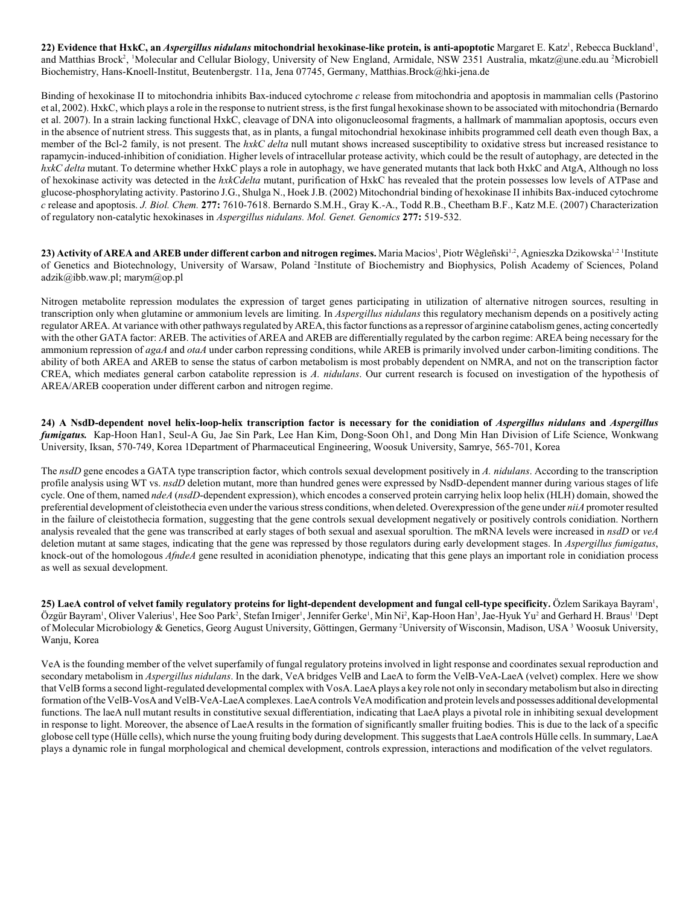22) Evidence that HxkC, an *Aspergillus nidulans* mitochondrial hexokinase-like protein, is anti-apoptotic Margaret E. Katz<sup>1</sup>, Rebecca Buckland<sup>1</sup>, and Matthias Brock<sup>2</sup>, <sup>1</sup>Molecular and Cellular Biology, University of New England, Armidale, NSW 2351 Australia, mkatz@une.edu.au <sup>2</sup>Microbiell Biochemistry, Hans-Knoell-Institut, Beutenbergstr. 11a, Jena 07745, Germany, Matthias.Brock@hki-jena.de

Binding of hexokinase II to mitochondria inhibits Bax-induced cytochrome *c* release from mitochondria and apoptosis in mammalian cells (Pastorino et al, 2002). HxkC, which plays a role in the response to nutrient stress, is the first fungal hexokinase shown to be associated with mitochondria (Bernardo et al. 2007). In a strain lacking functional HxkC, cleavage of DNA into oligonucleosomal fragments, a hallmark of mammalian apoptosis, occurs even in the absence of nutrient stress. This suggests that, as in plants, a fungal mitochondrial hexokinase inhibits programmed cell death even though Bax, a member of the Bcl-2 family, is not present. The *hxkC delta* null mutant shows increased susceptibility to oxidative stress but increased resistance to rapamycin-induced-inhibition of conidiation. Higher levels of intracellular protease activity, which could be the result of autophagy, are detected in the *hxkC delta* mutant. To determine whether HxkC plays a role in autophagy, we have generated mutants that lack both HxkC and AtgA, Although no loss of hexokinase activity was detected in the *hxkCdelta* mutant, purification of HxkC has revealed that the protein possesses low levels of ATPase and glucose-phosphorylating activity. Pastorino J.G., Shulga N., Hoek J.B. (2002) Mitochondrial binding of hexokinase II inhibits Bax-induced cytochrome *c* release and apoptosis. *J. Biol. Chem.* **277:** 7610-7618. Bernardo S.M.H., Gray K.-A., Todd R.B., Cheetham B.F., Katz M.E. (2007) Characterization of regulatory non-catalytic hexokinases in *Aspergillus nidulans. Mol. Genet. Genomics* **277:** 519-532.

**23) Activity of AREA and AREB under different carbon and nitrogen regimes.** Maria Macios<sup>1</sup>, Piotr Wêgleñski<sup>1,2</sup>, Agnieszka Dzikowska<sup>1,2 1</sup>Institute of Genetics and Biotechnology, University of Warsaw, Poland <sup>2</sup>Institute of Biochemistry and Biophysics, Polish Academy of Sciences, Poland adzik@ibb.waw.pl; marym@op.pl

Nitrogen metabolite repression modulates the expression of target genes participating in utilization of alternative nitrogen sources, resulting in transcription only when glutamine or ammonium levels are limiting. In *Aspergillus nidulans* this regulatory mechanism depends on a positively acting regulator AREA. At variance with other pathways regulated by AREA, this factor functions as a repressor of arginine catabolism genes, acting concertedly with the other GATA factor: AREB. The activities of AREA and AREB are differentially regulated by the carbon regime: AREA being necessary for the ammonium repression of *agaA* and *otaA* under carbon repressing conditions, while AREB is primarily involved under carbon-limiting conditions. The ability of both AREA and AREB to sense the status of carbon metabolism is most probably dependent on NMRA, and not on the transcription factor CREA, which mediates general carbon catabolite repression is *A. nidulans*. Our current research is focused on investigation of the hypothesis of AREA/AREB cooperation under different carbon and nitrogen regime.

**24) A NsdD-dependent novel helix-loop-helix transcription factor is necessary for the conidiation of** *Aspergillus nidulans* **and** *Aspergillus fumigatus.* Kap-Hoon Han1, Seul-A Gu, Jae Sin Park, Lee Han Kim, Dong-Soon Oh1, and Dong Min Han Division of Life Science, Wonkwang University, Iksan, 570-749, Korea 1Department of Pharmaceutical Engineering, Woosuk University, Samrye, 565-701, Korea

The *nsdD* gene encodes a GATA type transcription factor, which controls sexual development positively in *A. nidulans*. According to the transcription profile analysis using WT vs. *nsdD* deletion mutant, more than hundred genes were expressed by NsdD-dependent manner during various stages of life cycle. One of them, named *ndeA* (*nsdD*-dependent expression), which encodes a conserved protein carrying helix loop helix (HLH) domain, showed the preferential development of cleistothecia even under the various stress conditions, when deleted. Overexpression of the gene under *niiA* promoter resulted in the failure of cleistothecia formation, suggesting that the gene controls sexual development negatively or positively controls conidiation. Northern analysis revealed that the gene was transcribed at early stages of both sexual and asexual sporultion. The mRNA levels were increased in *nsdD* or *veA* deletion mutant at same stages, indicating that the gene was repressed by those regulators during early development stages. In *Aspergillus fumigatus*, knock-out of the homologous *AfndeA* gene resulted in aconidiation phenotype, indicating that this gene plays an important role in conidiation process as well as sexual development.

**25) LaeA control of velvet family regulatory proteins for light-dependent development and fungal cell-type specificity. Özlem Sarikaya Bayram',** Özgür Bayram<sup>1</sup>, Oliver Valerius<sup>1</sup>, Hee Soo Park<sup>2</sup>, Stefan Irniger<sup>1</sup>, Jennifer Gerke<sup>1</sup>, Min Ni<sup>2</sup>, Kap-Hoon Han<sup>3</sup>, Jae-Hyuk Yu<sup>2</sup> and Gerhard H. Braus<sup>1</sup> 1 Dept of Molecular Microbiology & Genetics, Georg August University, Göttingen, Germany <sup>2</sup>University of Wisconsin, Madison, USA <sup>3</sup> Woosuk University, Wanju, Korea

VeA is the founding member of the velvet superfamily of fungal regulatory proteins involved in light response and coordinates sexual reproduction and secondary metabolism in *Aspergillus nidulans*. In the dark, VeA bridges VelB and LaeA to form the VelB-VeA-LaeA (velvet) complex. Here we show that VelB forms a second light-regulated developmental complex with VosA. LaeA plays a key role not only in secondary metabolism but also in directing formation of the VelB-VosA and VelB-VeA-LaeA complexes. LaeA controls VeA modification and protein levels and possesses additional developmental functions. The laeA null mutant results in constitutive sexual differentiation, indicating that LaeA plays a pivotal role in inhibiting sexual development in response to light. Moreover, the absence of LaeA results in the formation of significantly smaller fruiting bodies. This is due to the lack of a specific globose cell type (Hülle cells), which nurse the young fruiting body during development. This suggests that LaeA controls Hülle cells. In summary, LaeA plays a dynamic role in fungal morphological and chemical development, controls expression, interactions and modification of the velvet regulators.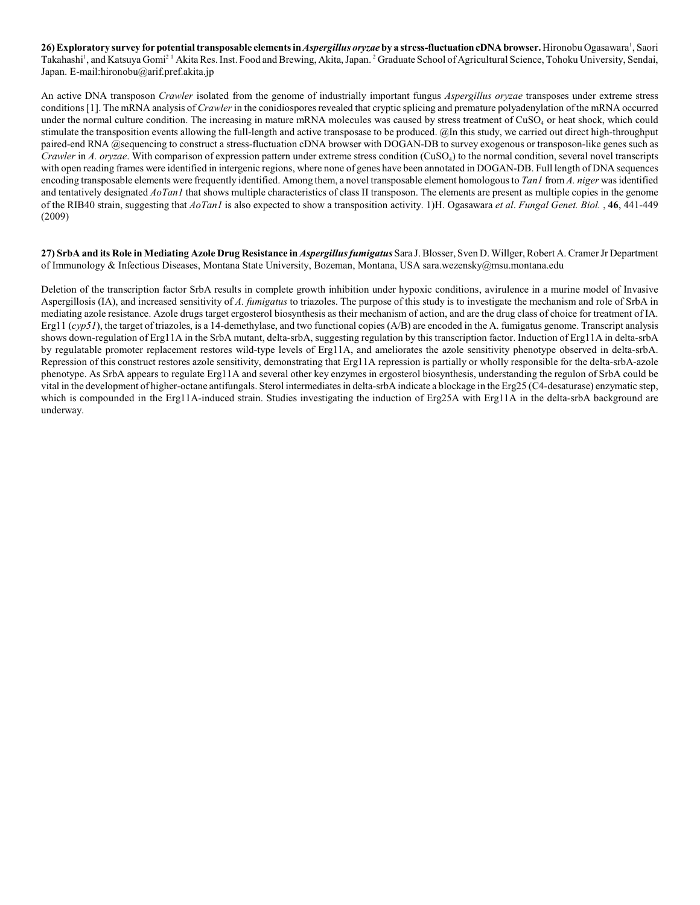**26) Exploratory survey for potential transposable elements in** *Aspergillus oryzae* **by a stress-fluctuation cDNA browser.** Hironobu Ogasawara , Saori <sup>1</sup> Takahashi<sup>1</sup>, and Katsuya Gomi<sup>21</sup> Akita Res. Inst. Food and Brewing, Akita, Japan. <sup>2</sup> Graduate School of Agricultural Science, Tohoku University, Sendai, Japan. E-mail:hironobu@arif.pref.akita.jp

An active DNA transposon *Crawler* isolated from the genome of industrially important fungus *Aspergillus oryzae* transposes under extreme stress conditions [1]. The mRNA analysis of *Crawler* in the conidiospores revealed that cryptic splicing and premature polyadenylation of the mRNA occurred under the normal culture condition. The increasing in mature mRNA molecules was caused by stress treatment of CuSO<sub>4</sub> or heat shock, which could stimulate the transposition events allowing the full-length and active transposase to be produced. @In this study, we carried out direct high-throughput paired-end RNA @sequencing to construct a stress-fluctuation cDNA browser with DOGAN-DB to survey exogenous or transposon-like genes such as *Crawler* in *A. oryzae*. With comparison of expression pattern under extreme stress condition (CuSO<sub>4</sub>) to the normal condition, several novel transcripts with open reading frames were identified in intergenic regions, where none of genes have been annotated in DOGAN-DB. Full length of DNA sequences encoding transposable elements were frequently identified. Among them, a novel transposable element homologous to *Tan1* from *A. niger* was identified and tentatively designated *AoTan1* that shows multiple characteristics of class II transposon. The elements are present as multiple copies in the genome of the RIB40 strain, suggesting that *AoTan1* is also expected to show a transposition activity. 1)H. Ogasawara *et al*. *Fungal Genet. Biol.* , **46**, 441-449 (2009)

**27) SrbA and its Role in Mediating Azole Drug Resistance in** *Aspergillus fumigatus* Sara J.Blosser, Sven D.Willger, Robert A. Cramer Jr Department of Immunology & Infectious Diseases, Montana State University, Bozeman, Montana, USA sara.wezensky@msu.montana.edu

Deletion of the transcription factor SrbA results in complete growth inhibition under hypoxic conditions, avirulence in a murine model of Invasive Aspergillosis (IA), and increased sensitivity of *A. fumigatus* to triazoles. The purpose of this study is to investigate the mechanism and role of SrbA in mediating azole resistance. Azole drugs target ergosterol biosynthesis as their mechanism of action, and are the drug class of choice for treatment of IA. Erg11 (*cyp51*), the target of triazoles, is a 14-demethylase, and two functional copies (A/B) are encoded in the A. fumigatus genome. Transcript analysis shows down-regulation of Erg11A in the SrbA mutant, delta-srbA, suggesting regulation by this transcription factor. Induction of Erg11A in delta-srbA by regulatable promoter replacement restores wild-type levels of Erg11A, and ameliorates the azole sensitivity phenotype observed in delta-srbA. Repression of this construct restores azole sensitivity, demonstrating that Erg11A repression is partially or wholly responsible for the delta-srbA-azole phenotype. As SrbA appears to regulate Erg11A and several other key enzymes in ergosterol biosynthesis, understanding the regulon of SrbA could be vital in the development of higher-octane antifungals. Sterol intermediates in delta-srbA indicate a blockage in the Erg25 (C4-desaturase) enzymatic step, which is compounded in the Erg11A-induced strain. Studies investigating the induction of Erg25A with Erg11A in the delta-srbA background are underway.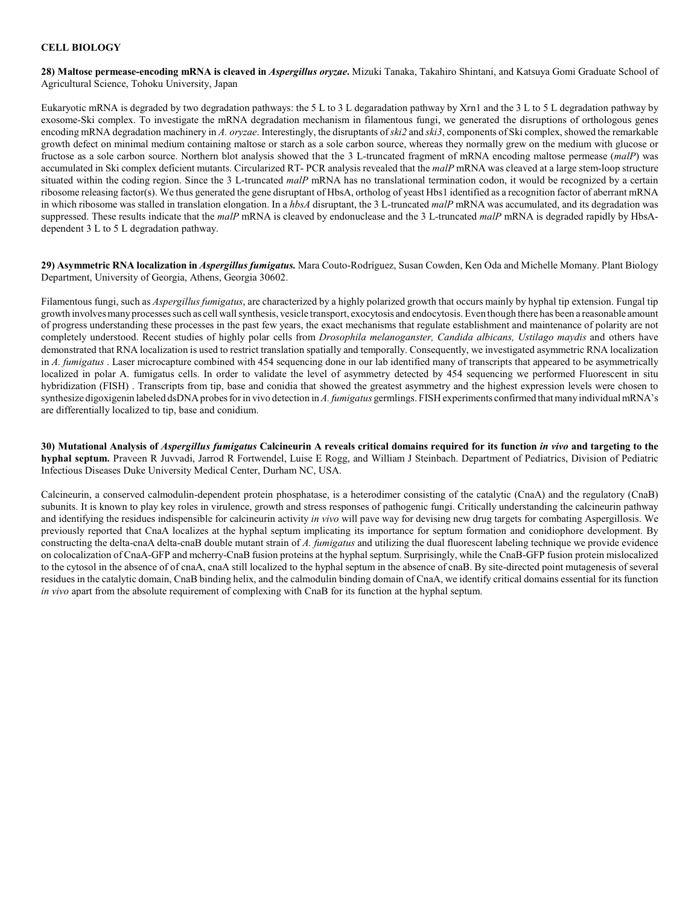#### **CELL BIOLOGY**

**28) Maltose permease-encoding mRNA is cleaved in** *Aspergillus oryzae***.** Mizuki Tanaka, Takahiro Shintani, and Katsuya Gomi Graduate School of Agricultural Science, Tohoku University, Japan

Eukaryotic mRNA is degraded by two degradation pathways: the 5 L to 3 L degaradation pathway by Xrn1 and the 3 L to 5 L degradation pathway by exosome-Ski complex. To investigate the mRNA degradation mechanism in filamentous fungi, we generated the disruptions of orthologous genes encoding mRNA degradation machinery in *A. oryzae*. Interestingly, the disruptants of *ski2* and *ski3*, components of Ski complex, showed the remarkable growth defect on minimal medium containing maltose or starch as a sole carbon source, whereas they normally grew on the medium with glucose or fructose as a sole carbon source. Northern blot analysis showed that the 3 L-truncated fragment of mRNA encoding maltose permease (*malP*) was accumulated in Ski complex deficient mutants. Circularized RT- PCR analysis revealed that the *malP* mRNA was cleaved at a large stem-loop structure situated within the coding region. Since the 3 L-truncated *malP* mRNA has no translational termination codon, it would be recognized by a certain ribosome releasing factor(s). We thus generated the gene disruptant of HbsA, ortholog of yeast Hbs1 identified as a recognition factor of aberrant mRNA in which ribosome was stalled in translation elongation. In a *hbsA* disruptant, the 3 L-truncated *malP* mRNA was accumulated, and its degradation was suppressed. These results indicate that the *malP* mRNA is cleaved by endonuclease and the 3 L-truncated *malP* mRNA is degraded rapidly by HbsAdependent 3 L to 5 L degradation pathway.

**29) Asymmetric RNA localization in** *Aspergillus fumigatus.* Mara Couto-Rodríguez, Susan Cowden, Ken Oda and Michelle Momany. Plant Biology Department, University of Georgia, Athens, Georgia 30602.

Filamentous fungi, such as *Aspergillus fumigatus*, are characterized by a highly polarized growth that occurs mainly by hyphal tip extension. Fungal tip growth involves many processes such as cell wall synthesis, vesicle transport, exocytosis and endocytosis. Even though there has been a reasonable amount of progress understanding these processes in the past few years, the exact mechanisms that regulate establishment and maintenance of polarity are not completely understood. Recent studies of highly polar cells from *Drosophila melanoganster, Candida albicans, Ustilago maydis* and others have demonstrated that RNA localization is used to restrict translation spatially and temporally. Consequently, we investigated asymmetric RNA localization in *A. fumigatus* . Laser microcapture combined with 454 sequencing done in our lab identified many of transcripts that appeared to be asymmetrically localized in polar A. fumigatus cells. In order to validate the level of asymmetry detected by 454 sequencing we performed Fluorescent in situ hybridization (FISH) . Transcripts from tip, base and conidia that showed the greatest asymmetry and the highest expression levels were chosen to synthesize digoxigenin labeled dsDNA probes for in vivo detection in *A. fumigatus* germlings. FISH experiments confirmed that many individual mRNA's are differentially localized to tip, base and conidium.

**30) Mutational Analysis of** *Aspergillus fumigatus* **Calcineurin A reveals critical domains required for its function** *in vivo* **and targeting to the hyphal septum.** Praveen R Juvvadi, Jarrod R Fortwendel, Luise E Rogg, and William J Steinbach. Department of Pediatrics, Division of Pediatric Infectious Diseases Duke University Medical Center, Durham NC, USA.

Calcineurin, a conserved calmodulin-dependent protein phosphatase, is a heterodimer consisting of the catalytic (CnaA) and the regulatory (CnaB) subunits. It is known to play key roles in virulence, growth and stress responses of pathogenic fungi. Critically understanding the calcineurin pathway and identifying the residues indispensible for calcineurin activity *in vivo* will pave way for devising new drug targets for combating Aspergillosis. We previously reported that CnaA localizes at the hyphal septum implicating its importance for septum formation and conidiophore development. By constructing the delta-cnaA delta-cnaB double mutant strain of *A. fumigatus* and utilizing the dual fluorescent labeling technique we provide evidence on colocalization of CnaA-GFP and mcherry-CnaB fusion proteins at the hyphal septum. Surprisingly, while the CnaB-GFP fusion protein mislocalized to the cytosol in the absence of of cnaA, cnaA still localized to the hyphal septum in the absence of cnaB. By site-directed point mutagenesis of several residues in the catalytic domain, CnaB binding helix, and the calmodulin binding domain of CnaA, we identify critical domains essential for its function *in vivo* apart from the absolute requirement of complexing with CnaB for its function at the hyphal septum.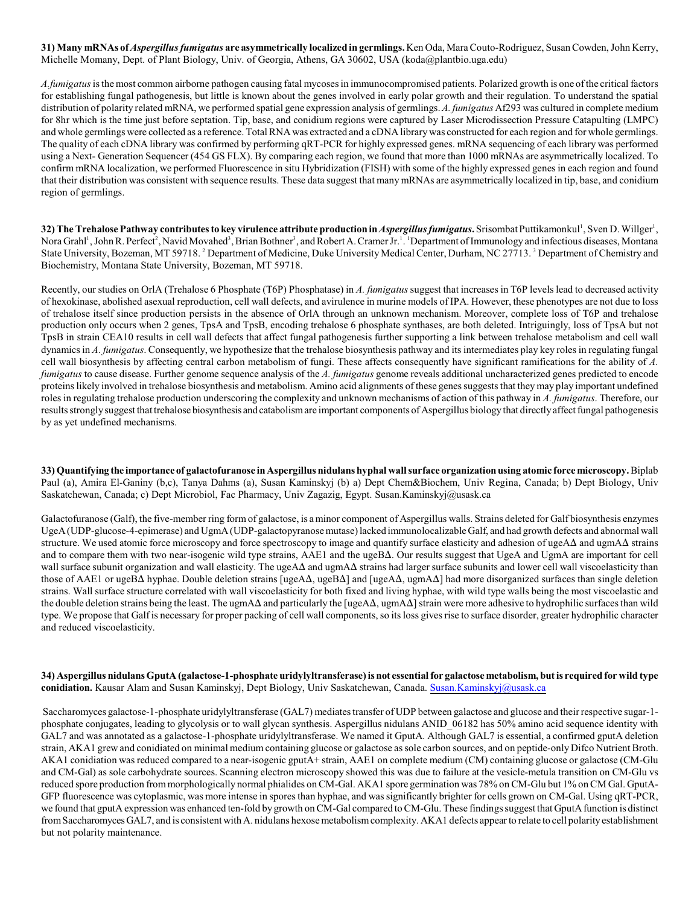**31) Many mRNAs of** *Aspergillus fumigatus* **are asymmetrically localized in germlings.** Ken Oda, Mara Couto-Rodriguez, Susan Cowden, John Kerry, Michelle Momany, Dept. of Plant Biology, Univ. of Georgia, Athens, GA 30602, USA (koda@plantbio.uga.edu)

*A.fumigatus* is the most common airborne pathogen causing fatal mycoses in immunocompromised patients. Polarized growth is one ofthe critical factors for establishing fungal pathogenesis, but little is known about the genes involved in early polar growth and their regulation. To understand the spatial distribution of polarity related mRNA, we performed spatial gene expression analysis of germlings. *A. fumigatus* Af293 was cultured in complete medium for 8hr which is the time just before septation. Tip, base, and conidium regions were captured by Laser Microdissection Pressure Catapulting (LMPC) and whole germlings were collected as a reference. Total RNA was extracted and a cDNA library was constructed for each region and for whole germlings. The quality of each cDNA library was confirmed by performing qRT-PCR for highly expressed genes. mRNA sequencing of each library was performed using a Next- Generation Sequencer (454 GS FLX). By comparing each region, we found that more than 1000 mRNAs are asymmetrically localized. To confirm mRNA localization, we performed Fluorescence in situ Hybridization (FISH) with some of the highly expressed genes in each region and found that their distribution was consistent with sequence results. These data suggest that many mRNAs are asymmetrically localized in tip, base, and conidium region of germlings.

32) The Trehalose Pathway contributes to key virulence attribute production in *Aspergillus fumigatus*. Srisombat Puttikamonkul', Sven D. Willger', Nora Grahl<sup>1</sup>, John R. Perfect<sup>2</sup>, Navid Movahed<sup>3</sup>, Brian Bothner<sup>3</sup>, and Robert A. Cramer Jr.<sup>1</sup>. <sup>1</sup> Department of Immunology and infectious diseases, Montana State University, Bozeman, MT 59718. <sup>2</sup> Department of Medicine, Duke University Medical Center, Durham, NC 27713. <sup>3</sup> Department of Chemistry and Biochemistry, Montana State University, Bozeman, MT 59718.

Recently, our studies on OrlA (Trehalose 6 Phosphate (T6P) Phosphatase) in *A. fumigatus* suggest that increases in T6P levels lead to decreased activity of hexokinase, abolished asexual reproduction, cell wall defects, and avirulence in murine models of IPA. However, these phenotypes are not due to loss of trehalose itself since production persists in the absence of OrlA through an unknown mechanism. Moreover, complete loss of T6P and trehalose production only occurs when 2 genes, TpsA and TpsB, encoding trehalose 6 phosphate synthases, are both deleted. Intriguingly, loss of TpsA but not TpsB in strain CEA10 results in cell wall defects that affect fungal pathogenesis further supporting a link between trehalose metabolism and cell wall dynamics in *A. fumigatus*. Consequently, we hypothesize that the trehalose biosynthesis pathway and its intermediates play key roles in regulating fungal cell wall biosynthesis by affecting central carbon metabolism of fungi. These affects consequently have significant ramifications for the ability of *A. fumigatus* to cause disease. Further genome sequence analysis of the *A. fumigatus* genome reveals additional uncharacterized genes predicted to encode proteins likely involved in trehalose biosynthesis and metabolism. Amino acid alignments of these genes suggests that they may play important undefined roles in regulating trehalose production underscoring the complexity and unknown mechanisms of action of this pathway in *A. fumigatus*. Therefore, our results strongly suggest that trehalose biosynthesis and catabolism are important components of Aspergillus biology that directly affect fungal pathogenesis by as yet undefined mechanisms.

**33) Quantifying the importance of galactofuranose in Aspergillus nidulans hyphal wall surface organization using atomic force microscopy.** Biplab Paul (a), Amira El-Ganiny (b,c), Tanya Dahms (a), Susan Kaminskyj (b) a) Dept Chem&Biochem, Univ Regina, Canada; b) Dept Biology, Univ Saskatchewan, Canada; c) Dept Microbiol, Fac Pharmacy, Univ Zagazig, Egypt. Susan.Kaminskyj@usask.ca

Galactofuranose (Galf), the five-member ring form of galactose, is a minor component of Aspergillus walls. Strains deleted for Galf biosynthesis enzymes UgeA (UDP-glucose-4-epimerase) and UgmA (UDP-galactopyranose mutase) lacked immunolocalizable Galf, and had growth defects and abnormal wall structure. We used atomic force microscopy and force spectroscopy to image and quantify surface elasticity and adhesion of ugeA $\Delta$  and ugmA $\Delta$  strains and to compare them with two near-isogenic wild type strains, AAE1 and the ugeB $\Delta$ . Our results suggest that UgeA and UgmA are important for cell wall surface subunit organization and wall elasticity. The ugeA $\Delta$  and ugmA $\Delta$  strains had larger surface subunits and lower cell wall viscoelasticity than those of AAE1 or ugeB $\Delta$  hyphae. Double deletion strains [ugeA $\Delta$ , ugeB $\Delta$ ] and [ugeA $\Delta$ , ugmA $\Delta$ ] had more disorganized surfaces than single deletion strains. Wall surface structure correlated with wall viscoelasticity for both fixed and living hyphae, with wild type walls being the most viscoelastic and the double deletion strains being the least. The ugmA $\Delta$  and particularly the [ugeA $\Delta$ , ugmA $\Delta$ ] strain were more adhesive to hydrophilic surfaces than wild type. We propose that Galf is necessary for proper packing of cell wall components, so its loss gives rise to surface disorder, greater hydrophilic character and reduced viscoelasticity.

**34) Aspergillus nidulans GputA (galactose-1-phosphate uridylyltransferase) is not essential for galactose metabolism, but is required for wild type conidiation.** Kausar Alam and Susan Kaminskyj, Dept Biology, Univ Saskatchewan, Canada. [Susan.Kaminskyj@usask.ca](mailto:Susan.Kaminskyj@usask.ca)

 Saccharomyces galactose-1-phosphate uridylyltransferase (GAL7) mediates transfer of UDP between galactose and glucose and their respective sugar-1 phosphate conjugates, leading to glycolysis or to wall glycan synthesis. Aspergillus nidulans ANID\_06182 has 50% amino acid sequence identity with GAL7 and was annotated as a galactose-1-phosphate uridylyltransferase. We named it GputA. Although GAL7 is essential, a confirmed gputA deletion strain, AKA1 grew and conidiated on minimal medium containing glucose or galactose as sole carbon sources, and on peptide-only Difco Nutrient Broth. AKA1 conidiation was reduced compared to a near-isogenic gputA+ strain, AAE1 on complete medium (CM) containing glucose or galactose (CM-Glu and CM-Gal) as sole carbohydrate sources. Scanning electron microscopy showed this was due to failure at the vesicle-metula transition on CM-Glu vs reduced spore production from morphologically normal phialides on CM-Gal. AKA1 spore germination was 78% on CM-Glu but 1% on CM Gal. GputA-GFP fluorescence was cytoplasmic, was more intense in spores than hyphae, and was significantly brighter for cells grown on CM-Gal. Using qRT-PCR, we found that gputA expression was enhanced ten-fold by growth on CM-Gal compared to CM-Glu. These findings suggest that GputA function is distinct from Saccharomyces GAL7, and is consistent with A. nidulans hexose metabolism complexity. AKA1 defects appear to relate to cell polarity establishment but not polarity maintenance.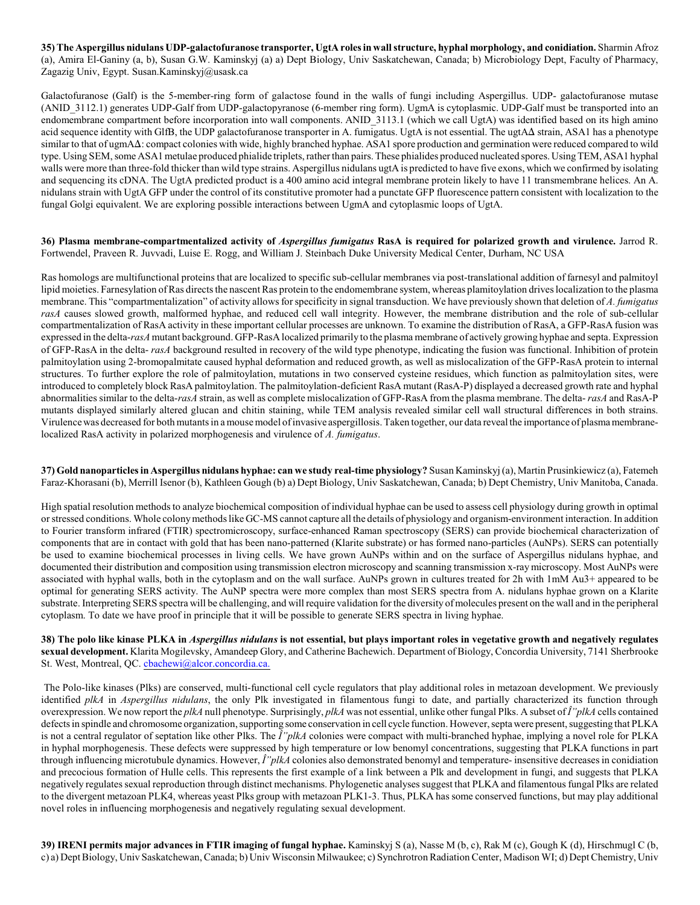**35) The Aspergillus nidulans UDP-galactofuranose transporter, UgtA roles in wall structure, hyphal morphology, and conidiation.** Sharmin Afroz (a), Amira El-Ganiny (a, b), Susan G.W. Kaminskyj (a) a) Dept Biology, Univ Saskatchewan, Canada; b) Microbiology Dept, Faculty of Pharmacy, Zagazig Univ, Egypt. Susan.Kaminskyj@usask.ca

Galactofuranose (Galf) is the 5-member-ring form of galactose found in the walls of fungi including Aspergillus. UDP- galactofuranose mutase (ANID\_3112.1) generates UDP-Galf from UDP-galactopyranose (6-member ring form). UgmA is cytoplasmic. UDP-Galf must be transported into an endomembrane compartment before incorporation into wall components. ANID\_3113.1 (which we call UgtA) was identified based on its high amino acid sequence identity with GlfB, the UDP galactofuranose transporter in A. fumigatus. UgtA is not essential. The ugtA $\Delta$  strain, ASA1 has a phenotype similar to that of ugmA $\Delta$ : compact colonies with wide, highly branched hyphae. ASA1 spore production and germination were reduced compared to wild type. Using SEM, some ASA1 metulae produced phialide triplets, rather than pairs. These phialides produced nucleated spores. Using TEM, ASA1 hyphal walls were more than three-fold thicker than wild type strains. Aspergillus nidulans ugtA is predicted to have five exons, which we confirmed by isolating and sequencing its cDNA. The UgtA predicted product is a 400 amino acid integral membrane protein likely to have 11 transmembrane helices. An A. nidulans strain with UgtA GFP under the control of its constitutive promoter had a punctate GFP fluorescence pattern consistent with localization to the fungal Golgi equivalent. We are exploring possible interactions between UgmA and cytoplasmic loops of UgtA.

**36) Plasma membrane-compartmentalized activity of** *Aspergillus fumigatus* **RasA is required for polarized growth and virulence.** Jarrod R. Fortwendel, Praveen R. Juvvadi, Luise E. Rogg, and William J. Steinbach Duke University Medical Center, Durham, NC USA

Ras homologs are multifunctional proteins that are localized to specific sub-cellular membranes via post-translational addition of farnesyl and palmitoyl lipid moieties. Farnesylation of Ras directs the nascent Ras protein to the endomembrane system, whereas plamitoylation drives localization to the plasma membrane. This "compartmentalization" of activity allows for specificity in signal transduction. We have previously shown that deletion of *A. fumigatus rasA* causes slowed growth, malformed hyphae, and reduced cell wall integrity. However, the membrane distribution and the role of sub-cellular compartmentalization of RasA activity in these important cellular processes are unknown. To examine the distribution of RasA, a GFP-RasA fusion was expressed in the delta-*rasA* mutant background. GFP-RasA localized primarily to the plasma membrane of actively growing hyphae and septa. Expression of GFP-RasA in the delta- *rasA* background resulted in recovery of the wild type phenotype, indicating the fusion was functional. Inhibition of protein palmitoylation using 2-bromopalmitate caused hyphal deformation and reduced growth, as well as mislocalization of the GFP-RasA protein to internal structures. To further explore the role of palmitoylation, mutations in two conserved cysteine residues, which function as palmitoylation sites, were introduced to completely block RasA palmitoylation. The palmitoylation-deficient RasA mutant (RasA-P) displayed a decreased growth rate and hyphal abnormalities similar to the delta-*rasA* strain, as well as complete mislocalization of GFP-RasA from the plasma membrane. The delta- *rasA* and RasA-P mutants displayed similarly altered glucan and chitin staining, while TEM analysis revealed similar cell wall structural differences in both strains. Virulence was decreased for both mutants in a mouse model of invasive aspergillosis. Taken together, our data reveal the importance of plasma membranelocalized RasA activity in polarized morphogenesis and virulence of *A. fumigatus*.

**37) Gold nanoparticles in Aspergillus nidulans hyphae: can we study real-time physiology?** Susan Kaminskyj (a), Martin Prusinkiewicz (a), Fatemeh Faraz-Khorasani (b), Merrill Isenor (b), Kathleen Gough (b) a) Dept Biology, Univ Saskatchewan, Canada; b) Dept Chemistry, Univ Manitoba, Canada.

High spatial resolution methods to analyze biochemical composition of individual hyphae can be used to assess cell physiology during growth in optimal or stressed conditions. Whole colonymethods like GC-MS cannot capture all the details of physiology and organism-environment interaction. In addition to Fourier transform infrared (FTIR) spectromicroscopy, surface-enhanced Raman spectroscopy (SERS) can provide biochemical characterization of components that are in contact with gold that has been nano-patterned (Klarite substrate) or has formed nano-particles (AuNPs). SERS can potentially be used to examine biochemical processes in living cells. We have grown AuNPs within and on the surface of Aspergillus nidulans hyphae, and documented their distribution and composition using transmission electron microscopy and scanning transmission x-ray microscopy. Most AuNPs were associated with hyphal walls, both in the cytoplasm and on the wall surface. AuNPs grown in cultures treated for 2h with 1mM Au3+ appeared to be optimal for generating SERS activity. The AuNP spectra were more complex than most SERS spectra from A. nidulans hyphae grown on a Klarite substrate. Interpreting SERS spectra will be challenging, and will require validation for the diversity of molecules present on the wall and in the peripheral cytoplasm. To date we have proof in principle that it will be possible to generate SERS spectra in living hyphae.

**38) The polo like kinase PLKA in** *Aspergillus nidulans* **is not essential, but plays important roles in vegetative growth and negatively regulates sexual development.** Klarita Mogilevsky, Amandeep Glory, and Catherine Bachewich. Department of Biology, Concordia University, 7141 Sherbrooke St. West, Montreal, QC. [cbachewi@alcor.concordia.ca.](mailto:cbachewi@alcor.concordia.ca.)

 The Polo-like kinases (Plks) are conserved, multi-functional cell cycle regulators that play additional roles in metazoan development. We previously identified *plkA* in *Aspergillus nidulans*, the only Plk investigated in filamentous fungi to date, and partially characterized its function through overexpression. We now report the *plkA* null phenotype. Surprisingly, *plkA* was not essential, unlike other fungal Plks. A subset of *ΔplkA* cells contained defects in spindle and chromosome organization, supporting some conservation in cell cycle function. However, septa were present, suggesting that PLKA is not a central regulator of septation like other Plks. The  $\hat{I}^{\prime}$ *plkA* colonies were compact with multi-branched hyphae, implying a novel role for PLKA in hyphal morphogenesis. These defects were suppressed by high temperature or low benomyl concentrations, suggesting that PLKA functions in part through influencing microtubule dynamics. However,  $\hat{I}''$ plkA colonies also demonstrated benomyl and temperature- insensitive decreases in conidiation and precocious formation of Hulle cells. This represents the first example of a link between a Plk and development in fungi, and suggests that PLKA negatively regulates sexual reproduction through distinct mechanisms. Phylogenetic analyses suggest that PLKA and filamentous fungal Plks are related to the divergent metazoan PLK4, whereas yeast Plks group with metazoan PLK1-3. Thus, PLKA has some conserved functions, but may play additional novel roles in influencing morphogenesis and negatively regulating sexual development.

**39) IRENI permits major advances in FTIR imaging of fungal hyphae.** Kaminskyj S (a), Nasse M (b, c), Rak M (c), Gough K (d), Hirschmugl C (b, c) a) Dept Biology, Univ Saskatchewan, Canada; b) Univ Wisconsin Milwaukee; c) Synchrotron Radiation Center, Madison WI; d) Dept Chemistry, Univ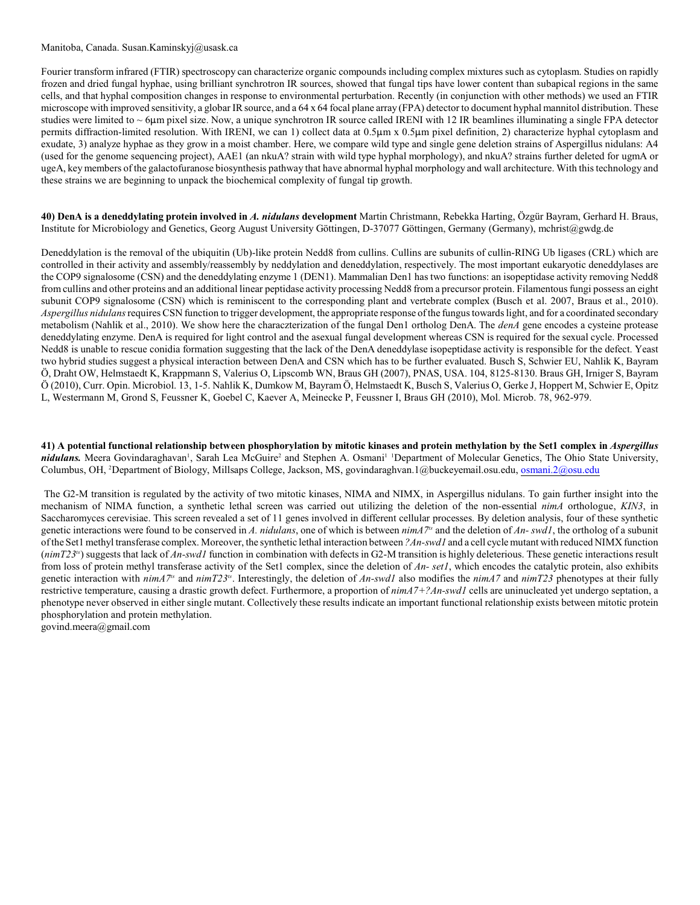#### Manitoba, Canada. Susan.Kaminskyj@usask.ca

Fourier transform infrared (FTIR) spectroscopy can characterize organic compounds including complex mixtures such as cytoplasm. Studies on rapidly frozen and dried fungal hyphae, using brilliant synchrotron IR sources, showed that fungal tips have lower content than subapical regions in the same cells, and that hyphal composition changes in response to environmental perturbation. Recently (in conjunction with other methods) we used an FTIR microscope with improved sensitivity, a globar IR source, and a 64 x 64 focal plane array (FPA) detector to document hyphal mannitol distribution. These studies were limited to  $\sim$  6 $\mu$ m pixel size. Now, a unique synchrotron IR source called IRENI with 12 IR beamlines illuminating a single FPA detector permits diffraction-limited resolution. With IRENI, we can 1) collect data at  $0.5\mu$ m x  $0.5\mu$ m pixel definition, 2) characterize hyphal cytoplasm and exudate, 3) analyze hyphae as they grow in a moist chamber. Here, we compare wild type and single gene deletion strains of Aspergillus nidulans: A4 (used for the genome sequencing project), AAE1 (an nkuA? strain with wild type hyphal morphology), and nkuA? strains further deleted for ugmA or ugeA, key members of the galactofuranose biosynthesis pathway that have abnormal hyphal morphology and wall architecture. With this technology and these strains we are beginning to unpack the biochemical complexity of fungal tip growth.

**40) DenA is a deneddylating protein involved in** *A. nidulans* **development** Martin Christmann, Rebekka Harting, Özgür Bayram, Gerhard H. Braus, Institute for Microbiology and Genetics, Georg August University Göttingen, D-37077 Göttingen, Germany (Germany), mchrist@gwdg.de

Deneddylation is the removal of the ubiquitin (Ub)-like protein Nedd8 from cullins. Cullins are subunits of cullin-RING Ub ligases (CRL) which are controlled in their activity and assembly/reassembly by neddylation and deneddylation, respectively. The most important eukaryotic deneddylases are the COP9 signalosome (CSN) and the deneddylating enzyme 1 (DEN1). Mammalian Den1 has two functions: an isopeptidase activity removing Nedd8 from cullins and other proteins and an additional linear peptidase activity processing Nedd8 from a precursor protein. Filamentous fungi possess an eight subunit COP9 signalosome (CSN) which is reminiscent to the corresponding plant and vertebrate complex (Busch et al. 2007, Braus et al., 2010). *Aspergillus nidulans* requires CSN function to trigger development, the appropriate response ofthe fungus towards light, and for a coordinated secondary metabolism (Nahlik et al., 2010). We show here the characzterization of the fungal Den1 ortholog DenA. The *denA* gene encodes a cysteine protease deneddylating enzyme. DenA is required for light control and the asexual fungal development whereas CSN is required for the sexual cycle. Processed Nedd8 is unable to rescue conidia formation suggesting that the lack of the DenA deneddylase isopeptidase activity is responsible for the defect. Yeast two hybrid studies suggest a physical interaction between DenA and CSN which has to be further evaluated. Busch S, Schwier EU, Nahlik K, Bayram Ö, Draht OW, Helmstaedt K, Krappmann S, Valerius O, Lipscomb WN, Braus GH (2007), PNAS, USA. 104, 8125-8130. Braus GH, Irniger S, Bayram Ö (2010), Curr. Opin. Microbiol. 13, 1-5. Nahlik K, Dumkow M, Bayram Ö, Helmstaedt K, Busch S, Valerius O, Gerke J, Hoppert M, Schwier E, Opitz L, Westermann M, Grond S, Feussner K, Goebel C, Kaever A, Meinecke P, Feussner I, Braus GH (2010), Mol. Microb. 78, 962-979.

**41) A potential functional relationship between phosphorylation by mitotic kinases and protein methylation by the Set1 complex in** *Aspergillus* nidulans. Meera Govindaraghavan<sup>1</sup>, Sarah Lea McGuire<sup>2</sup> and Stephen A. Osmani<sup>1</sup> <sup>1</sup>Department of Molecular Genetics, The Ohio State University, Columbus, OH, <sup>2</sup>Department of Biology, Millsaps College, Jackson, MS, govindaraghvan.1@buckeyemail.osu.edu, [osmani.2@osu.edu](mailto:osmani.2@osu.edu)

 The G2-M transition is regulated by the activity of two mitotic kinases, NIMA and NIMX, in Aspergillus nidulans. To gain further insight into the mechanism of NIMA function, a synthetic lethal screen was carried out utilizing the deletion of the non-essential *nimA* orthologue, *KIN3*, in Saccharomyces cerevisiae. This screen revealed a set of 11 genes involved in different cellular processes. By deletion analysis, four of these synthetic genetic interactions were found to be conserved in *A. nidulans*, one of which is between  $nimA^{7s}$  and the deletion of *An-swd1*, the ortholog of a subunit of the Set1 methyl transferase complex. Moreover, the synthetic lethal interaction between *?An-swd1* and a cell cycle mutant with reduced NIMX function (*nimT23<sup>ts</sup>*) suggests that lack of *An-swd1* function in combination with defects in G2-M transition is highly deleterious. These genetic interactions result from loss of protein methyl transferase activity of the Set1 complex, since the deletion of *An- set1*, which encodes the catalytic protein, also exhibits genetic interaction with  $nimT3<sup>ts</sup>$  and  $nimT23<sup>ts</sup>$ . Interestingly, the deletion of *An-swd1* also modifies the  $nimT3$  and  $nimT23$  phenotypes at their fully restrictive temperature, causing a drastic growth defect. Furthermore, a proportion of *nimA7+?An-swd1* cells are uninucleated yet undergo septation, a phenotype never observed in either single mutant. Collectively these results indicate an important functional relationship exists between mitotic protein phosphorylation and protein methylation.

govind.meera@gmail.com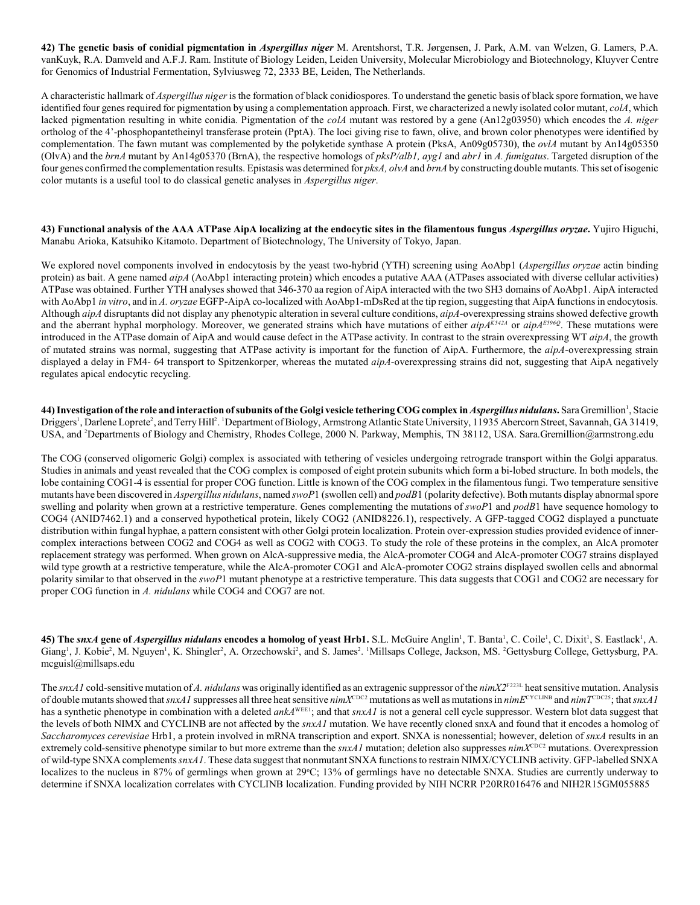**42) The genetic basis of conidial pigmentation in** *Aspergillus niger* M. Arentshorst, T.R. Jørgensen, J. Park, A.M. van Welzen, G. Lamers, P.A. vanKuyk, R.A. Damveld and A.F.J. Ram. Institute of Biology Leiden, Leiden University, Molecular Microbiology and Biotechnology, Kluyver Centre for Genomics of Industrial Fermentation, Sylviusweg 72, 2333 BE, Leiden, The Netherlands.

A characteristic hallmark of *Aspergillus niger* is the formation of black conidiospores. To understand the genetic basis of black spore formation, we have identified four genes required for pigmentation by using a complementation approach. First, we characterized a newly isolated color mutant, *colA*, which lacked pigmentation resulting in white conidia. Pigmentation of the *colA* mutant was restored by a gene (An12g03950) which encodes the *A. niger* ortholog of the 4'-phosphopantetheinyl transferase protein (PptA). The loci giving rise to fawn, olive, and brown color phenotypes were identified by complementation. The fawn mutant was complemented by the polyketide synthase A protein (PksA, An09g05730), the *ovlA* mutant by An14g05350 (OlvA) and the *brnA* mutant by An14g05370 (BrnA), the respective homologs of *pksP/alb1, ayg1* and *abr1* in *A. fumigatus*. Targeted disruption of the four genes confirmed the complementation results. Epistasis was determined for *pksA, olvA* and *brnA* by constructing double mutants. This set of isogenic color mutants is a useful tool to do classical genetic analyses in *Aspergillus niger*.

**43) Functional analysis of the AAA ATPase AipA localizing at the endocytic sites in the filamentous fungus** *Aspergillus oryzae***.** Yujiro Higuchi, Manabu Arioka, Katsuhiko Kitamoto. Department of Biotechnology, The University of Tokyo, Japan.

We explored novel components involved in endocytosis by the yeast two-hybrid (YTH) screening using AoAbp1 (*Aspergillus oryzae* actin binding protein) as bait. A gene named *aipA* (AoAbp1 interacting protein) which encodes a putative AAA (ATPases associated with diverse cellular activities) ATPase was obtained. Further YTH analyses showed that 346-370 aa region of AipA interacted with the two SH3 domains of AoAbp1. AipA interacted with AoAbp1 *in vitro*, and in *A. oryzae* EGFP-AipA co-localized with AoAbp1-mDsRed at the tip region, suggesting that AipA functions in endocytosis. Although *aipA* disruptants did not display any phenotypic alteration in several culture conditions, *aipA*-overexpressing strains showed defective growth and the aberrant hyphal morphology. Moreover, we generated strains which have mutations of either *aipA<sup>K542A</sup>* or  $aipA<sup>ES96Q</sup>$ . These mutations were introduced in the ATPase domain of AipA and would cause defect in the ATPase activity. In contrast to the strain overexpressing WT *aipA*, the growth of mutated strains was normal, suggesting that ATPase activity is important for the function of AipA. Furthermore, the *aipA*-overexpressing strain displayed a delay in FM4- 64 transport to Spitzenkorper, whereas the mutated *aipA*-overexpressing strains did not, suggesting that AipA negatively regulates apical endocytic recycling.

**44) Investigation of the role and interaction of subunits of the Golgi vesicle tethering COG complex in** *Aspergillus nidulans***.** Sara Gremillion , Stacie <sup>1</sup> Driggers<sup>1</sup>, Darlene Loprete<sup>2</sup>, and Terry Hill<sup>2</sup>. <sup>1</sup>Department of Biology, Armstrong Atlantic State University, 11935 Abercorn Street, Savannah, GA 31419, USA, and <sup>2</sup>Departments of Biology and Chemistry, Rhodes College, 2000 N. Parkway, Memphis, TN 38112, USA. Sara.Gremillion@armstrong.edu

The COG (conserved oligomeric Golgi) complex is associated with tethering of vesicles undergoing retrograde transport within the Golgi apparatus. Studies in animals and yeast revealed that the COG complex is composed of eight protein subunits which form a bi-lobed structure. In both models, the lobe containing COG1-4 is essential for proper COG function. Little is known of the COG complex in the filamentous fungi. Two temperature sensitive mutants have been discovered in *Aspergillus nidulans*, named *swoP*1 (swollen cell) and *podB*1 (polarity defective). Both mutants display abnormal spore swelling and polarity when grown at a restrictive temperature. Genes complementing the mutations of *swoP*1 and *podB*1 have sequence homology to COG4 (ANID7462.1) and a conserved hypothetical protein, likely COG2 (ANID8226.1), respectively. A GFP-tagged COG2 displayed a punctuate distribution within fungal hyphae, a pattern consistent with other Golgi protein localization. Protein over-expression studies provided evidence of innercomplex interactions between COG2 and COG4 as well as COG2 with COG3. To study the role of these proteins in the complex, an AlcA promoter replacement strategy was performed. When grown on AlcA-suppressive media, the AlcA-promoter COG4 and AlcA-promoter COG7 strains displayed wild type growth at a restrictive temperature, while the AlcA-promoter COG1 and AlcA-promoter COG2 strains displayed swollen cells and abnormal polarity similar to that observed in the *swoP*1 mutant phenotype at a restrictive temperature. This data suggests that COG1 and COG2 are necessary for proper COG function in *A. nidulans* while COG4 and COG7 are not.

**45) The** *snxA* gene of *Aspergillus nidulans* encodes a homolog of yeast Hrb1. S.L. McGuire Anglin<sup>1</sup>, T. Banta<sup>1</sup>, C. Coile<sup>1</sup>, C. Dixit<sup>1</sup>, S. Eastlack<sup>1</sup>, A. Giang<sup>1</sup>, J. Kobie<sup>2</sup>, M. Nguyen<sup>1</sup>, K. Shingler<sup>2</sup>, A. Orzechowski<sup>2</sup>, and S. James<sup>2</sup>. <sup>1</sup>Millsaps College, Jackson, MS. <sup>2</sup>Gettysburg College, Gettysburg, PA. mcguisl@millsaps.edu

The snxA1 cold-sensitive mutation of A. nidulans was originally identified as an extragenic suppressor of the nimX2<sup>F223L</sup> heat sensitive mutation. Analysis of double mutants showed that  $snxA1$  suppresses all three heat sensitive  $nimX^{CDC2}$  mutations as well as mutations in  $nimE^{CCCINB}$  and  $nimT^{CDC25}$ ; that  $snxAI$ has a synthetic phenotype in combination with a deleted ankA<sup>WEE1</sup>; and that snxA1 is not a general cell cycle suppressor. Western blot data suggest that the levels of both NIMX and CYCLINB are not affected by the *snxA1* mutation. We have recently cloned snxA and found that it encodes a homolog of *Saccharomyces cerevisiae* Hrb1, a protein involved in mRNA transcription and export. SNXA is nonessential; however, deletion of *snxA* results in an extremely cold-sensitive phenotype similar to but more extreme than the  $snxAI$  mutation; deletion also suppresses  $nimX^{CDC2}$  mutations. Overexpression of wild-type SNXA complements *snxA1*. These data suggest that nonmutant SNXA functions to restrain NIMX/CYCLINB activity. GFP-labelled SNXA localizes to the nucleus in 87% of germlings when grown at  $29^{\circ}C$ ; 13% of germlings have no detectable SNXA. Studies are currently underway to determine if SNXA localization correlates with CYCLINB localization. Funding provided by NIH NCRR P20RR016476 and NIH2R15GM055885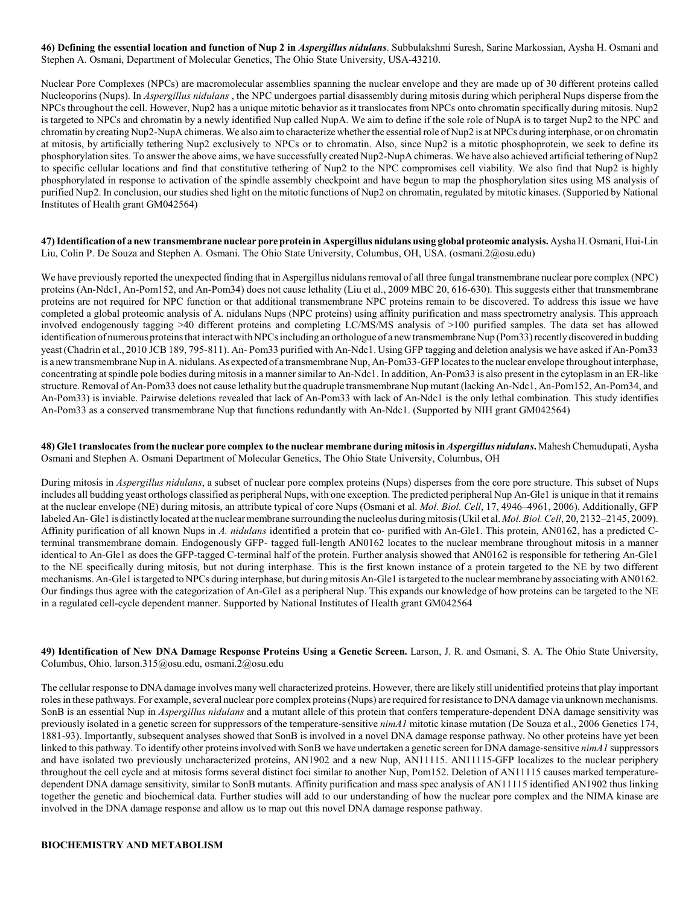**46) Defining the essential location and function of Nup 2 in** *Aspergillus nidulans*. Subbulakshmi Suresh, Sarine Markossian, Aysha H. Osmani and Stephen A. Osmani, Department of Molecular Genetics, The Ohio State University, USA-43210.

Nuclear Pore Complexes (NPCs) are macromolecular assemblies spanning the nuclear envelope and they are made up of 30 different proteins called Nucleoporins (Nups). In *Aspergillus nidulans* , the NPC undergoes partial disassembly during mitosis during which peripheral Nups disperse from the NPCs throughout the cell. However, Nup2 has a unique mitotic behavior as it translocates from NPCs onto chromatin specifically during mitosis. Nup2 is targeted to NPCs and chromatin by a newly identified Nup called NupA. We aim to define if the sole role of NupA is to target Nup2 to the NPC and chromatin by creating Nup2-NupA chimeras. We also aim to characterize whether the essential role of Nup2 is at NPCs during interphase, or on chromatin at mitosis, by artificially tethering Nup2 exclusively to NPCs or to chromatin. Also, since Nup2 is a mitotic phosphoprotein, we seek to define its phosphorylation sites. To answer the above aims, we have successfully created Nup2-NupA chimeras. We have also achieved artificial tethering of Nup2 to specific cellular locations and find that constitutive tethering of Nup2 to the NPC compromises cell viability. We also find that Nup2 is highly phosphorylated in response to activation of the spindle assembly checkpoint and have begun to map the phosphorylation sites using MS analysis of purified Nup2. In conclusion, our studies shed light on the mitotic functions of Nup2 on chromatin, regulated by mitotic kinases. (Supported by National Institutes of Health grant GM042564)

**47) Identification of a new transmembrane nuclear pore protein in Aspergillus nidulans using global proteomic analysis.** Aysha H. Osmani, Hui-Lin Liu, Colin P. De Souza and Stephen A. Osmani. The Ohio State University, Columbus, OH, USA. (osmani.2@osu.edu)

We have previously reported the unexpected finding that in Aspergillus nidulans removal of all three fungal transmembrane nuclear pore complex (NPC) proteins (An-Ndc1, An-Pom152, and An-Pom34) does not cause lethality (Liu et al., 2009 MBC 20, 616-630). This suggests either that transmembrane proteins are not required for NPC function or that additional transmembrane NPC proteins remain to be discovered. To address this issue we have completed a global proteomic analysis of A. nidulans Nups (NPC proteins) using affinity purification and mass spectrometry analysis. This approach involved endogenously tagging >40 different proteins and completing LC/MS/MS analysis of >100 purified samples. The data set has allowed identification of numerous proteins that interact with NPCs including an orthologue of a new transmembrane Nup (Pom33) recently discovered in budding yeast (Chadrin et al., 2010 JCB 189, 795-811). An- Pom33 purified with An-Ndc1. Using GFP tagging and deletion analysis we have asked if An-Pom33 is a newtransmembrane Nup in A. nidulans. As expected of a transmembrane Nup, An-Pom33-GFP locates to the nuclear envelope throughout interphase, concentrating at spindle pole bodies during mitosis in a manner similar to An-Ndc1. In addition, An-Pom33 is also present in the cytoplasm in an ER-like structure. Removal of An-Pom33 does not cause lethality but the quadruple transmembrane Nup mutant (lacking An-Ndc1, An-Pom152, An-Pom34, and An-Pom33) is inviable. Pairwise deletions revealed that lack of An-Pom33 with lack of An-Ndc1 is the only lethal combination. This study identifies An-Pom33 as a conserved transmembrane Nup that functions redundantly with An-Ndc1. (Supported by NIH grant GM042564)

**48) Gle1 translocates from the nuclear pore complex to the nuclear membrane during mitosis in** *Aspergillus nidulans***.** Mahesh Chemudupati, Aysha Osmani and Stephen A. Osmani Department of Molecular Genetics, The Ohio State University, Columbus, OH

During mitosis in *Aspergillus nidulans*, a subset of nuclear pore complex proteins (Nups) disperses from the core pore structure. This subset of Nups includes all budding yeast orthologs classified as peripheral Nups, with one exception. The predicted peripheral Nup An-Gle1 is unique in that it remains at the nuclear envelope (NE) during mitosis, an attribute typical of core Nups (Osmani et al. *Mol. Biol. Cell*, 17, 4946–4961, 2006). Additionally, GFP labeled An- Gle1 is distinctly located at the nuclear membrane surrounding the nucleolus during mitosis (Ukil et al. *Mol. Biol. Cell*, 20, 2132–2145, 2009). Affinity purification of all known Nups in *A. nidulans* identified a protein that co- purified with An-Gle1. This protein, AN0162, has a predicted Cterminal transmembrane domain. Endogenously GFP- tagged full-length AN0162 locates to the nuclear membrane throughout mitosis in a manner identical to An-Gle1 as does the GFP-tagged C-terminal half of the protein. Further analysis showed that AN0162 is responsible for tethering An-Gle1 to the NE specifically during mitosis, but not during interphase. This is the first known instance of a protein targeted to the NE by two different mechanisms. An-Gle1 is targeted to NPCs during interphase, but during mitosis An-Gle1 is targeted to the nuclear membrane by associating with AN0162. Our findings thus agree with the categorization of An-Gle1 as a peripheral Nup. This expands our knowledge of how proteins can be targeted to the NE in a regulated cell-cycle dependent manner. Supported by National Institutes of Health grant GM042564

**49) Identification of New DNA Damage Response Proteins Using a Genetic Screen.** Larson, J. R. and Osmani, S. A. The Ohio State University, Columbus, Ohio. larson.315@osu.edu, osmani.2@osu.edu

The cellular response to DNA damage involves many well characterized proteins. However, there are likely still unidentified proteinsthat play important roles in these pathways. For example, several nuclear pore complex proteins (Nups) are required for resistance to DNA damage via unknown mechanisms. SonB is an essential Nup in *Aspergillus nidulans* and a mutant allele of this protein that confers temperature-dependent DNA damage sensitivity was previously isolated in a genetic screen for suppressors of the temperature-sensitive *nimA1* mitotic kinase mutation (De Souza et al., 2006 Genetics 174, 1881-93). Importantly, subsequent analyses showed that SonB is involved in a novel DNA damage response pathway. No other proteins have yet been linked to this pathway. To identify other proteins involved with SonB we have undertaken a genetic screen for DNA damage-sensitive *nimA1* suppressors and have isolated two previously uncharacterized proteins, AN1902 and a new Nup, AN11115. AN11115-GFP localizes to the nuclear periphery throughout the cell cycle and at mitosis forms several distinct foci similar to another Nup, Pom152. Deletion of AN11115 causes marked temperaturedependent DNA damage sensitivity, similar to SonB mutants. Affinity purification and mass spec analysis of AN11115 identified AN1902 thus linking together the genetic and biochemical data. Further studies will add to our understanding of how the nuclear pore complex and the NIMA kinase are involved in the DNA damage response and allow us to map out this novel DNA damage response pathway.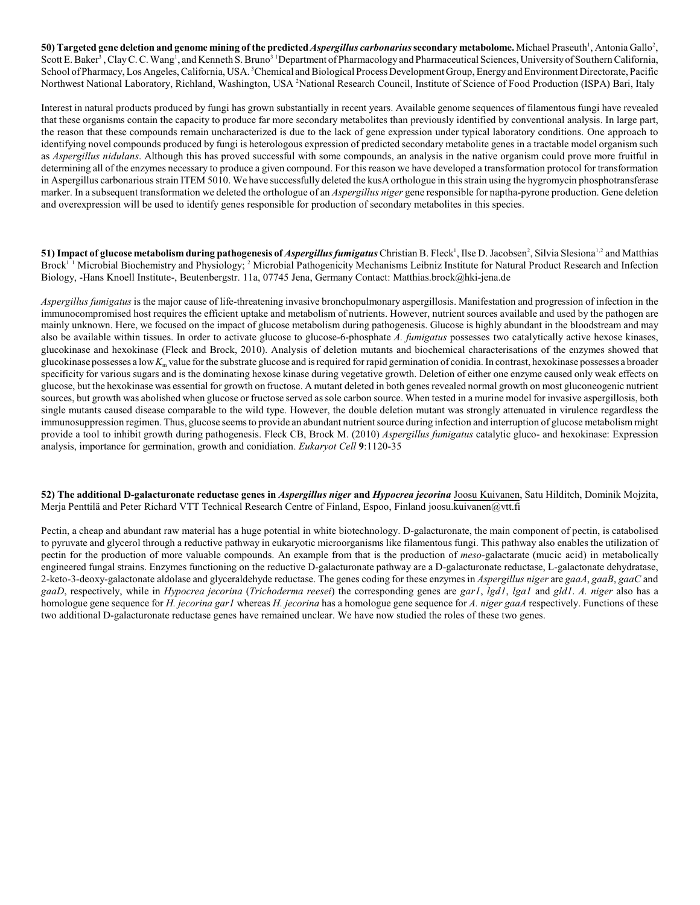50) Targeted gene deletion and genome mining of the predicted *Aspergillus carbonarius* secondary metabolome. Michael Praseuth<sup>1</sup>, Antonia Gallo<sup>2</sup>, Scott E. Baker<sup>3</sup>, Clay C. C. Wang<sup>1</sup>, and Kenneth S. Bruno<sup>3</sup> Department of Pharmacology and Pharmaceutical Sciences, University of Southern California, School of Pharmacy, Los Angeles, California, USA. <sup>3</sup>Chemical and Biological Process Development Group, Energy and Environment Directorate, Pacific Northwest National Laboratory, Richland, Washington, USA <sup>2</sup>National Research Council, Institute of Science of Food Production (ISPA) Bari, Italy

Interest in natural products produced by fungi has grown substantially in recent years. Available genome sequences of filamentous fungi have revealed that these organisms contain the capacity to produce far more secondary metabolites than previously identified by conventional analysis. In large part, the reason that these compounds remain uncharacterized is due to the lack of gene expression under typical laboratory conditions. One approach to identifying novel compounds produced by fungi is heterologous expression of predicted secondary metabolite genes in a tractable model organism such as *Aspergillus nidulans*. Although this has proved successful with some compounds, an analysis in the native organism could prove more fruitful in determining all of the enzymes necessary to produce a given compound. For this reason we have developed a transformation protocol for transformation in Aspergillus carbonarious strain ITEM 5010. We have successfully deleted the kusA orthologue in this strain using the hygromycin phosphotransferase marker. In a subsequent transformation we deleted the orthologue of an *Aspergillus niger* gene responsible for naptha-pyrone production. Gene deletion and overexpression will be used to identify genes responsible for production of secondary metabolites in this species.

**51) Impact of glucose metabolism during pathogenesis of** *Aspergillus fumigatus* **Christian B. Fleck<sup>1</sup>, Ilse D. Jacobsen<sup>2</sup>, Silvia Slesiona<sup>1,2</sup> and Matthias** Brock<sup> $11$ </sup> Microbial Biochemistry and Physiology; <sup>2</sup> Microbial Pathogenicity Mechanisms Leibniz Institute for Natural Product Research and Infection Biology, -Hans Knoell Institute-, Beutenbergstr. 11a, 07745 Jena, Germany Contact: Matthias.brock@hki-jena.de

*Aspergillus fumigatus* is the major cause of life-threatening invasive bronchopulmonary aspergillosis. Manifestation and progression of infection in the immunocompromised host requires the efficient uptake and metabolism of nutrients. However, nutrient sources available and used by the pathogen are mainly unknown. Here, we focused on the impact of glucose metabolism during pathogenesis. Glucose is highly abundant in the bloodstream and may also be available within tissues. In order to activate glucose to glucose-6-phosphate *A. fumigatus* possesses two catalytically active hexose kinases, glucokinase and hexokinase (Fleck and Brock, 2010). Analysis of deletion mutants and biochemical characterisations of the enzymes showed that glucokinase possesses a low  $K_m$  value for the substrate glucose and is required for rapid germination of conidia. In contrast, hexokinase possesses a broader specificity for various sugars and is the dominating hexose kinase during vegetative growth. Deletion of either one enzyme caused only weak effects on glucose, but the hexokinase was essential for growth on fructose. A mutant deleted in both genes revealed normal growth on most gluconeogenic nutrient sources, but growth was abolished when glucose or fructose served assole carbon source. When tested in a murine model for invasive aspergillosis, both single mutants caused disease comparable to the wild type. However, the double deletion mutant was strongly attenuated in virulence regardless the immunosuppression regimen. Thus, glucose seems to provide an abundant nutrientsource during infection and interruption of glucose metabolism might provide a tool to inhibit growth during pathogenesis. Fleck CB, Brock M. (2010) *Aspergillus fumigatus* catalytic gluco- and hexokinase: Expression analysis, importance for germination, growth and conidiation. *Eukaryot Cell* **9**:1120-35

**52) The additional D-galacturonate reductase genes in** *Aspergillus niger* **and** *Hypocrea jecorina* Joosu Kuivanen, Satu Hilditch, Dominik Mojzita, Merja Penttilä and Peter Richard VTT Technical Research Centre of Finland, Espoo, Finland joosu.kuivanen@vtt.fi

Pectin, a cheap and abundant raw material has a huge potential in white biotechnology. D-galacturonate, the main component of pectin, is catabolised to pyruvate and glycerol through a reductive pathway in eukaryotic microorganisms like filamentous fungi. This pathway also enables the utilization of pectin for the production of more valuable compounds. An example from that is the production of *meso*-galactarate (mucic acid) in metabolically engineered fungal strains. Enzymes functioning on the reductive D-galacturonate pathway are a D-galacturonate reductase, L-galactonate dehydratase, 2-keto-3-deoxy-galactonate aldolase and glyceraldehyde reductase. The genes coding for these enzymes in *Aspergillus niger* are *gaaA*, *gaaB*, *gaaC* and *gaaD*, respectively, while in *Hypocrea jecorina* (*Trichoderma reesei*) the corresponding genes are *gar1*, *lgd1*, *lga1* and *gld1*. *A. niger* also has a homologue gene sequence for *H. jecorina gar1* whereas *H. jecorina* has a homologue gene sequence for *A. niger gaaA* respectively. Functions of these two additional D-galacturonate reductase genes have remained unclear. We have now studied the roles of these two genes.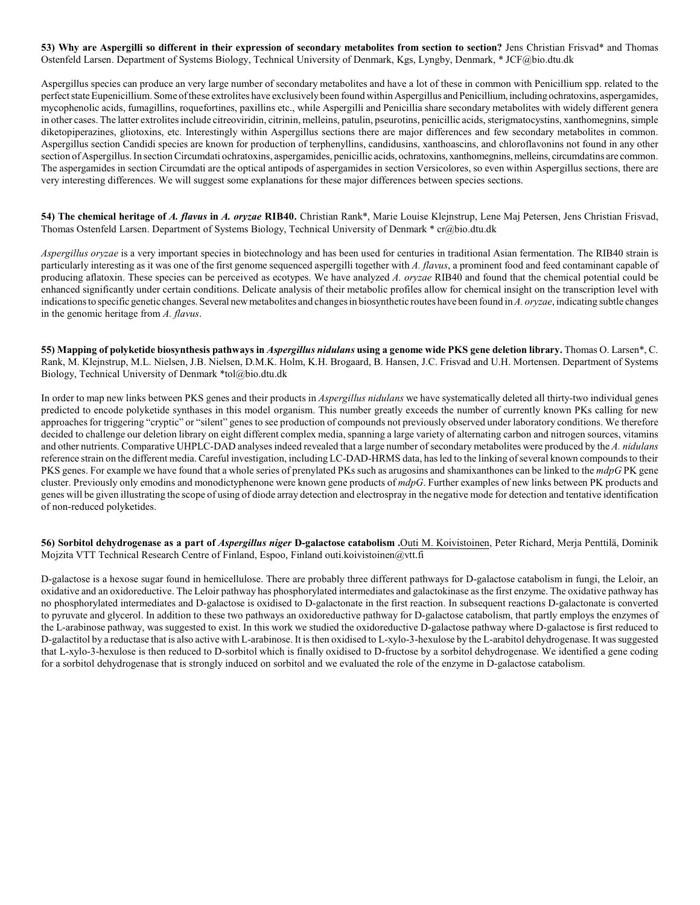**53) Why are Aspergilli so different in their expression of secondary metabolites from section to section?** Jens Christian Frisvad\* and Thomas Ostenfeld Larsen. Department of Systems Biology, Technical University of Denmark, Kgs, Lyngby, Denmark, \* JCF@bio.dtu.dk

Aspergillus species can produce an very large number of secondary metabolites and have a lot of these in common with Penicillium spp. related to the perfect state Eupenicillium. Some of these extrolites have exclusively been found within Aspergillus and Penicillium, including ochratoxins, aspergamides, mycophenolic acids, fumagillins, roquefortines, paxillins etc., while Aspergilli and Penicillia share secondary metabolites with widely different genera in other cases. The latter extrolites include citreoviridin, citrinin, melleins, patulin, pseurotins, penicillic acids, sterigmatocystins, xanthomegnins, simple diketopiperazines, gliotoxins, etc. Interestingly within Aspergillus sections there are major differences and few secondary metabolites in common. Aspergillus section Candidi species are known for production of terphenyllins, candidusins, xanthoascins, and chloroflavonins not found in any other section of Aspergillus. In section Circumdati ochratoxins, aspergamides, penicillic acids, ochratoxins, xanthomegnins, melleins, circumdatins are common. The aspergamides in section Circumdati are the optical antipods of aspergamides in section Versicolores, so even within Aspergillus sections, there are very interesting differences. We will suggest some explanations for these major differences between species sections.

**54) The chemical heritage of** *A. flavus* **in** *A. oryzae* **RIB40.** Christian Rank\*, Marie Louise Klejnstrup, Lene Maj Petersen, Jens Christian Frisvad, Thomas Ostenfeld Larsen. Department of Systems Biology, Technical University of Denmark \* cr@bio.dtu.dk

*Aspergillus oryzae* is a very important species in biotechnology and has been used for centuries in traditional Asian fermentation. The RIB40 strain is particularly interesting as it was one of the first genome sequenced aspergilli together with *A. flavus*, a prominent food and feed contaminant capable of producing aflatoxin. These species can be perceived as ecotypes. We have analyzed *A. oryzae* RIB40 and found that the chemical potential could be enhanced significantly under certain conditions. Delicate analysis of their metabolic profiles allow for chemical insight on the transcription level with indications to specific genetic changes. Several new metabolites and changes in biosynthetic routes have been found in *A. oryzae*, indicating subtle changes in the genomic heritage from *A. flavus*.

**55) Mapping of polyketide biosynthesis pathways in** *Aspergillus nidulans* **using a genome wide PKS gene deletion library.** Thomas O. Larsen\*, C. Rank, M. Klejnstrup, M.L. Nielsen, J.B. Nielsen, D.M.K. Holm, K.H. Brogaard, B. Hansen, J.C. Frisvad and U.H. Mortensen. Department of Systems Biology, Technical University of Denmark \*tol@bio.dtu.dk

In order to map new links between PKS genes and their products in *Aspergillus nidulans* we have systematically deleted all thirty-two individual genes predicted to encode polyketide synthases in this model organism. This number greatly exceeds the number of currently known PKs calling for new approaches for triggering "cryptic" or "silent" genes to see production of compounds not previously observed under laboratory conditions. We therefore decided to challenge our deletion library on eight different complex media, spanning a large variety of alternating carbon and nitrogen sources, vitamins and other nutrients. Comparative UHPLC-DAD analyses indeed revealed that a large number of secondary metabolites were produced by the *A. nidulans* reference strain on the different media. Careful investigation, including LC-DAD-HRMS data, has led to the linking of several known compounds to their PKS genes. For example we have found that a whole series of prenylated PKs such as arugosins and shamixanthones can be linked to the *mdpG* PK gene cluster. Previously only emodins and monodictyphenone were known gene products of *mdpG*. Further examples of new links between PK products and genes will be given illustrating the scope of using of diode array detection and electrospray in the negative mode for detection and tentative identification of non-reduced polyketides.

**56) Sorbitol dehydrogenase as a part of** *Aspergillus niger* **D-galactose catabolism .**Outi M. Koivistoinen, Peter Richard, Merja Penttilä, Dominik Mojzita VTT Technical Research Centre of Finland, Espoo, Finland outi.koivistoinen@vtt.fi

D-galactose is a hexose sugar found in hemicellulose. There are probably three different pathways for D-galactose catabolism in fungi, the Leloir, an oxidative and an oxidoreductive. The Leloir pathway has phosphorylated intermediates and galactokinase as the first enzyme. The oxidative pathway has no phosphorylated intermediates and D-galactose is oxidised to D-galactonate in the first reaction. In subsequent reactions D-galactonate is converted to pyruvate and glycerol. In addition to these two pathways an oxidoreductive pathway for D-galactose catabolism, that partly employs the enzymes of the L-arabinose pathway, was suggested to exist. In this work we studied the oxidoreductive D-galactose pathway where D-galactose is first reduced to D-galactitol by a reductase that is also active with L-arabinose. It is then oxidised to L-xylo-3-hexulose by the L-arabitol dehydrogenase. It was suggested that L-xylo-3-hexulose is then reduced to D-sorbitol which is finally oxidised to D-fructose by a sorbitol dehydrogenase. We identified a gene coding for a sorbitol dehydrogenase that is strongly induced on sorbitol and we evaluated the role of the enzyme in D-galactose catabolism.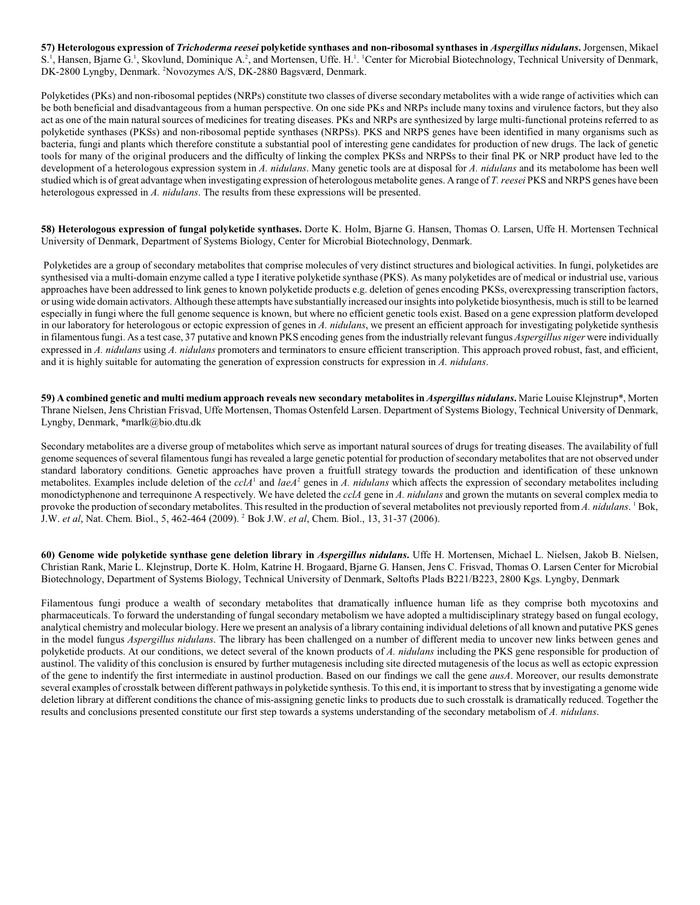**57) Heterologous expression of** *Trichoderma reesei* **polyketide synthases and non-ribosomal synthases in** *Aspergillus nidulans***.** Jorgensen, Mikael S.<sup>1</sup>, Hansen, Bjarne G.<sup>1</sup>, Skovlund, Dominique A.<sup>2</sup>, and Mortensen, Uffe. H.<sup>1</sup>. <sup>1</sup>Center for Microbial Biotechnology, Technical University of Denmark, DK-2800 Lyngby, Denmark. <sup>2</sup>Novozymes A/S, DK-2880 Bagsværd, Denmark.

Polyketides (PKs) and non-ribosomal peptides (NRPs) constitute two classes of diverse secondary metabolites with a wide range of activities which can be both beneficial and disadvantageous from a human perspective. On one side PKs and NRPs include many toxins and virulence factors, but they also act as one of the main natural sources of medicines for treating diseases. PKs and NRPs are synthesized by large multi-functional proteins referred to as polyketide synthases (PKSs) and non-ribosomal peptide synthases (NRPSs). PKS and NRPS genes have been identified in many organisms such as bacteria, fungi and plants which therefore constitute a substantial pool of interesting gene candidates for production of new drugs. The lack of genetic tools for many of the original producers and the difficulty of linking the complex PKSs and NRPSs to their final PK or NRP product have led to the development of a heterologous expression system in *A. nidulans*. Many genetic tools are at disposal for *A. nidulans* and its metabolome has been well studied which is of great advantage when investigating expression of heterologous metabolite genes. A range of *T. reesei* PKS and NRPS genes have been heterologous expressed in *A. nidulans*. The results from these expressions will be presented.

**58) Heterologous expression of fungal polyketide synthases.** Dorte K. Holm, Bjarne G. Hansen, Thomas O. Larsen, Uffe H. Mortensen Technical University of Denmark, Department of Systems Biology, Center for Microbial Biotechnology, Denmark.

 Polyketides are a group of secondary metabolites that comprise molecules of very distinct structures and biological activities. In fungi, polyketides are synthesised via a multi-domain enzyme called a type I iterative polyketide synthase (PKS). As many polyketides are of medical or industrial use, various approaches have been addressed to link genes to known polyketide products e.g. deletion of genes encoding PKSs, overexpressing transcription factors, or using wide domain activators. Although these attempts have substantially increased our insights into polyketide biosynthesis, much is still to be learned especially in fungi where the full genome sequence is known, but where no efficient genetic tools exist. Based on a gene expression platform developed in our laboratory for heterologous or ectopic expression of genes in *A. nidulans*, we present an efficient approach for investigating polyketide synthesis in filamentous fungi. As a test case, 37 putative and known PKS encoding genes from the industrially relevant fungus *Aspergillus niger* were individually expressed in *A. nidulans* using *A. nidulans* promoters and terminators to ensure efficient transcription. This approach proved robust, fast, and efficient, and it is highly suitable for automating the generation of expression constructs for expression in *A. nidulans*.

**59) A combined genetic and multi medium approach reveals new secondary metabolites in** *Aspergillus nidulans***.** Marie Louise Klejnstrup\*, Morten Thrane Nielsen, Jens Christian Frisvad, Uffe Mortensen, Thomas Ostenfeld Larsen. Department of Systems Biology, Technical University of Denmark, Lyngby, Denmark, \*marlk@bio.dtu.dk

Secondary metabolites are a diverse group of metabolites which serve as important natural sources of drugs for treating diseases. The availability of full genome sequences of several filamentous fungi has revealed a large genetic potential for production of secondary metabolites that are not observed under standard laboratory conditions. Genetic approaches have proven a fruitfull strategy towards the production and identification of these unknown metabolites. Examples include deletion of the  $cclA<sup>1</sup>$  and  $laA<sup>2</sup>$  genes in *A. nidulans* which affects the expression of secondary metabolites including monodictyphenone and terrequinone A respectively. We have deleted the *cclA* gene in *A. nidulans* and grown the mutants on several complex media to provoke the production of secondary metabolites. This resulted in the production of several metabolites not previously reported from *A. nidulans*. Bok, J.W. *et al*, Nat. Chem. Biol., 5, 462-464 (2009). Bok J.W. *et al*, Chem. Biol., 13, 31-37 (2006). <sup>2</sup>

**60) Genome wide polyketide synthase gene deletion library in** *Aspergillus nidulans***.** Uffe H. Mortensen, Michael L. Nielsen, Jakob B. Nielsen, Christian Rank, Marie L. Klejnstrup, Dorte K. Holm, Katrine H. Brogaard, Bjarne G. Hansen, Jens C. Frisvad, Thomas O. Larsen Center for Microbial Biotechnology, Department of Systems Biology, Technical University of Denmark, Søltofts Plads B221/B223, 2800 Kgs. Lyngby, Denmark

Filamentous fungi produce a wealth of secondary metabolites that dramatically influence human life as they comprise both mycotoxins and pharmaceuticals. To forward the understanding of fungal secondary metabolism we have adopted a multidisciplinary strategy based on fungal ecology, analytical chemistry and molecular biology. Here we present an analysis of a library containing individual deletions of all known and putative PKS genes in the model fungus *Aspergillus nidulans*. The library has been challenged on a number of different media to uncover new links between genes and polyketide products. At our conditions, we detect several of the known products of *A. nidulans* including the PKS gene responsible for production of austinol. The validity of this conclusion is ensured by further mutagenesis including site directed mutagenesis of the locus as well as ectopic expression of the gene to indentify the first intermediate in austinol production. Based on our findings we call the gene *ausA*. Moreover, our results demonstrate several examples of crosstalk between different pathways in polyketide synthesis. To this end, it isimportant to stressthat by investigating a genome wide deletion library at different conditions the chance of mis-assigning genetic links to products due to such crosstalk is dramatically reduced. Together the results and conclusions presented constitute our first step towards a systems understanding of the secondary metabolism of *A. nidulans*.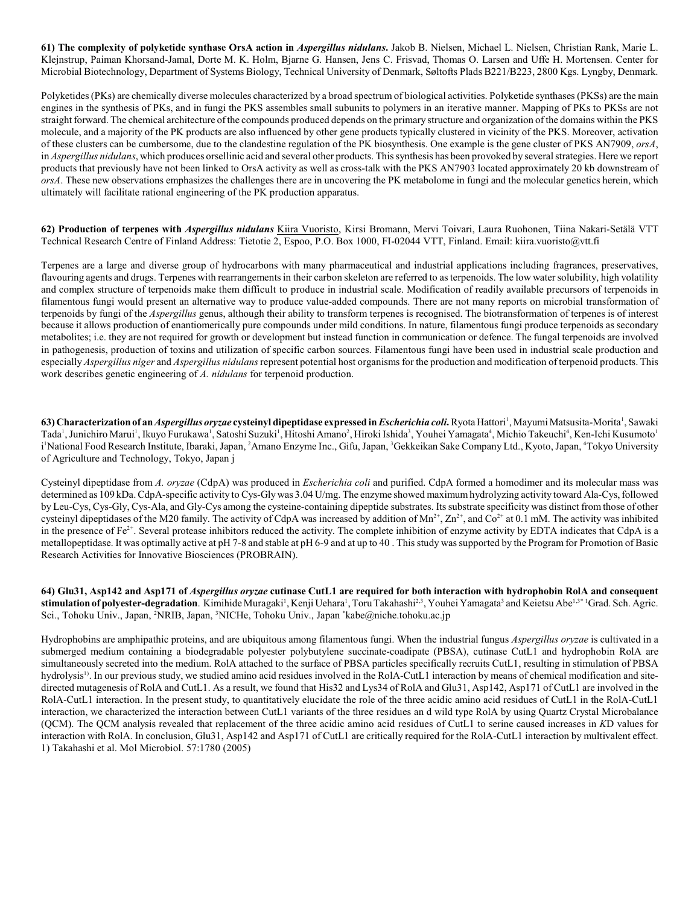**61) The complexity of polyketide synthase OrsA action in** *Aspergillus nidulans***.** Jakob B. Nielsen, Michael L. Nielsen, Christian Rank, Marie L. Klejnstrup, Paiman Khorsand-Jamal, Dorte M. K. Holm, Bjarne G. Hansen, Jens C. Frisvad, Thomas O. Larsen and Uffe H. Mortensen. Center for Microbial Biotechnology, Department of Systems Biology, Technical University of Denmark, Søltofts Plads B221/B223, 2800 Kgs. Lyngby, Denmark.

Polyketides (PKs) are chemically diverse molecules characterized by a broad spectrum of biological activities. Polyketide synthases (PKSs) are the main engines in the synthesis of PKs, and in fungi the PKS assembles small subunits to polymers in an iterative manner. Mapping of PKs to PKSs are not straight forward. The chemical architecture of the compounds produced depends on the primary structure and organization of the domains within the PKS molecule, and a majority of the PK products are also influenced by other gene products typically clustered in vicinity of the PKS. Moreover, activation of these clusters can be cumbersome, due to the clandestine regulation of the PK biosynthesis. One example is the gene cluster of PKS AN7909, *orsA*, in *Aspergillus nidulans*, which produces orsellinic acid and several other products. This synthesis has been provoked by several strategies. Here we report products that previously have not been linked to OrsA activity as well as cross-talk with the PKS AN7903 located approximately 20 kb downstream of *orsA*. These new observations emphasizes the challenges there are in uncovering the PK metabolome in fungi and the molecular genetics herein, which ultimately will facilitate rational engineering of the PK production apparatus.

**62) Production of terpenes with** *Aspergillus nidulans* Kiira Vuoristo, Kirsi Bromann, Mervi Toivari, Laura Ruohonen, Tiina Nakari-Setälä VTT Technical Research Centre of Finland Address: Tietotie 2, Espoo, P.O. Box 1000, FI-02044 VTT, Finland. Email: kiira.vuoristo@vtt.fi

Terpenes are a large and diverse group of hydrocarbons with many pharmaceutical and industrial applications including fragrances, preservatives, flavouring agents and drugs. Terpenes with rearrangements in their carbon skeleton are referred to as terpenoids. The low water solubility, high volatility and complex structure of terpenoids make them difficult to produce in industrial scale. Modification of readily available precursors of terpenoids in filamentous fungi would present an alternative way to produce value-added compounds. There are not many reports on microbial transformation of terpenoids by fungi of the *Aspergillus* genus, although their ability to transform terpenes is recognised. The biotransformation of terpenes is of interest because it allows production of enantiomerically pure compounds under mild conditions. In nature, filamentous fungi produce terpenoids as secondary metabolites; i.e. they are not required for growth or development but instead function in communication or defence. The fungal terpenoids are involved in pathogenesis, production of toxins and utilization of specific carbon sources. Filamentous fungi have been used in industrial scale production and especially *Aspergillus niger* and *Aspergillus nidulans* represent potential host organisms for the production and modification of terpenoid products. This work describes genetic engineering of *A. nidulans* for terpenoid production.

**63) Characterization of an** *Aspergillus oryzae* **cysteinyl dipeptidase expressed in** *Escherichia coli***.** Ryota Hattori , Mayumi Matsusita-Morita , Sawaki 1 1 Tada<sup>1</sup>, Junichiro Marui<sup>1</sup>, Ikuyo Furukawa<sup>1</sup>, Satoshi Suzuki<sup>1</sup>, Hitoshi Amano<sup>2</sup>, Hiroki Ishida<sup>3</sup>, Youhei Yamagata<sup>4</sup>, Michio Takeuchi<sup>4</sup>, Ken-Ichi Kusumoto<sup>1</sup> i National Food Research Institute, Ibaraki, Japan, <sup>2</sup>Amano Enzyme Inc., Gifu, Japan, <sup>3</sup>Gekkeikan Sake Company Ltd., Kyoto, Japan, <sup>4</sup>Tokyo University of Agriculture and Technology, Tokyo, Japan j

Cysteinyl dipeptidase from *A. oryzae* (CdpA) was produced in *Escherichia coli* and purified. CdpA formed a homodimer and its molecular mass was determined as 109 kDa. CdpA-specific activity to Cys-Gly was 3.04 U/mg. The enzyme showed maximum hydrolyzing activity toward Ala-Cys, followed by Leu-Cys, Cys-Gly, Cys-Ala, and Gly-Cys among the cysteine-containing dipeptide substrates. Its substrate specificity was distinct from those of other cysteinyl dipeptidases of the M20 family. The activity of CdpA was increased by addition of  $Mn^{2+}$ ,  $Zn^{2+}$ , and  $Co^{2+}$  at 0.1 mM. The activity was inhibited in the presence of  $Fe^{2+}$ . Several protease inhibitors reduced the activity. The complete inhibition of enzyme activity by EDTA indicates that CdpA is a metallopeptidase. It was optimally active at pH 7-8 and stable at pH 6-9 and at up to 40 . This study was supported by the Program for Promotion of Basic Research Activities for Innovative Biosciences (PROBRAIN).

**64) Glu31, Asp142 and Asp171 of** *Aspergillus oryzae* **cutinase CutL1 are required for both interaction with hydrophobin RolA and consequent** stimulation of polyester-degradation. Kimihide Muragaki<sup>1</sup>, Kenji Uehara<sup>1</sup>, Toru Takahashi<sup>2,3</sup>, Youhei Yamagata<sup>3</sup> and Keietsu Abe<sup>1,3\* 1</sup>Grad. Sch. Agric. Sci., Tohoku Univ., Japan, <sup>2</sup>NRIB, Japan, <sup>3</sup>NICHe, Tohoku Univ., Japan *kabe@niche.tohoku.ac.jp* 

Hydrophobins are amphipathic proteins, and are ubiquitous among filamentous fungi. When the industrial fungus *Aspergillus oryzae* is cultivated in a submerged medium containing a biodegradable polyester polybutylene succinate-coadipate (PBSA), cutinase CutL1 and hydrophobin RolA are simultaneously secreted into the medium. RolA attached to the surface of PBSA particles specifically recruits CutL1, resulting in stimulation of PBSA hydrolysis<sup>1)</sup>. In our previous study, we studied amino acid residues involved in the RolA-CutL1 interaction by means of chemical modification and sitedirected mutagenesis of RolA and CutL1. As a result, we found that His32 and Lys34 of RolA and Glu31, Asp142, Asp171 of CutL1 are involved in the RolA-CutL1 interaction. In the present study, to quantitatively elucidate the role of the three acidic amino acid residues of CutL1 in the RolA-CutL1 interaction, we characterized the interaction between CutL1 variants of the three residues an d wild type RolA by using Quartz Crystal Microbalance (QCM). The QCM analysis revealed that replacement of the three acidic amino acid residues of CutL1 to serine caused increases in *K*D values for interaction with RolA. In conclusion, Glu31, Asp142 and Asp171 of CutL1 are critically required for the RolA-CutL1 interaction by multivalent effect. 1) Takahashi et al. Mol Microbiol. 57:1780 (2005)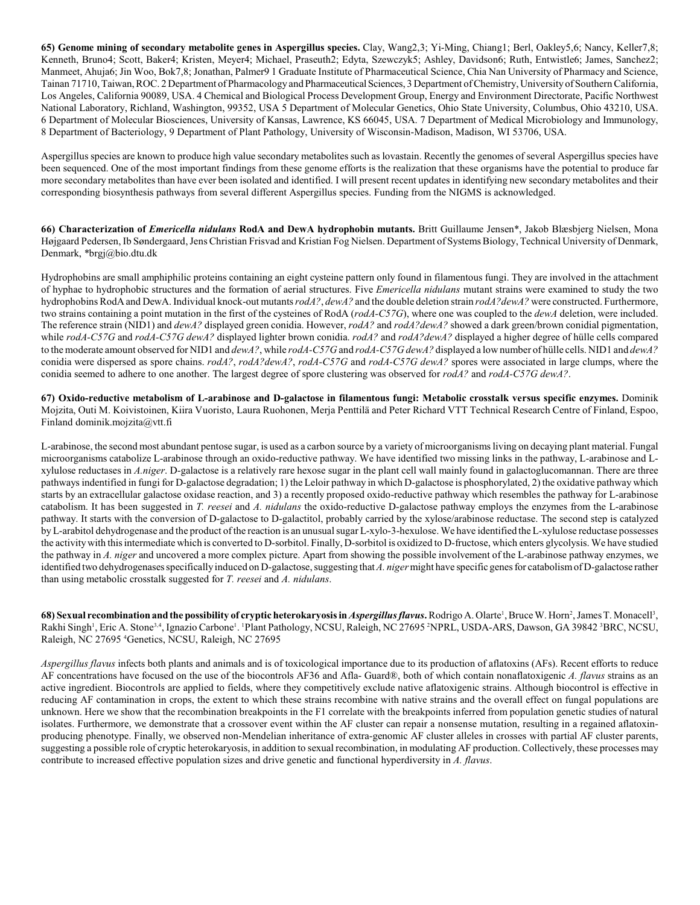**65) Genome mining of secondary metabolite genes in Aspergillus species.** Clay, Wang2,3; Yi-Ming, Chiang1; Berl, Oakley5,6; Nancy, Keller7,8; Kenneth, Bruno4; Scott, Baker4; Kristen, Meyer4; Michael, Praseuth2; Edyta, Szewczyk5; Ashley, Davidson6; Ruth, Entwistle6; James, Sanchez2; Manmeet, Ahuja6; Jin Woo, Bok7,8; Jonathan, Palmer9 1 Graduate Institute of Pharmaceutical Science, Chia Nan University of Pharmacy and Science, Tainan 71710, Taiwan, ROC. 2 Department of Pharmacology and Pharmaceutical Sciences, 3 Department of Chemistry, University of Southern California, Los Angeles, California 90089, USA. 4 Chemical and Biological Process Development Group, Energy and Environment Directorate, Pacific Northwest National Laboratory, Richland, Washington, 99352, USA 5 Department of Molecular Genetics, Ohio State University, Columbus, Ohio 43210, USA. 6 Department of Molecular Biosciences, University of Kansas, Lawrence, KS 66045, USA. 7 Department of Medical Microbiology and Immunology, 8 Department of Bacteriology, 9 Department of Plant Pathology, University of Wisconsin-Madison, Madison, WI 53706, USA.

Aspergillus species are known to produce high value secondary metabolites such as lovastain. Recently the genomes of several Aspergillus species have been sequenced. One of the most important findings from these genome efforts is the realization that these organisms have the potential to produce far more secondary metabolites than have ever been isolated and identified. I will present recent updates in identifying new secondary metabolites and their corresponding biosynthesis pathways from several different Aspergillus species. Funding from the NIGMS is acknowledged.

**66) Characterization of** *Emericella nidulans* **RodA and DewA hydrophobin mutants.** Britt Guillaume Jensen\*, Jakob Blæsbjerg Nielsen, Mona Højgaard Pedersen, Ib Søndergaard, Jens Christian Frisvad and Kristian Fog Nielsen. Department of Systems Biology, Technical University of Denmark, Denmark, \*brgj@bio.dtu.dk

Hydrophobins are small amphiphilic proteins containing an eight cysteine pattern only found in filamentous fungi. They are involved in the attachment of hyphae to hydrophobic structures and the formation of aerial structures. Five *Emericella nidulans* mutant strains were examined to study the two hydrophobins RodA and DewA. Individual knock-out mutants *rodA?*, *dewA?* and the double deletion strain *rodA?dewA?* were constructed. Furthermore, two strains containing a point mutation in the first of the cysteines of RodA (*rodA-C57G*), where one was coupled to the *dewA* deletion, were included. The reference strain (NID1) and *dewA?* displayed green conidia. However, *rodA?* and *rodA?dewA?* showed a dark green/brown conidial pigmentation, while *rodA-C57G* and *rodA-C57G dewA?* displayed lighter brown conidia. *rodA?* and *rodA?dewA?* displayed a higher degree of hülle cells compared to the moderate amount observed for NID1 and *dewA?*, while *rodA-C57G* and *rodA-C57G dewA?* displayed a lownumber of hülle cells. NID1 and *dewA?* conidia were dispersed as spore chains. *rodA?*, *rodA?dewA?*, *rodA-C57G* and *rodA-C57G dewA?* spores were associated in large clumps, where the conidia seemed to adhere to one another. The largest degree of spore clustering was observed for *rodA?* and *rodA-C57G dewA?*.

**67) Oxido-reductive metabolism of L-arabinose and D-galactose in filamentous fungi: Metabolic crosstalk versus specific enzymes.** Dominik Mojzita, Outi M. Koivistoinen, Kiira Vuoristo, Laura Ruohonen, Merja Penttilä and Peter Richard VTT Technical Research Centre of Finland, Espoo, Finland dominik.mojzita@vtt.fi

L-arabinose, the second most abundant pentose sugar, is used as a carbon source by a variety of microorganisms living on decaying plant material. Fungal microorganisms catabolize L-arabinose through an oxido-reductive pathway. We have identified two missing links in the pathway, L-arabinose and Lxylulose reductases in *A.niger*. D-galactose is a relatively rare hexose sugar in the plant cell wall mainly found in galactoglucomannan. There are three pathways indentified in fungi for D-galactose degradation; 1) the Leloir pathway in which D-galactose is phosphorylated, 2) the oxidative pathway which starts by an extracellular galactose oxidase reaction, and 3) a recently proposed oxido-reductive pathway which resembles the pathway for L-arabinose catabolism. It has been suggested in *T. reesei* and *A. nidulans* the oxido-reductive D-galactose pathway employs the enzymes from the L-arabinose pathway. It starts with the conversion of D-galactose to D-galactitol, probably carried by the xylose/arabinose reductase. The second step is catalyzed by L-arabitol dehydrogenase and the product of the reaction is an unusual sugar L-xylo-3-hexulose. We have identified the L-xylulose reductase possesses the activitywith this intermediate which is converted to D-sorbitol. Finally, D-sorbitol is oxidized to D-fructose, which enters glycolysis. We have studied the pathway in *A. niger* and uncovered a more complex picture. Apart from showing the possible involvement of the L-arabinose pathway enzymes, we identified two dehydrogenases specifically induced on D-galactose, suggesting that *A. niger* might have specific genes for catabolism of D-galactose rather than using metabolic crosstalk suggested for *T. reesei* and *A. nidulans*.

**68) Sexual recombination and the possibility of cryptic heterokaryosis in** *Aspergillus flavus***. Rodrigo A. Olarte', Bruce W. Horn<sup>2</sup>, James T. Monacell<sup>3</sup>,** Rakhi Singh<sup>1</sup>, Eric A. Stone<sup>3,4</sup>, Ignazio Carbone<sup>1</sup>. Plant Pathology, NCSU, Raleigh, NC 27695 <sup>2</sup>NPRL, USDA-ARS, Dawson, GA 39842 <sup>3</sup>BRC, NCSU, Raleigh, NC 27695 <sup>4</sup>Genetics, NCSU, Raleigh, NC 27695

*Aspergillus flavus* infects both plants and animals and is of toxicological importance due to its production of aflatoxins (AFs). Recent efforts to reduce AF concentrations have focused on the use of the biocontrols AF36 and Afla- Guard®, both of which contain nonaflatoxigenic *A. flavus* strains as an active ingredient. Biocontrols are applied to fields, where they competitively exclude native aflatoxigenic strains. Although biocontrol is effective in reducing AF contamination in crops, the extent to which these strains recombine with native strains and the overall effect on fungal populations are unknown. Here we show that the recombination breakpoints in the F1 correlate with the breakpoints inferred from population genetic studies of natural isolates. Furthermore, we demonstrate that a crossover event within the AF cluster can repair a nonsense mutation, resulting in a regained aflatoxinproducing phenotype. Finally, we observed non-Mendelian inheritance of extra-genomic AF cluster alleles in crosses with partial AF cluster parents, suggesting a possible role of cryptic heterokaryosis, in addition to sexual recombination, in modulating AF production. Collectively, these processes may contribute to increased effective population sizes and drive genetic and functional hyperdiversity in *A. flavus*.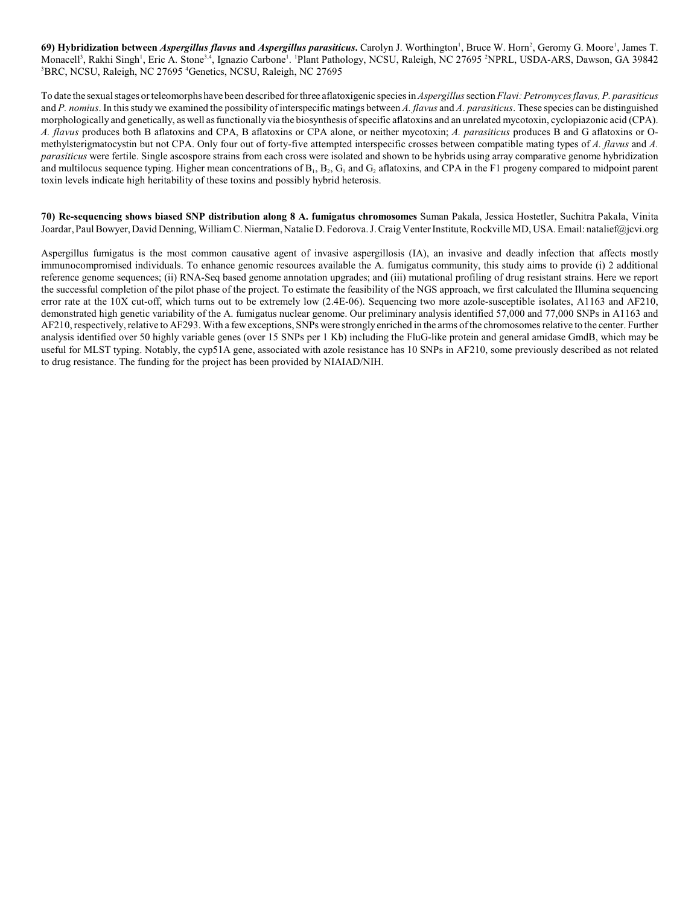**69) Hybridization between** *Aspergillus flavus* **and** *Aspergillus parasiticus***<b>.** Carolyn J. Worthington<sup>1</sup>, Bruce W. Horn<sup>2</sup>, Geromy G. Moore<sup>1</sup>, James T. Monacell<sup>3</sup>, Rakhi Singh<sup>1</sup>, Eric A. Stone<sup>3,4</sup>, Ignazio Carbone<sup>1</sup>. <sup>1</sup>Plant Pathology, NCSU, Raleigh, NC 27695 <sup>2</sup>NPRL, USDA-ARS, Dawson, GA 39842 <sup>3</sup>BRC, NCSU, Raleigh, NC 27695 <sup>4</sup>Genetics, NCSU, Raleigh, NC 27695

To date the sexual stages or teleomorphs have been described for three aflatoxigenic species in *Aspergillus* section *Flavi: Petromyces flavus, P. parasiticus* and *P. nomius*. In this study we examined the possibility of interspecific matings between *A. flavus* and *A. parasiticus*. These species can be distinguished morphologically and genetically, as well asfunctionally via the biosynthesis ofspecific aflatoxins and an unrelated mycotoxin, cyclopiazonic acid (CPA). *A. flavus* produces both B aflatoxins and CPA, B aflatoxins or CPA alone, or neither mycotoxin; *A. parasiticus* produces B and G aflatoxins or Omethylsterigmatocystin but not CPA. Only four out of forty-five attempted interspecific crosses between compatible mating types of *A. flavus* and *A. parasiticus* were fertile. Single ascospore strains from each cross were isolated and shown to be hybrids using array comparative genome hybridization and multilocus sequence typing. Higher mean concentrations of  $B_1$ ,  $B_2$ ,  $G_1$  and  $G_2$  aflatoxins, and CPA in the F1 progeny compared to midpoint parent toxin levels indicate high heritability of these toxins and possibly hybrid heterosis.

**70) Re-sequencing shows biased SNP distribution along 8 A. fumigatus chromosomes** Suman Pakala, Jessica Hostetler, Suchitra Pakala, Vinita Joardar, Paul Bowyer, David Denning, William C. Nierman, Natalie D. Fedorova. J. Craig Venter Institute, Rockville MD, USA. Email: natalief@jcvi.org

Aspergillus fumigatus is the most common causative agent of invasive aspergillosis (IA), an invasive and deadly infection that affects mostly immunocompromised individuals. To enhance genomic resources available the A. fumigatus community, this study aims to provide (i) 2 additional reference genome sequences; (ii) RNA-Seq based genome annotation upgrades; and (iii) mutational profiling of drug resistant strains. Here we report the successful completion of the pilot phase of the project. To estimate the feasibility of the NGS approach, we first calculated the Illumina sequencing error rate at the 10X cut-off, which turns out to be extremely low (2.4E-06). Sequencing two more azole-susceptible isolates, A1163 and AF210, demonstrated high genetic variability of the A. fumigatus nuclear genome. Our preliminary analysis identified 57,000 and 77,000 SNPs in A1163 and AF210, respectively, relative to AF293. With a fewexceptions, SNPs were stronglyenriched in the arms of the chromosomes relative to the center. Further analysis identified over 50 highly variable genes (over 15 SNPs per 1 Kb) including the FluG-like protein and general amidase GmdB, which may be useful for MLST typing. Notably, the cyp51A gene, associated with azole resistance has 10 SNPs in AF210, some previously described as not related to drug resistance. The funding for the project has been provided by NIAIAD/NIH.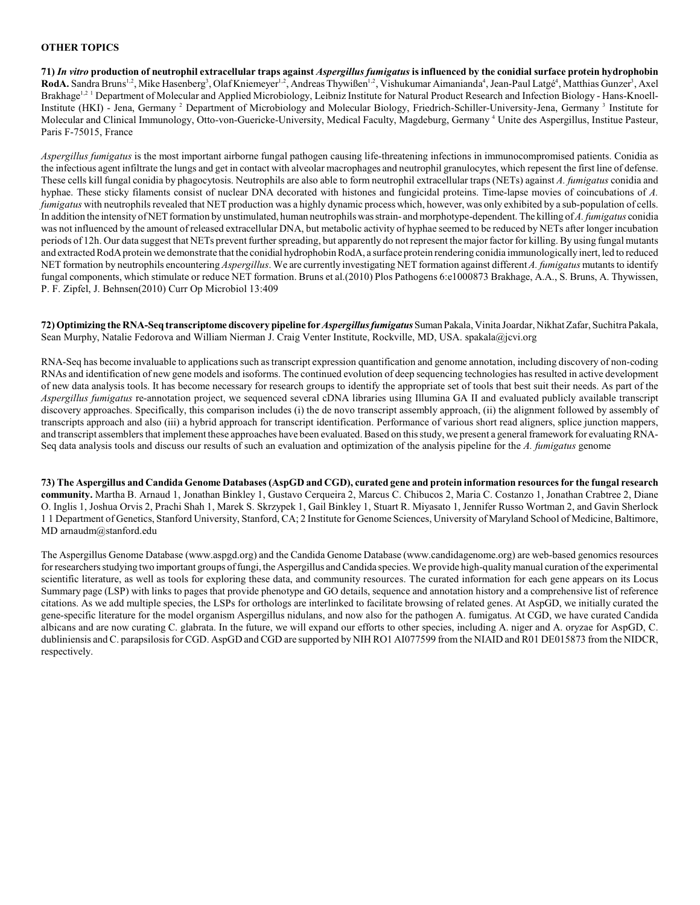#### **OTHER TOPICS**

**71)** *In vitro* **production of neutrophil extracellular traps against** *Aspergillus fumigatus* **is influenced by the conidial surface protein hydrophobin** RodA. Sandra Bruns<sup>1,2</sup>, Mike Hasenberg<sup>3</sup>, Olaf Kniemeyer<sup>1,2</sup>, Andreas Thywißen<sup>1,2</sup>, Vishukumar Aimanianda<sup>4</sup>, Jean-Paul Latgé<sup>4</sup>, Matthias Gunzer<sup>3</sup>, Axel Brakhage<sup>1,2 1</sup> Department of Molecular and Applied Microbiology, Leibniz Institute for Natural Product Research and Infection Biology - Hans-Knoell-Institute (HKI) - Jena, Germany <sup>2</sup> Department of Microbiology and Molecular Biology, Friedrich-Schiller-University-Jena, Germany <sup>3</sup> Institute for Molecular and Clinical Immunology, Otto-von-Guericke-University, Medical Faculty, Magdeburg, Germany <sup>4</sup> Unite des Aspergillus, Institue Pasteur, Paris F-75015, France

*Aspergillus fumigatus* is the most important airborne fungal pathogen causing life-threatening infections in immunocompromised patients. Conidia as the infectious agent infiltrate the lungs and get in contact with alveolar macrophages and neutrophil granulocytes, which repesent the first line of defense. These cells kill fungal conidia by phagocytosis. Neutrophils are also able to form neutrophil extracellular traps (NETs) against *A. fumigatus* conidia and hyphae. These sticky filaments consist of nuclear DNA decorated with histones and fungicidal proteins. Time-lapse movies of coincubations of *A. fumigatus* with neutrophils revealed that NET production was a highly dynamic process which, however, was only exhibited by a sub-population of cells. In addition the intensity of NET formation by unstimulated, human neutrophils was strain- and morphotype-dependent. The killing of *A. fumigatus* conidia was not influenced by the amount of released extracellular DNA, but metabolic activity of hyphae seemed to be reduced by NETs after longer incubation periods of 12h. Our data suggest that NETs prevent further spreading, but apparently do not represent the major factor for killing. By using fungal mutants and extracted RodA protein we demonstrate that the conidial hydrophobin RodA, a surface protein rendering conidia immunologically inert, led to reduced NET formation by neutrophils encountering *Aspergillus*. We are currently investigating NET formation against different *A. fumigatus* mutants to identify fungal components, which stimulate or reduce NET formation. Bruns et al.(2010) Plos Pathogens 6:e1000873 Brakhage, A.A., S. Bruns, A. Thywissen, P. F. Zipfel, J. Behnsen(2010) Curr Op Microbiol 13:409

**72) Optimizing the RNA-Seq transcriptome discovery pipeline for** *Aspergillus fumigatus*Suman Pakala, Vinita Joardar, Nikhat Zafar, Suchitra Pakala, Sean Murphy, Natalie Fedorova and William Nierman J. Craig Venter Institute, Rockville, MD, USA. spakala@jcvi.org

RNA-Seq has become invaluable to applications such as transcript expression quantification and genome annotation, including discovery of non-coding RNAs and identification of new gene models and isoforms. The continued evolution of deep sequencing technologies has resulted in active development of new data analysis tools. It has become necessary for research groups to identify the appropriate set of tools that best suit their needs. As part of the *Aspergillus fumigatus* re-annotation project, we sequenced several cDNA libraries using Illumina GA II and evaluated publicly available transcript discovery approaches. Specifically, this comparison includes (i) the de novo transcript assembly approach, (ii) the alignment followed by assembly of transcripts approach and also (iii) a hybrid approach for transcript identification. Performance of various short read aligners, splice junction mappers, and transcript assemblers that implement these approaches have been evaluated. Based on this study, we present a general framework for evaluating RNA-Seq data analysis tools and discuss our results of such an evaluation and optimization of the analysis pipeline for the *A. fumigatus* genome

**73) The Aspergillus and Candida Genome Databases (AspGD and CGD), curated gene and protein information resources for the fungal research community.** Martha B. Arnaud 1, Jonathan Binkley 1, Gustavo Cerqueira 2, Marcus C. Chibucos 2, Maria C. Costanzo 1, Jonathan Crabtree 2, Diane O. Inglis 1, Joshua Orvis 2, Prachi Shah 1, Marek S. Skrzypek 1, Gail Binkley 1, Stuart R. Miyasato 1, Jennifer Russo Wortman 2, and Gavin Sherlock 1 1 Department of Genetics, Stanford University, Stanford, CA; 2 Institute for Genome Sciences, University of Maryland School of Medicine, Baltimore, MD arnaudm@stanford.edu

The Aspergillus Genome Database (www.aspgd.org) and the Candida Genome Database (www.candidagenome.org) are web-based genomics resources for researchers studying two important groups of fungi, the Aspergillus and Candida species. We provide high-quality manual curation of the experimental scientific literature, as well as tools for exploring these data, and community resources. The curated information for each gene appears on its Locus Summary page (LSP) with links to pages that provide phenotype and GO details, sequence and annotation history and a comprehensive list of reference citations. As we add multiple species, the LSPs for orthologs are interlinked to facilitate browsing of related genes. At AspGD, we initially curated the gene-specific literature for the model organism Aspergillus nidulans, and now also for the pathogen A. fumigatus. At CGD, we have curated Candida albicans and are now curating C. glabrata. In the future, we will expand our efforts to other species, including A. niger and A. oryzae for AspGD, C. dubliniensis and C. parapsilosis for CGD. AspGD and CGD are supported by NIH RO1 AI077599 from the NIAID and R01 DE015873 from the NIDCR, respectively.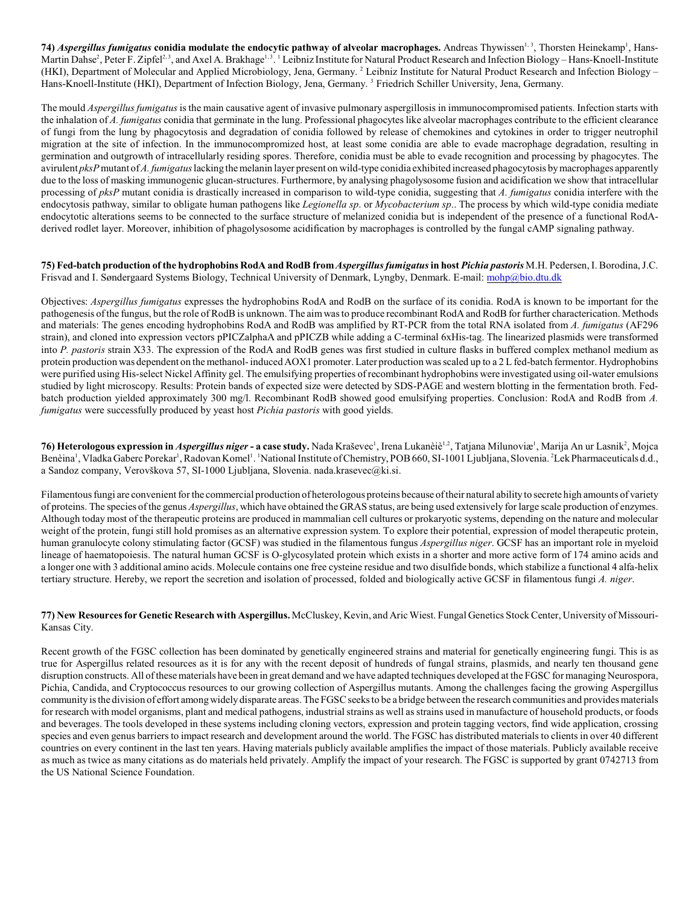**74)** *Aspergillus fumigatus* **conidia modulate the endocytic pathway of alveolar macrophages.** Andreas Thywissen<sup>1, 3</sup>, Thorsten Heinekamp<sup>1</sup>, Hans-Martin Dahse<sup>2</sup>, Peter F. Zipfel<sup>2, 3</sup>, and Axel A. Brakhage<sup>1, 3</sup>. <sup>1</sup> Leibniz Institute for Natural Product Research and Infection Biology – Hans-Knoell-Institute (HKI), Department of Molecular and Applied Microbiology, Jena, Germany.<sup>2</sup> Leibniz Institute for Natural Product Research and Infection Biology – Hans-Knoell-Institute (HKI), Department of Infection Biology, Jena, Germany.<sup>3</sup> Friedrich Schiller University, Jena, Germany.

The mould *Aspergillus fumigatus* is the main causative agent of invasive pulmonary aspergillosis in immunocompromised patients. Infection starts with the inhalation of *A. fumigatus* conidia that germinate in the lung. Professional phagocytes like alveolar macrophages contribute to the efficient clearance of fungi from the lung by phagocytosis and degradation of conidia followed by release of chemokines and cytokines in order to trigger neutrophil migration at the site of infection. In the immunocompromized host, at least some conidia are able to evade macrophage degradation, resulting in germination and outgrowth of intracellularly residing spores. Therefore, conidia must be able to evade recognition and processing by phagocytes. The avirulent *pksP* mutant of *A. fumigatus* lacking the melanin layer present on wild-type conidia exhibited increased phagocytosis by macrophages apparently due to the loss of masking immunogenic glucan-structures. Furthermore, by analysing phagolysosome fusion and acidification we show that intracellular processing of *pksP* mutant conidia is drastically increased in comparison to wild-type conidia, suggesting that *A. fumigatus* conidia interfere with the endocytosis pathway, similar to obligate human pathogens like *Legionella sp*. or *Mycobacterium sp*.. The process by which wild-type conidia mediate endocytotic alterations seems to be connected to the surface structure of melanized conidia but is independent of the presence of a functional RodAderived rodlet layer. Moreover, inhibition of phagolysosome acidification by macrophages is controlled by the fungal cAMP signaling pathway.

**75) Fed-batch production of the hydrophobins RodA and RodB from** *Aspergillus fumigatus***in host** *Pichia pastoris* M.H. Pedersen, I. Borodina, J.C. Frisvad and I. Søndergaard Systems Biology, Technical University of Denmark, Lyngby, Denmark. E-mail: [mohp@bio.dtu.dk](mailto:mohp@bio.dtu.dk)

Objectives: *Aspergillus fumigatus* expresses the hydrophobins RodA and RodB on the surface of its conidia. RodA is known to be important for the pathogenesis of the fungus, but the role of RodB is unknown. The aim was to produce recombinant RodA and RodB for further characterication. Methods and materials: The genes encoding hydrophobins RodA and RodB was amplified by RT-PCR from the total RNA isolated from *A. fumigatus* (AF296 strain), and cloned into expression vectors pPICZalphaA and pPICZB while adding a C-terminal 6xHis-tag. The linearized plasmids were transformed into *P. pastoris* strain X33. The expression of the RodA and RodB genes was first studied in culture flasks in buffered complex methanol medium as protein production was dependent on the methanol-induced AOX1 promoter. Later production was scaled up to a 2 L fed-batch fermentor. Hydrophobins were purified using His-select Nickel Affinity gel. The emulsifying properties of recombinant hydrophobins were investigated using oil-water emulsions studied by light microscopy. Results: Protein bands of expected size were detected by SDS-PAGE and western blotting in the fermentation broth. Fedbatch production yielded approximately 300 mg/l. Recombinant RodB showed good emulsifying properties. Conclusion: RodA and RodB from *A. fumigatus* were successfully produced by yeast host *Pichia pastoris* with good yields.

76) Heterologous expression in *Aspergillus niger* - a case study. Nada Kraševec<sup>1</sup>, Irena Lukanèiè<sup>1,2</sup>, Tatjana Milunoviæ<sup>1</sup>, Marija An ur Lasnik<sup>2</sup>, Mojca Benèina<sup>1</sup>, Vladka Gaberc Porekar<sup>1</sup>, Radovan Komel<sup>1</sup>. <sup>1</sup>National Institute of Chemistry, POB 660, SI-1001 Ljubljana, Slovenia. <sup>2</sup>Lek Pharmaceuticals d.d., a Sandoz company, Verovškova 57, SI-1000 Ljubljana, Slovenia. nada.krasevec@ki.si.

Filamentous fungi are convenient for the commercial production of heterologous proteins because oftheir natural ability to secrete high amounts of variety of proteins. The species of the genus *Aspergillus*, which have obtained the GRAS status, are being used extensively for large scale production of enzymes. Although today most of the therapeutic proteins are produced in mammalian cell cultures or prokaryotic systems, depending on the nature and molecular weight of the protein, fungi still hold promises as an alternative expression system. To explore their potential, expression of model therapeutic protein, human granulocyte colony stimulating factor (GCSF) was studied in the filamentous fungus *Aspergillus niger*. GCSF has an important role in myeloid lineage of haematopoiesis. The natural human GCSF is O-glycosylated protein which exists in a shorter and more active form of 174 amino acids and a longer one with 3 additional amino acids. Molecule contains one free cysteine residue and two disulfide bonds, which stabilize a functional 4 alfa-helix tertiary structure. Hereby, we report the secretion and isolation of processed, folded and biologically active GCSF in filamentous fungi *A. niger*.

#### **77) New Resourcesfor Genetic Research with Aspergillus.** McCluskey, Kevin, and Aric Wiest. Fungal Genetics Stock Center, University of Missouri-Kansas City.

Recent growth of the FGSC collection has been dominated by genetically engineered strains and material for genetically engineering fungi. This is as true for Aspergillus related resources as it is for any with the recent deposit of hundreds of fungal strains, plasmids, and nearly ten thousand gene disruption constructs. All of these materials have been in great demand and we have adapted techniques developed at the FGSC for managing Neurospora, Pichia, Candida, and Cryptococcus resources to our growing collection of Aspergillus mutants. Among the challenges facing the growing Aspergillus community is the division of effort amongwidelydisparate areas.The FGSC seeks to be a bridge between the research communities and provides materials for research with model organisms, plant and medical pathogens, industrial strains as well as strains used in manufacture of household products, or foods and beverages. The tools developed in these systems including cloning vectors, expression and protein tagging vectors, find wide application, crossing species and even genus barriers to impact research and development around the world. The FGSC has distributed materials to clients in over 40 different countries on every continent in the last ten years. Having materials publicly available amplifies the impact of those materials. Publicly available receive as much as twice as many citations as do materials held privately. Amplify the impact of your research. The FGSC is supported by grant 0742713 from the US National Science Foundation.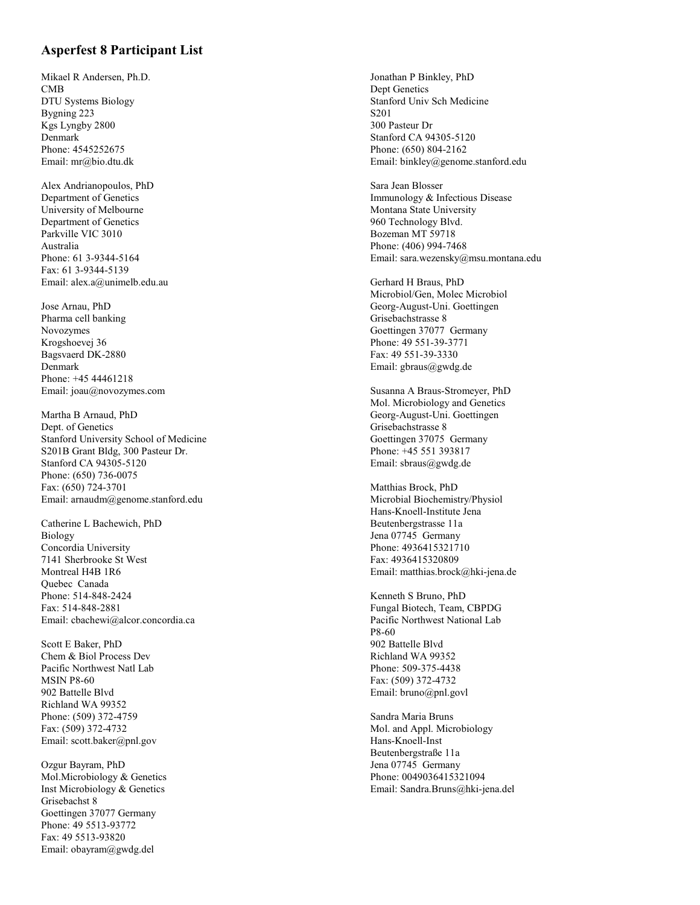#### **Asperfest 8 Participant List**

Mikael R Andersen, Ph.D. CMB DTU S ystems Biology By gning 223 Kgs L yngby 2800 Denmark Phone: 4545252675<br>Email: mr@bio.dtu.dk

Alex Andrianopoulos, PhD Department of Genetics Uni versity of Melbourne Department of Genetics Parkville VIC 3010 Australia Phone: 61 3-9344-5164 Fa x: 61 3-9344-5139 Email: alex.a@uni melb.edu.au

Jose Arnau, PhD Pharma cell banking Novozymes Krogshoe vej 36 Ba gsvaerd DK-2880 Denmark Phone: +45 44461218 Email: joau@novozymes .com

Martha B Arnaud, PhD Dept. of Genetics Stanford University School of Medicine S201B Grant Bldg, 300 Pasteur Dr. Stanford C A 94305-5120 Phone: (650) 736-0075 Fa x: (650) 724-3701 Email: arnaudm@genome.stanford.edu

Catherine L Bache wich, PhD Bi ology Concordia University 7141 Sherbrooke St West Montreal H4B 1R6 Quebec Canada Phone: 514-848-2424 Fa x: 514-848-2881 Email: cbachewi@alcor.concordia.ca

Scott E Baker, PhD Chem & Biol Process De v Pacific Northwest Natl Lab MSIN P8-60 902 Battelle Blvd Richland W A 99352 Phone: (509) 372-4759 Fa x: (509) 372-4732 Email: sc ott.baker@p nl.gov

Oz gur Bayram, PhD Mol.Microbiology & Genetics Inst Microbiology & Genetics Grisebachst 8 Goettingen 37077 Germany Phone: 49 5513-93772 Fa x: 49 5513-93820 Email: obayram@g wdg.del

Jonathan P Binkle y, PhD Dept Genetics Stanford Univ Sch Medicine S201 300 Pasteur Dr Stanford C A 94305-5120 Phone: (650) 804-2162 Email: binkle y@genome.stanford.edu

Sara Jean Blosser Immunology & Infectious Disease Montana State University 960 Technolog y Bl vd. Bozeman MT 59718 Phone: (406) 994-7468 Email: sara.wezens ky@msu. montana.edu

Gerhard H Braus, PhD Microbiol/Gen, Molec Microbiol Georg-August-Uni. Goettingen Grisebachstrasse 8 Goettingen 37077 Germany Phone: 49 551-39-3771 Fa x: 49 551-39-3330 Email: gbraus@gwdg.de

Susanna A Braus-Stromeyer, PhD Mol. Microbiology and Genetics Georg-August-Uni. Goettingen Grisebachstrasse 8 Goettingen 37075 Germany Phone: +45 551 393817 Email: sbraus@gwdg.de

Matthias Brock, PhD Microbial Biochemistry/Physiol Hans-Knoell-Institute Jena Beutenber gstrasse 11a Jena 07745 Germany Phone: 4936415321710 Fa x: 4936415320809 Email: matthias.brock@hki-jena.de

Kenneth S Bruno, PhD Fungal Biotech, Team, CBPDG Pacific Northwest National Lab P8-60 902 Battelle Blvd Richland W A 99352 Phone: 509-375-4438 Fa x: (509) 372-4732 Email: bruno@pnl.govl

Sandra Maria Bruns Mol. and Appl. Microbiology Hans-Knoell-Inst Beutenber gstra ße 11a Jena 07745 Germany Phone: 0049036415321094 Email: Sandra.Bruns@hki-jena.del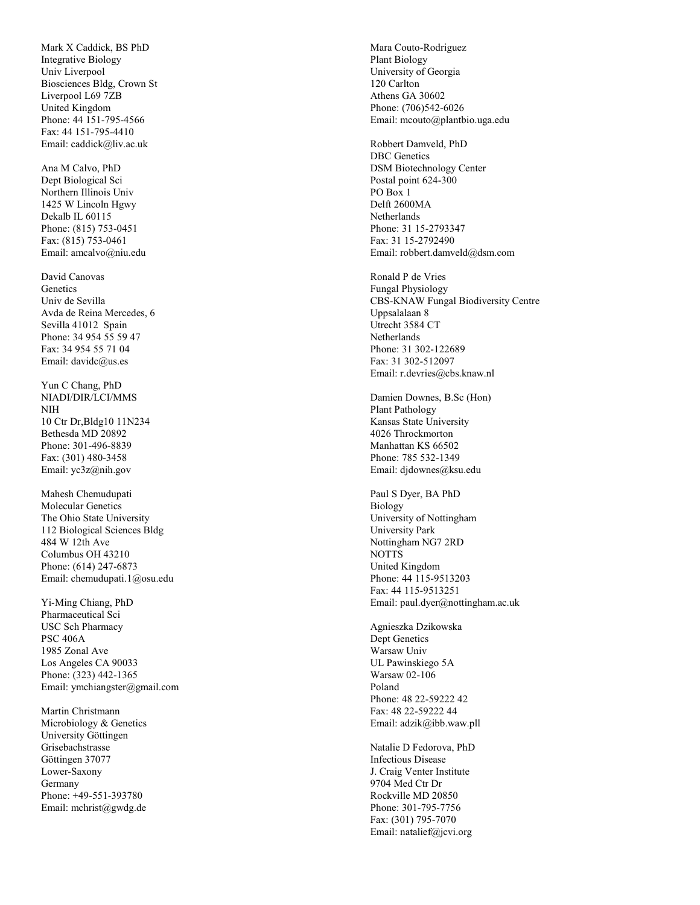Mark X Caddic k, BS PhD Integrative Bi ology Uni v Liverpool Biosciences Bldg, Crown St Liverpool L69 7ZB United Kingdom Phone: 44 151-795-4566 Fa x: 44 151-795-4410 Email: cad dick@liv.ac. uk

Ana M Cal vo, PhD Dept Biological Sci Northern Illinois Univ 1425 W Lincoln Hgwy De kalb IL 60115 Phone: (815) 753-0451 Fa x: (815) 753-0461 Email: amcalvo@niu.edu

David Canovas **Genetics** Uni v de Se vill a A vda de Reina Mercedes, 6 Se villa 41012 Spain Phone: 34 954 55 59 47 Fa x: 34 954 55 71 04 Email: davidc@us.es

Yun C Chang, PhD NI ADI/DIR/LCI/MMS NI H 10 Ctr Dr,Bldg10 11N234 Bethesda MD 20892 Phone: 301-496-8839 Fa x: (301) 480-3458 Email: yc3z@ nih.gov

Mahesh Che mudupat i Molecular Genetics The Ohio State University 112 Biological Sciences Bldg 484 W 12th Ave Columbus OH 43210 Phone: (614) 247-6873 Email: che mudupati.1@osu.edu

Yi-Ming Chiang, PhD Pharmaceutical Sci USC Sch Pharmacy PSC 406A 1985 Zonal Ave Los Angeles CA 90033 Phone: (323) 442-1365 Email: ymchiangster@gma i l .com

Martin Christmann Microbiology & Genetics University Göttingen Grisebachstrasse Göttingen 37077 Lower-Saxony Germany Phone: +49-551-393780 Email: mchrist@gwdg.de Mara Couto-Rodriguez Plant Biology Uni versity of Geor gia 120 Carlton Athens GA 30602 Phone: (706)542-6026 Email: mcouto@plantbio.uga.edu

Robbert Damveld, PhD DBC Genetics DSM Biotechnology Center Postal point 624-300 PO Box 1 Delft 2600MA **Netherlands** Phone: 31 15-2793347 Fa x: 31 15-2792490 Email: robbert.damveld@dsm.com

Ronald P de Vries Fu ngal P h ysi ology CBS-KNA W Fungal Biodiversity Centre Uppsalalaan 8 Utrecht 3584 CT Netherlands Phone: 31 302-122689 Fa x: 31 302-512097 Email: r.de vries@cbs.knaw.nl

Damien Downes, B.Sc (Hon) Plant Pathology Kansas State University 4026 Throc kmorton Manhattan KS 66502 Phone: 785 532-1349 Email: djdownes@ksu.edu

Paul S Dyer, B A PhD Bi ology University of Nottingham Uni versity Park Nottingham NG7 2RD NOTTS United Kingdom Phone: 44 115-9513203 Fa x: 44 115-9513251 Email: paul.dyer@nottingham.ac.uk

Agnieszka Dzikowska Dept Genetics Warsaw Univ UL Pawins kie go 5A Warsaw 02-106 Poland Phone: 48 22-59222 42 Fa x: 48 22-59222 44 Email: adzik@ibb.waw.pll

Natalie D Fedorova, PhD Infectious Disease J. Crai g Venter Institute 9704 Med Ctr Dr Roc kville MD 20850 Phone: 301-795-7756 Fa x: (301) 795-7070 Email: natalief@jcvi.org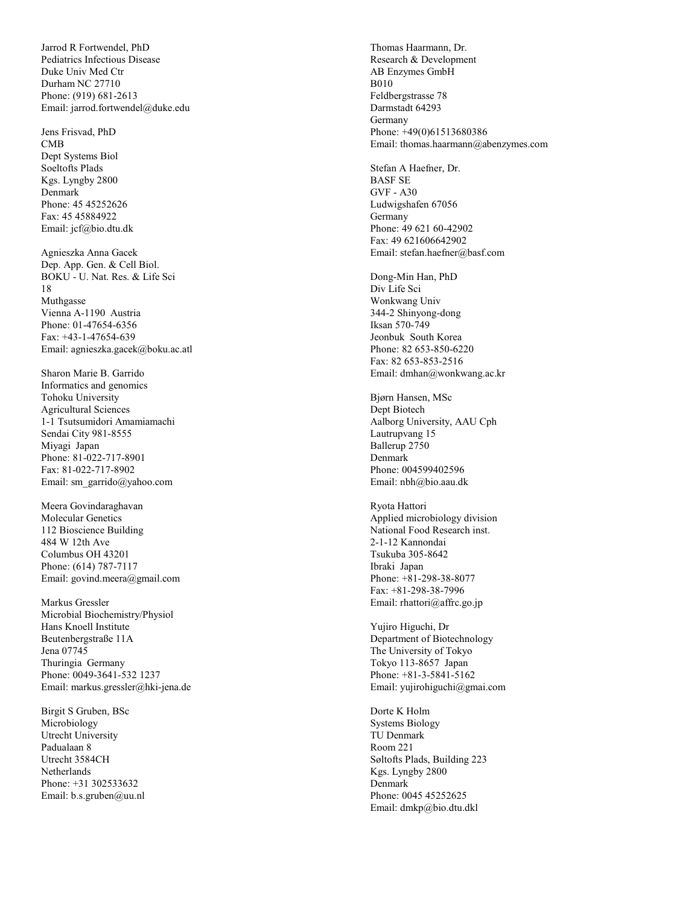Jarrod R Fortwendel, PhD Pediatrics Infectious Disease Duke Uni v Med Ctr Durham NC 27710 Phone: (919) 681-2613 Email: jarrod.fortwendel@duke.edu

Jens Frisvad, PhD CMB Dept Systems Biol Soeltofts Plads Kgs. L yngby 2800 Denmark Phone: 45 45252626 Fa x: 45 45884922 Email: jcf@bio.dtu.dk Agnieszka Anna Gacek

Dep. App. Gen. & Cell Biol. BOKU - U. Nat. Res. & Life Sci 18 Muthgasse Vienna A-1190 Austria Phone: 01-47654-6356 Fa x: +43-1-47654-639 Email: agniesz ka. gacek@boku.ac.atl

Sharon Marie B. Garrido Informatics and geno mics Tohoku University Agricultural Sciences 1-1 Tsutsumidori A mamia machi Sendai City 981-8555 Miyagi Japan Phone: 81-022-717-8901 Fa x: 81-022-717-8902 Email: sm\_garrido@yahoo.com

Meera Govindaraghavan Molecular Genetics 112 Bioscience Building 484 W 12th Ave Columbus OH 43201 Phone: (614) 787-7117 Email: govind.meera@gma i l .com

Markus Gressler Microbial Biochemistry/Physiol Hans Knoell Institute Beutenber gstra ße 11A Jena 07745 Thuringia Germany Phone: 0049-3641-532 1237 Email: markus.gressler@hki-jena.de

Birgit S Gruben, BSc Micro biology Utrecht University Padualaan 8 Utrecht 3584CH **Netherlands** Phone: +31 302533632 Email: b.s.gruben@uu.nl Thomas Haarmann, Dr. Research & Development AB Enzymes G mbH B010 Feldbergstrasse 78 Darmstadt 64293 Germany Phone: +49(0)61513680386 Email: thomas.haarmann@abenzymes .com

Ste fan A Hae fner, Dr. BASF S E GVF - A30 Ludwigshafen 67056 Germany Phone: 49 621 60-42902 Fa x: 49 621606642902 Emai l : stefa n . haefner @ basf.com

Dong-Min Han, PhD Div Life Sci Wonkwang Univ 344-2 Shinyong-dong Iksan 570-749 Jeonbuk South Korea Phone: 82 653-850-6220 Fa x: 82 653-853-2516 Email: dmhan@ wonkwang.ac. kr

Bjørn Hansen, MSc Dept Biotech Aalborg University, AAU Cph Lautrupvang 15 Ballerup 2750 Denmark Phone: 004599402596 Email: n b h@bio.aau.dk

Ryota Hattori Applied microbiolog y division National Food Research inst. 2-1-12 Kannondai Tsukuba 305-8642 Ibraki Japan Phone: +81-298-38-8077 Fa x: +81-298-38-7996 Email: rhattori@affrc.go.jp

Yujiro Higuchi, Dr Department of Biotechnology The University of Tokyo Tokyo 113-8657 Japan Phone: +81-3-5841-5162 Email: yujirohiguchi@gma i .com

Dorte K Holm Syste ms Bi ology TU Denmark Room 221 Søltofts Plads, Building 223 Kgs. L yngby 2800 Denmark Phone: 0045 45252625 Email: dmkp@bio.dtu.dkl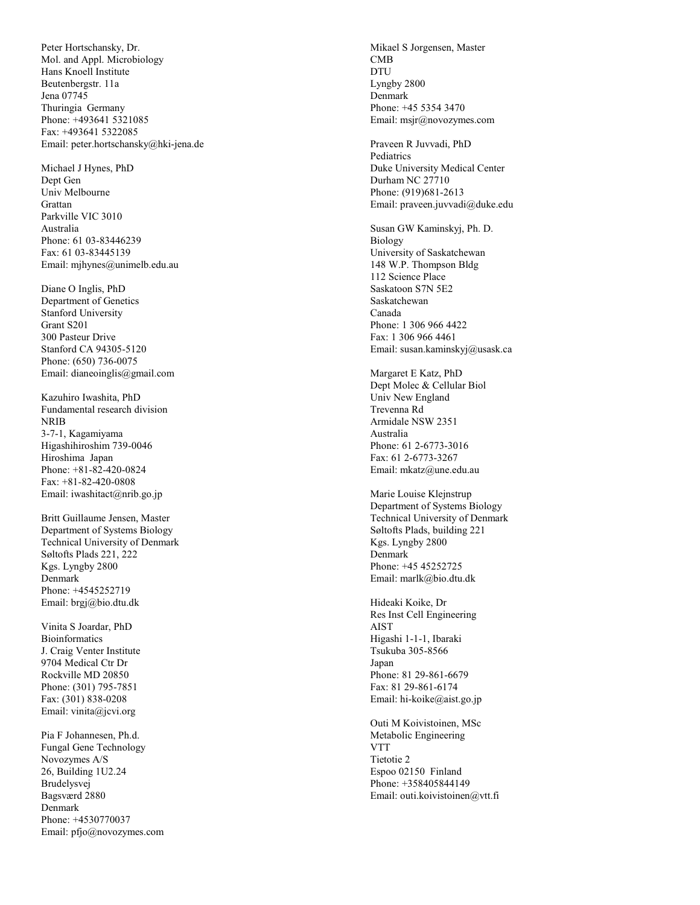Peter Hortschansky, Dr. Mol. and Appl. Microbiology Hans Knoell Institute Beutenber gstr. 11a Jena 07745 Thuringia Germany Phone: +493641 5321085 Fa x: +493641 5322085 Email: peter.hortschansky@hki-jena.de

Michael J H ynes, PhD Dept Gen Uni v Melbourne Grattan Parkville VIC 3010 Australia Phone: 61 03-83446239 Fa x: 61 03-83445139 Email: mjhynes@uni melb.edu.au

Diane O Inglis, PhD Department of Genetics Stanford University Grant S201 300 Pasteur Drive Stanford C A 94305-5120 Phone: (650) 736-0075 Email: dianeoinglis@gma i l .com

Kazuhiro I washita, PhD Funda mental research division NRIB 3-7-1, Kagamiyama Hi gashihiroshi m 739-0046 Hiroshima Japan Phone: +81-82-420-0824 Fa x: +81-82-420-0808 Email: iwashitact@nrib.go.jp

Britt Guillaume Jensen, Master Depart ment of Systems Biology Technical University of Denmark Søltofts Plads 221, 222 Kgs. L yngby 2800 Denmark Phone: +4545252719 Email: brgj@bio.dtu.dk

Vinita S Joardar, PhD Bioin formatics J. Crai g Venter Institute 9704 Medical Ctr Dr Roc kville MD 20850 Phone: (301) 795-7851 Fa x: (301) 838-0208 Email: vi nita@jcvi.org

Pia F Johannesen, Ph.d. Fungal Gene Technology Novozymes A/S 26, Building 1U2.24 Brudelysvej Ba gsværd 2880 Denmark Phone: +4530770037 Email: pfjo@novozymes .com

Mikael S Jorgensen, Master CMB DTU Lyngby 2800 Denmark Phone: +45 5354 3470 Email: msjr@novozymes .com

Praveen R Juvvadi, PhD **Pediatrics** Duke University Medical Center Durham NC 27710 Phone: (919)681-2613 Email: praveen.juv vadi@duke.edu

Susan GW Kaminskyj, Ph. D. Bi ology University of Saskatchewan 148 W.P. Thompson Bldg 112 Science Place Saskatoon S7N 5E2 Saskatchewan Canada Phone: 1 306 966 4422 Fa x: 1 306 966 4461 Email: susan.kaminskyj@usask.ca

Margaret E Katz, PhD Dept Molec & Cellular Biol Uni v New England Trevenna Rd Armidale NSW 2351 Australia Phone: 61 2-6773-3016 Fa x: 61 2-6773-3267 Email: mkatz@une.edu.au

Marie Louise Klejnstrup Depart ment of Systems Biology Technical University of Denmark Søltofts Plads, building 221 Kgs. L yngby 2800 Denmark Phone: +45 45252725 Email: marlk@bio.dtu.dk

Hideaki Koike, Dr Res Inst Cell Engineering AIST Higashi 1-1-1, I baraki Tsukuba 305-8566 Japan Phone: 81 29-861-6679 Fa x: 81 29-861-6174 Email: hi-koike@aist.go.jp

Outi M Koi vistoinen, MS c Metabolic Engineering VTT Tietotie 2 Espoo 02150 Finland Phone: +358405844149 Email: outi. koivistoinen@vtt. fi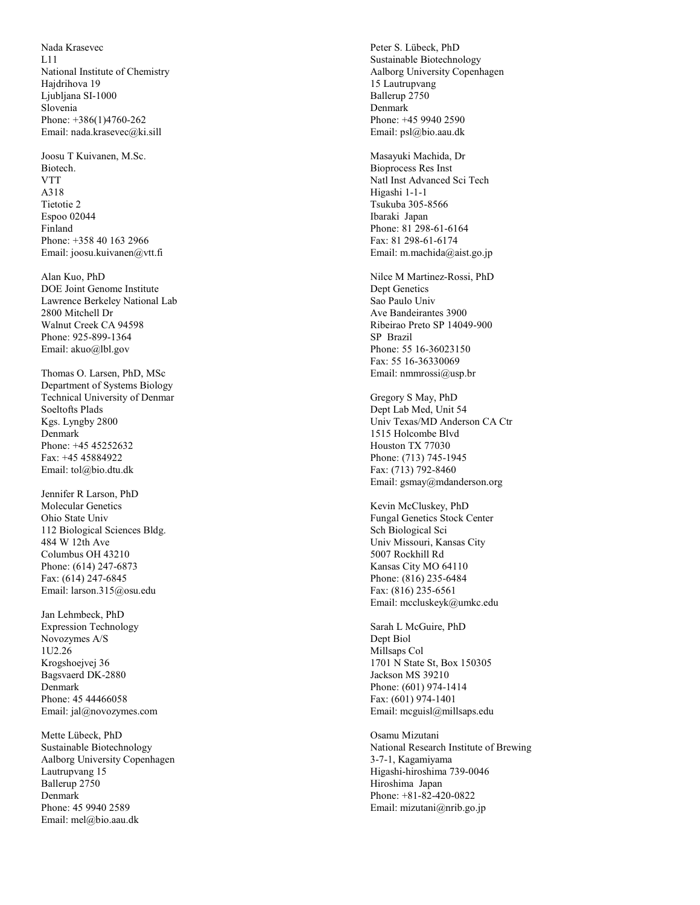Nada Krasevec L11 National Institute of Che mistry Hajdrihova 19 Ljubljana SI-1000 Sloveni a Phone: +386(1)4760-262 Email: nada.krase vec@ki.sill

Joosu T Kuivanen, M.Sc. Biotech. VTT A318 Tietotie 2 Espoo 02044 Finland Phone: +358 40 163 2966 Email: joosu.kuivanen@vtt. fi

Alan Kuo, PhD DOE Joint Genome Institute Lawrence Berkele y National Lab 2800 Mitchell Dr Walnut Creek CA 94598 Phone: 925-899-1364 Email: aku o@l bl.gov

Thomas O. Larsen, PhD, MSc Depart ment of Systems Biology Technical University of Denmar Soeltofts Plads Kgs. L yngby 2800 Denmark Phone: +45 45252632 Fa x: +45 45884922 Email: t ol@ bio.dtu.dk

Jennifer R Larson, PhD Molecular Genetics Ohio State Univ 112 Biological Sciences Bldg. 484 W 12th Ave Columbus OH 43210 Phone: (614) 247-6873 Fa x: (614) 247-6845 Email: larson.315@osu.edu

Jan Lehmbec k, PhD Expression Technology Novozymes A/S 1U2.26 Krogshoejvej 36 Ba gsvaerd DK-2880 Denmark Phone: 45 44466058 Email: jal@novozymes .com

Mette Lübec k, PhD Sustainable Biotechnology Aalborg University Copenhagen Lautrupvang 15 Ballerup 2750 Denmark Phone: 45 9940 2589 Email: mel@bio.aau.dk

Peter S. Lübec k, PhD Sustainable Biotechnology Aalborg University Copenhagen 15 Lautrupvang Ballerup 2750 Denmark Phone: +45 9940 2590 Email: psl@bio.aau.dk

Masayuki Machida, Dr Bioprocess Res Inst Natl Inst Advanced Sci Tech Hi gashi 1-1-1 Tsukuba 305-8566 Ibaraki Japan Phone: 81 298-61-6164 Fa x: 81 298-61-6174 Email: m.machida@aist.go.jp

Nilce M Martinez-Rossi, PhD Dept Genetics Sao Paulo Uni v A ve Bandeirantes 3900 Ribeirao Preto SP 14049-900 SP Brazil Phone: 55 16-36023150 Fa x: 55 16-36330069 Email: nmmrossi@usp.br Gregory S May, PhD

Dept Lab Med, Unit 54 Uni v Texas/MD Anderson CA Ctr 1 5 1 5 Holc o mbe Blvd Houston TX 77030 Phone: (713) 745-1945 Fa x: (713) 792-8460 Email: gsmay@mdan ders o n.org

Ke vin McCluskey, PhD Fungal Genetics Stock Center Sch Biological Sci Uni v Missouri, Kansas City 5007 Rockhill Rd Kansas City MO 64110 Phone: (816) 235-6484 Fa x: (816) 235-6561 Email: mcclus keyk@umkc.edu

Sarah L Mc Guire, PhD Dept Biol Millsaps Col 1701 N State St, Box 150305 Jackson MS 39210 Phone: (601) 974-1414 Fa x: (601) 974-1401 Email: mcguisl@ millsaps.edu

Osamu Mizutani National Research Institute of Brewing 3-7-1, Kagamiyama Hi gashi-hiroshima 739-0046 Hiroshima Japan Phone: +81-82-420-0822 Email: mizutani@nrib. go.jp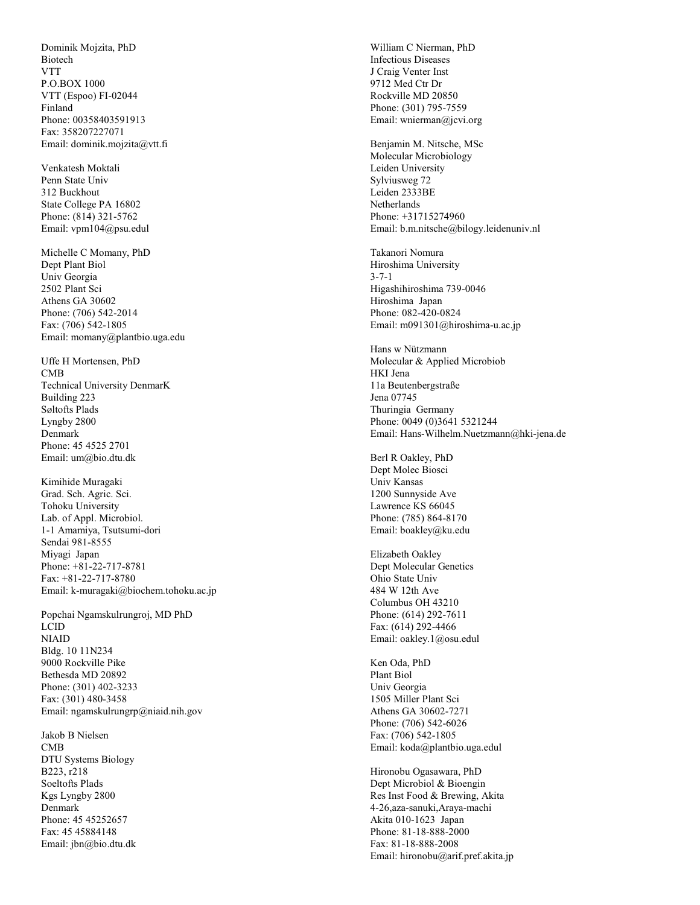Dominik Mojzita, PhD Biotech VTT P.O.BOX 1000 VT T (Espoo) FI-02044 Finland Phone: 00358403591913 Fa x: 358207227071 Email: dominik.mojzita@vtt. fi

Venkatesh Moktali Penn State Univ 312 Buc khout State Colle ge PA 16802 Phone: (814) 321-5762 Email: vpm104@psu.edul

Michelle C Momany, PhD Dept Plant Biol Uni v Geor gia 2502 Plant Sci Athens GA 30602 Phone: (706) 542-2014 Fa x: (706) 542-1805 Email: momany@plantbio.uga.edu

Uffe H Mortensen, PhD CMB Technical University Denmar K Building 223 Søltofts Plads Lyngby 2800 Denmark Phone: 45 4525 2701 Email: u m@bio.dtu.dk

Ki mihide Muragaki Grad. Sch. A gric. Sci. Tohoku University Lab. of Appl. Microbiol . 1-1 Amamiya, Tsutsumi-dor i Sendai 981-8555 Miyagi Japan Phone: +81-22-717-8781 Fa x: +81-22-717-8780 Email: k-mura gaki@biochem.tohoku.ac.jp

Popchai N gamskulrungroj, MD PhD LCI D NI AID Bldg. 10 11N234 9000 Rockville Pike Bethesda MD 20892 Phone: (301) 402-3233 Fa x: (301) 480-3458 Email: ngamskulru ngrp@niaid.nih.gov

Jakob B Nielsen CMB DTU S ystems Biology B223, r218 Soeltofts Plads Kgs L yngby 2800 Denmark Phone: 45 45252657 Fa x: 45 45884148 Email: j b n@bio.dtu.dk

Willia m C Nierman, PhD Infectious Diseases J Craig Venter Inst 9712 Med Ctr Dr Roc kville MD 20850 Phone: (301) 795-7559 Email: wnierman@jcvi.org

Benja min M. Nitsche, MS c Molecular Micro biology Leiden Uni versity Sylvius weg 72 Leiden 2333BE **Netherlands** Phone: +31715274960 Email: b.m.nitsche@bilog y.leidenuniv.nl

Takanori Nomura Hiroshima Uni versity 3-7- 1 Hi gashihiroshi ma 739-0046 Hiroshima Japan Phone: 082-420-0824 Email: m091301@hiroshima-u.ac.jp

Hans w Nütz mann Molecular & Applied Microbiob HKI Jena 11a Beute n bergstraße Jena 07745 Thuringia Germany Phone: 0049 (0)3641 5321244 Email: Hans-Wilhelm.Nuetzmann@hki-jena.de

Berl R Oakle y, PhD Dept Molec Biosci Univ Kansas 1200 Sunnysi de Ave Lawrence KS 66045 Phone: (785) 864-8170 Email: boakle y@ku.edu

Elizabeth Oakley Dept Molecular Genetics Ohio State Univ 484 W 12th Ave Columbus OH 43210 Phone: (614) 292-7611 Fa x: (614) 292-4466 Email: oakle y.1@osu.edul

Ken Oda, PhD Plant Biol Uni v Geor gia 1505 Miller Plant Sci Athens GA 30602-7271 Phone: (706) 542-6026 Fa x: (706) 542-1805 Email: koda@plantbio.uga.edul

Hironobu O gasawara, PhD Dept Microbiol & Bioengin Res Inst Food & Brewing, Akita 4-26,aza-sanuki,Araya-machi Akita 010-1623 Japan Phone: 81-18-888-2000 Fa x: 81-18-888-2008 Email: hironobu@arif.pre f.a kita.jp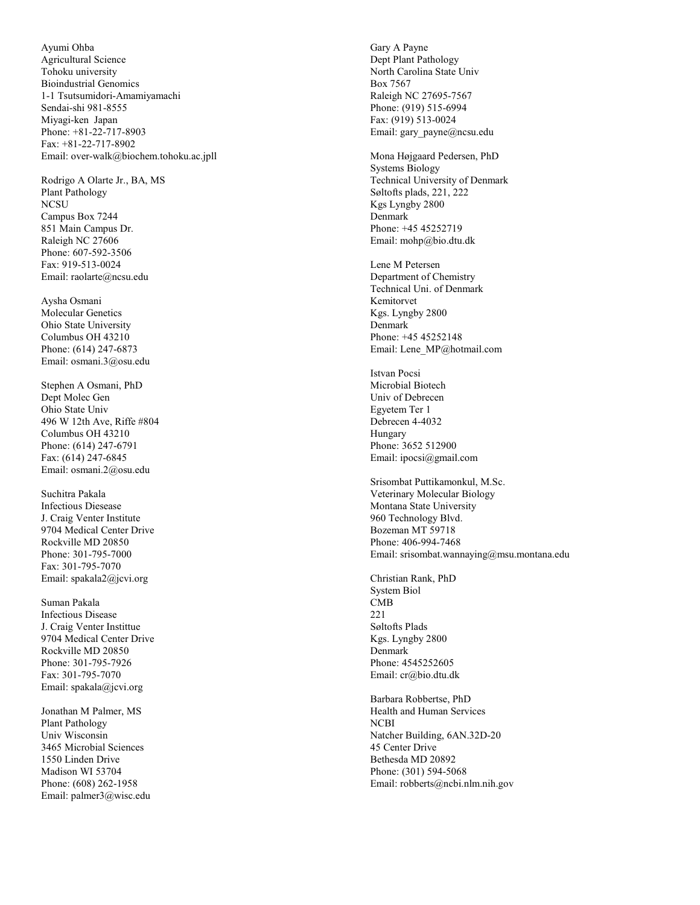A yumi Ohba Agricultural Science Tohoku university Bioindustrial Genomics 1-1 Tsutsumidori-Amamiyamachi Sendai-shi 981-8555 Miyagi-ken Japan Phone: +81-22-717-8903 Fa x: +81-22-717-8902 Email: over-wal k@bioche m.tohoku.ac.jpll

Rodrigo A Olarte Jr., BA, MS Plant Pathology **NCSU** Campus Box 7244 851 Main Campus Dr . Raleigh NC 27606 Phone: 607-592-3506 Fa x: 919-513-0024 Email: raolarte@ncsu.edu Aysha Osmani

Molecular Genetics Ohio State University Columbus OH 43210 Phone: (614) 247-6873 Email: osmani.3@osu.edu

Stephen A Osmani, PhD Dept Molec Gen Ohio State Univ 496 W 12th A ve, Ri ffe #804 Columbus OH 43210 Phone: (614) 247-6791 Fa x: (614) 247-6845 Email: osmani.2@osu.edu

Suchitra Pakal a Infectious Diesease J. Crai g Venter Institute 9 7 0 4 Medical Center Drive Roc kville MD 20850 Phone: 301-795-7000 Fa x: 301-795-7070 Email: spakala2@jcvi.org

Suman Pakal a Infectious Disease J. Crai g Venter Instittue 9 7 0 4 Medical Center Drive Roc kville MD 20850 Phone: 301-795-7926 Fa x: 301-795-7070 Email: spakala@jcvi.org

Jonathan M Pal mer, MS Pla nt Pat h ology Uni v Wisconsin 3465 Microbial Sciences 1550 Linden Drive Madison WI 53704 Phone: (608) 262-1958 Email: pal mer3@wisc.edu

Gary A Payne Dept Plant Pathology North Carolina State Univ Box 7567 Raleigh NC 27695-7567 Phone: (919) 515-6994 Fa x: (919) 513-0024 Email: gary\_payne@ncsu.edu

Mona Højgaard Pedersen, PhD Syste ms Bi ology Technical University of Denmark Søltofts plads, 221, 222 Kgs L yngby 2800 Denmark Phone: +45 45252719 Email: moh p@bio.dtu.dk

Lene M Peterse n Department of Che mistry Technical Uni. of Denmark Kemitorvet Kgs. L yngby 2800 Denmark Phone: +45 45252148 Email: Lene\_MP@hotmai l .com

Istvan Pocsi Microbial Biotech Univ of Debrecen Eg yetem Ter 1 Debrecen 4-4032 Hungary Phone: 3652 512900 Email: ipocsi@gmail .com

Srisombat Puttikamonkul, M.Sc. Veterinary Molecular Biology Montana State University 960 Technolog y Bl vd. Bozeman MT 59718 Phone: 406-994-7468 Email: srisombat.wannaying@msu. montana.edu

Christian Rank, PhD System Biol CMB 221 Søltofts Plads Kgs. L yngby 2800 Denmark Phone: 4545252605 Email: cr@bio.dtu.dk

Barbara Robbertse, PhD Health and Human Services NCBI Natcher Building, 6AN.32D-20 45 Center Drive Bethesda MD 20892 Phone: (301) 594-5068 Email: r o b berts@ncbi. nlm.nih.gov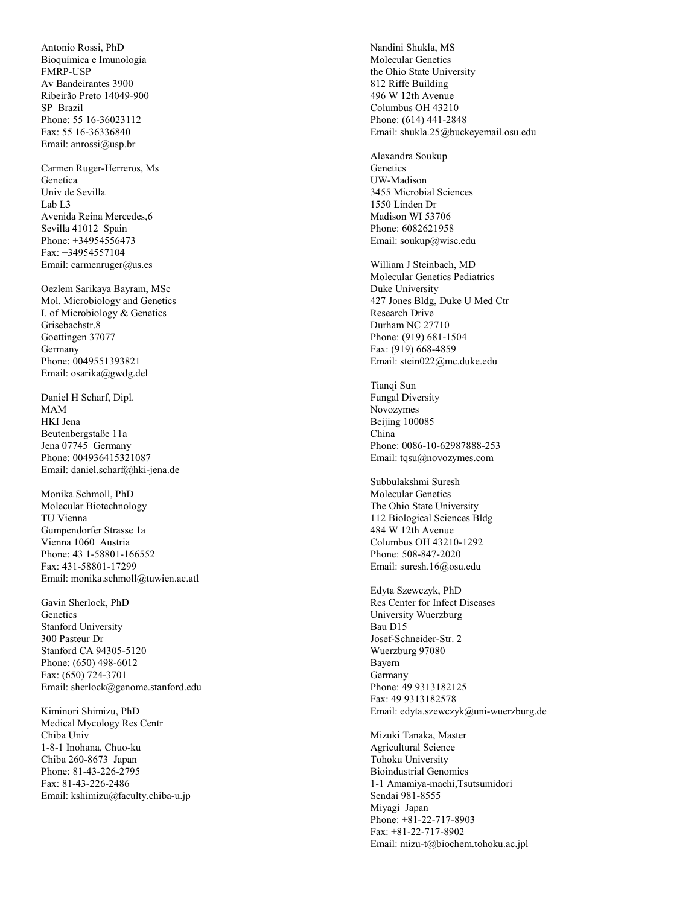Antonio Rossi, PhD Bioquímica e Imunologia FMRP-USP Av Bandeirantes 3900 Ribeirão Preto 14049-900 SP Brazil Phone: 55 16-36023112 Fa x: 55 16-36336840 Email: anrossi@usp.br

Carmen Ruger-Herreros, Ms Genetica Uni v de Se vill a Lab L3 Avenida Reina Mercedes, 6 Se villa 41012 Spain Phone: +34954556473 Fa x: +34954557104 Email: carmenruger@us.es

Oezlem Sarikaya Bayram, MS c Mol. Microbiology and Genetics I. of Microbiology & Genetics Grisebachstr. 8 Goettingen 37077 Germany Phone: 0049551393821 Email: osarika@ g wdg.del

Daniel H Schar f, Dipl. MAM HKI Jena Beutenber gstaße 11a Jena 07745 Germany Phone: 004936415321087 Email: daniel.scharf@hki-jena.de

Monika Schmoll, PhD Molecular Bi otech n ology TU Vienna Gumpendor fer Strasse 1a Vienna 1060 Austria Phone: 43 1-58801-166552 Fa x: 431-58801-17299 Email: monika.schmoll@tuwien.ac.atl

Gavin Sherloc k, PhD **Genetics** Stanford University 300 Pasteur Dr Stanford C A 94305-5120 Phone: (650) 498-6012 Fa x: (650) 724-3701 Email: sherloc k@genome.stanford.edu

Ki minori Shimizu, PhD Medical Mycolog y Res Centr Chiba Uni v 1-8-1 In o hana, Ch u o-ku Chiba 260-8673 Japan Phone: 81-43-226-2795 Fa x: 81-43-226-2486 Email: kshi mizu@faculty.chiba-u.jp Nandini Shukla, MS Molecular Genetics the Ohio State Uni versity 812 Ri ffe Building 496 W 12th A venue Columbus OH 43210 Phone: (614) 441-2848 Email: shukla.25@buc keyemail.osu.edu

Ale xandra Soukup **Genetics** UW-Madison 3455 Microbial Sciences 1550 Linden Dr Madison WI 53706 Phone: 6082621958 Email: soukup@wisc.edu William J Steinbach, MD

Molecular Genetics Pediatrics Duke Uni versity 427 Jones Bldg, Duke U Med Ctr Research Drive Durham NC 27710 Phone: (919) 681-1504 Fa x: (919) 668-4859 Email: stein022@mc.duke.edu Tianqi Sun

Fungal Diversity Novozymes Beijing 100085 China Phone: 0086-10-62987888-253 Email: tqsu@novozymes.com

Subbulakshmi Suresh Molecular Genetics The Ohio State University 112 Biological Sciences Bldg 484 W 12th A venue Columbus OH 43210-1292 Phone: 508-847-2020 Email: suresh.16@osu.edu

Edyta Szewcz yk, PhD Res Center for Infect Diseases Uni versity Wuerzbur g Bau D15 Josef-Schneider-Str. 2 Wuerzbur g 97080 Bayern Germany Phone: 49 9313182125 Fa x: 49 9313182578 Email: edyta.szewczyk@uni-wuerzburg.de

Mizuki Tanaka, Maste r Agricultural Science Tohoku University Bioindustrial Genomics 1-1 Amamiya-machi,Tsutsumidori Sendai 981-8555 Miyagi Japan Phone: +81-22-717-8903 Fa x: +81-22-717-8902 Email: mizu-t@biochem.tohoku.ac.jpl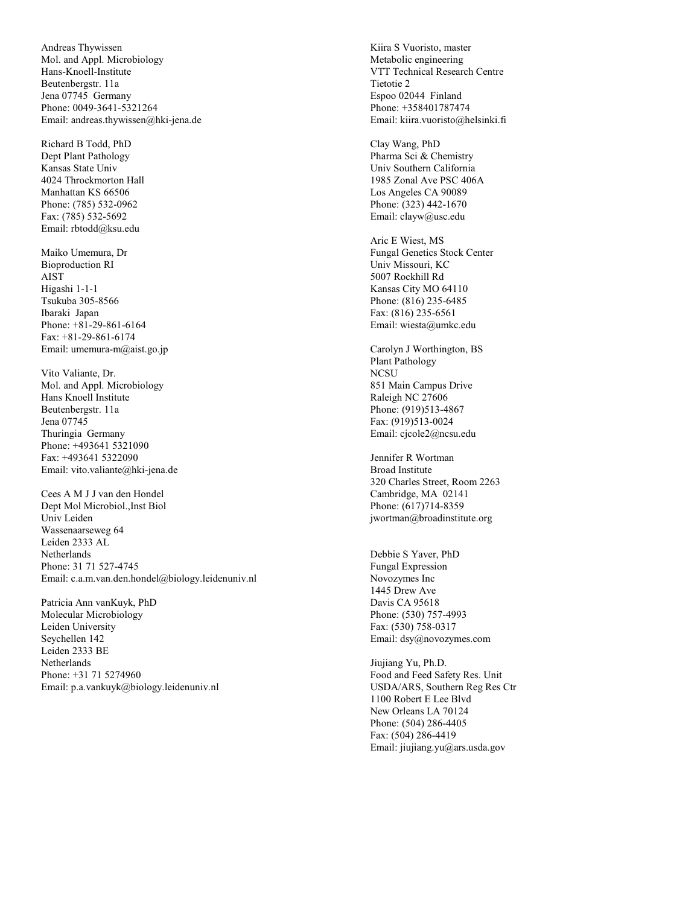Andreas Thywissen Mol. and Appl. Microbiology Hans-Knoell-Institute Beutenbergstr. 11a Jena 07745 Germany Phone: 0049-3641-5321264 Email: andreas.thywissen@hki-jena.de

Richard B Todd, PhD Dept Plant Pathology Kansas State Univ 4024 Throckmorton Hall Manhattan KS 66506 Phone: (785) 532-0962 Fax: (785) 532-5692 Email: rbtodd@ksu.edu

Maiko Umemura, Dr Bioproduction RI AIST Higashi 1-1-1 Tsukuba 305-8566 Ibaraki Japan Phone: +81-29-861-6164 Fax: +81-29-861-6174 Email: umemura-m@aist.go.jp

Vito Valiante, Dr. Mol. and Appl. Microbiology Hans Knoell Institute Beutenbergstr. 11a Jena 07745 Thuringia Germany Phone: +493641 5321090 Fax: +493641 5322090 Email: vito.valiante@hki-jena.de

Cees A M J J van den Hondel Dept Mol Microbiol.,Inst Biol Univ Leiden Wassenaarseweg 64 Leiden 2333 AL Netherlands Phone: 31 71 527-4745 Email: c.a.m.van.den.hondel@biology.leidenuniv.nl

Patricia Ann vanKuyk, PhD Molecular Microbiology Leiden University Seychellen 142 Leiden 2333 BE Netherlands Phone: +31 71 5274960 Email: p.a.vankuyk@biology.leidenuniv.nl

Kiira S Vuoristo, master Metabolic engineering VTT Technical Research Centre Tietotie 2 Espoo 02044 Finland Phone: +358401787474 Email: kiira.vuoristo@helsinki.fi

Clay Wang, PhD Pharma Sci & Chemistry Univ Southern California 1985 Zonal Ave PSC 406A Los Angeles CA 90089 Phone: (323) 442-1670 Email: clayw@usc.edu

Aric E Wiest, MS Fungal Genetics Stock Center Univ Missouri, KC 5007 Rockhill Rd Kansas City MO 64110 Phone: (816) 235-6485 Fax: (816) 235-6561 Email: wiesta@umkc.edu

Carolyn J Worthington, BS Plant Pathology NCSU 851 Main Campus Drive Raleigh NC 27606 Phone: (919)513-4867 Fax: (919)513-0024 Email: cjcole2@ncsu.edu

Jennifer R Wortman Broad Institute 320 Charles Street, Room 2263 Cambridge, MA 02141 Phone: (617)714-8359 jwortman@broadinstitute.org

Debbie S Yaver, PhD Fungal Expression Novozymes Inc 1445 Drew Ave Davis CA 95618 Phone: (530) 757-4993 Fax: (530) 758-0317 Email: dsy@novozymes.com

Jiujiang Yu, Ph.D. Food and Feed Safety Res. Unit USDA/ARS, Southern Reg Res Ctr 1100 Robert E Lee Blvd New Orleans LA 70124 Phone: (504) 286-4405 Fax: (504) 286-4419 Email: jiujiang.yu@ars.usda.gov